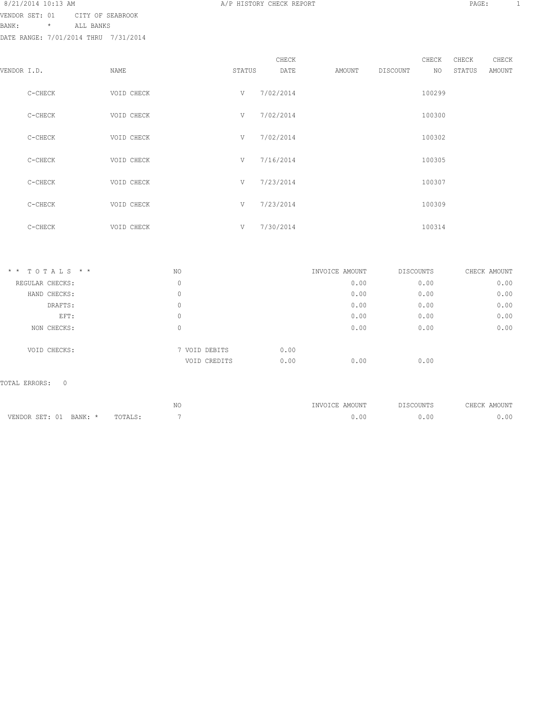### 8/21/2014 10:13 AM **A/P HISTORY CHECK REPORT PAGE:** 1 VENDOR SET: 01 CITY OF SEABROOK

BANK: \* ALL BANKS

DATE RANGE: 7/01/2014 THRU 7/31/2014

|             |         |            |        | CHECK     |        |          | CHECK  | CHECK  | CHECK  |
|-------------|---------|------------|--------|-----------|--------|----------|--------|--------|--------|
| VENDOR I.D. |         | NAME       | STATUS | DATE      | AMOUNT | DISCOUNT | NO     | STATUS | AMOUNT |
|             | C-CHECK | VOID CHECK | V      | 7/02/2014 |        |          | 100299 |        |        |
|             | C-CHECK | VOID CHECK | V      | 7/02/2014 |        |          | 100300 |        |        |
|             | C-CHECK | VOID CHECK | V      | 7/02/2014 |        |          | 100302 |        |        |
|             | C-CHECK | VOID CHECK | V      | 7/16/2014 |        |          | 100305 |        |        |
|             | C-CHECK | VOID CHECK | V      | 7/23/2014 |        |          | 100307 |        |        |
|             | C-CHECK | VOID CHECK | V      | 7/23/2014 |        |          | 100309 |        |        |
|             | C-CHECK | VOID CHECK | V      | 7/30/2014 |        |          | 100314 |        |        |

| $*$ * TOTALS * * | NO |               | INVOICE AMOUNT | DISCOUNTS | CHECK AMOUNT |
|------------------|----|---------------|----------------|-----------|--------------|
| REGULAR CHECKS:  | 0  |               | 0.00           | 0.00      | 0.00         |
| HAND CHECKS:     | 0  |               | 0.00           | 0.00      | 0.00         |
| DRAFTS:          | 0  |               | 0.00           | 0.00      | 0.00         |
| EFT:             | 0  |               | 0.00           | 0.00      | 0.00         |
| NON CHECKS:      | 0  |               | 0.00           | 0.00      | 0.00         |
| VOID CHECKS:     |    | 7 VOID DEBITS | 0.00           |           |              |
|                  |    | VOID CREDITS  | 0.00<br>0.00   | 0.00      |              |

### TOTAL ERRORS: 0

|                        |         | N | INVOICE AMOUNT | DISCOUNTS | CHECK AMOUNT |
|------------------------|---------|---|----------------|-----------|--------------|
| VENDOR SET: 01 BANK: * | TOTALS: |   | 0.00           | 00.ر      | 0.00         |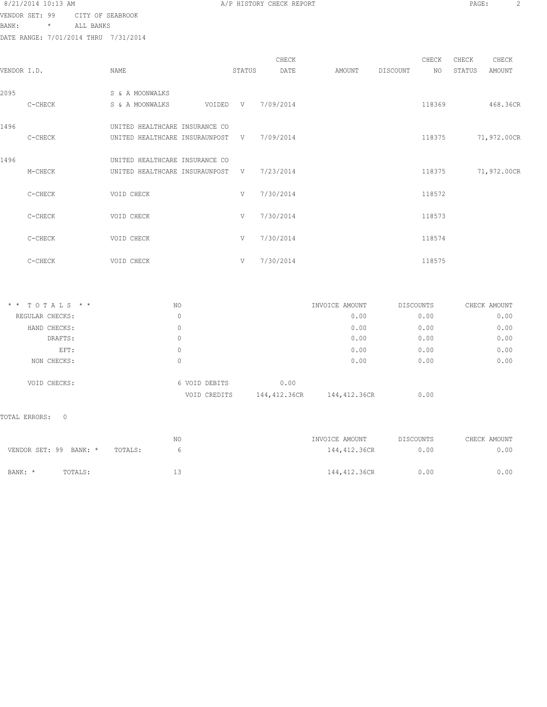VENDOR SET: 99 CITY OF SEABROOK

BANK: \* ALL BANKS

DATE RANGE: 7/01/2014 THRU 7/31/2014

| 8/21/2014 10:13 AM<br>the contract of the contract of the contract of the contract of the contract of the contract of the contract of | A/P HISTORY CHECK REPORT | PAGE: |  |
|---------------------------------------------------------------------------------------------------------------------------------------|--------------------------|-------|--|
|                                                                                                                                       |                          |       |  |

|             |         |                                |        |        | CHECK       |        |          | CHECK  | CHECK  | CHECK       |
|-------------|---------|--------------------------------|--------|--------|-------------|--------|----------|--------|--------|-------------|
| VENDOR I.D. |         | NAME                           |        | STATUS | DATE        | AMOUNT | DISCOUNT | NO.    | STATUS | AMOUNT      |
|             |         |                                |        |        |             |        |          |        |        |             |
| 2095        |         | S & A MOONWALKS                |        |        |             |        |          |        |        |             |
|             | C-CHECK | S & A MOONWALKS                | VOIDED | V      | 7/09/2014   |        |          | 118369 |        | 468.36CR    |
|             |         |                                |        |        |             |        |          |        |        |             |
| 1496        |         | UNITED HEALTHCARE INSURANCE CO |        |        |             |        |          |        |        |             |
|             | C-CHECK | UNITED HEALTHCARE INSURAUNPOST |        |        | V 7/09/2014 |        |          | 118375 |        | 71,972.00CR |
|             |         |                                |        |        |             |        |          |        |        |             |
| 1496        |         | UNITED HEALTHCARE INSURANCE CO |        |        |             |        |          |        |        |             |
|             | M-CHECK | UNITED HEALTHCARE INSURAUNPOST |        | V      | 7/23/2014   |        |          | 118375 |        | 71,972.00CR |
|             |         |                                |        |        |             |        |          |        |        |             |
|             | C-CHECK | VOID CHECK                     |        | V      | 7/30/2014   |        |          | 118572 |        |             |
|             |         |                                |        |        |             |        |          |        |        |             |
|             | C-CHECK | VOID CHECK                     |        | V      | 7/30/2014   |        |          | 118573 |        |             |
|             |         |                                |        |        |             |        |          |        |        |             |
|             |         |                                |        |        |             |        |          |        |        |             |
|             | C-CHECK | VOID CHECK                     |        | V      | 7/30/2014   |        |          | 118574 |        |             |
|             |         |                                |        |        |             |        |          |        |        |             |
|             | C-CHECK | VOID CHECK                     |        | V      | 7/30/2014   |        |          | 118575 |        |             |

| 0.00<br>REGULAR CHECKS:<br>0<br>0.00<br>0.00<br>0.00<br>0<br>HAND CHECKS:<br>0.00<br>0.00<br>DRAFTS:<br>0<br>0.00<br>0.00<br>EFT:<br>0<br>0.00<br>0.00<br>NON CHECKS:<br>0<br>0.00<br>6 VOID DEBITS<br>VOID CHECKS:<br>144,412.36CR<br>144,412.36CR<br>0.00<br>VOID CREDITS | $*$ * TOTALS * * | NO | INVOICE AMOUNT | DISCOUNTS | CHECK AMOUNT |
|-----------------------------------------------------------------------------------------------------------------------------------------------------------------------------------------------------------------------------------------------------------------------------|------------------|----|----------------|-----------|--------------|
|                                                                                                                                                                                                                                                                             |                  |    |                |           | 0.00         |
|                                                                                                                                                                                                                                                                             |                  |    |                |           | 0.00         |
|                                                                                                                                                                                                                                                                             |                  |    |                |           | 0.00         |
|                                                                                                                                                                                                                                                                             |                  |    |                |           | 0.00         |
|                                                                                                                                                                                                                                                                             |                  |    |                |           | 0.00         |
|                                                                                                                                                                                                                                                                             |                  |    |                |           |              |
|                                                                                                                                                                                                                                                                             |                  |    |                |           |              |

### TOTAL ERRORS: 0

|                        |         |         | NO. | INVOICE AMOUNT | DISCOUNTS | CHECK AMOUNT |
|------------------------|---------|---------|-----|----------------|-----------|--------------|
| VENDOR SET: 99 BANK: * |         | TOTALS: |     | 144,412.36CR   | 0.00      | 0.00         |
|                        |         |         |     |                |           |              |
| BANK: *                | TOTALS: |         |     | 144,412,36CR   | 0.00      | 0.00         |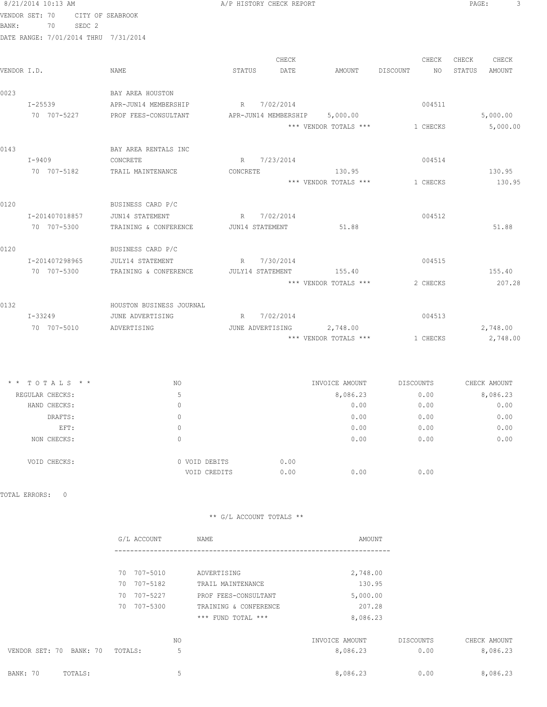| 8/21/2014 10:13 AM                   |                                               | A/P HISTORY CHECK REPORT      |                       |                          | PAGE:<br>3       |
|--------------------------------------|-----------------------------------------------|-------------------------------|-----------------------|--------------------------|------------------|
| VENDOR SET: 70                       | CITY OF SEABROOK                              |                               |                       |                          |                  |
| BANK:<br>70 SEDC 2                   |                                               |                               |                       |                          |                  |
| DATE RANGE: 7/01/2014 THRU 7/31/2014 |                                               |                               |                       |                          |                  |
|                                      |                                               | CHECK                         |                       | CHECK                    | CHECK<br>CHECK   |
| VENDOR I.D.                          | NAME                                          | STATUS<br>DATE                | AMOUNT DISCOUNT       | NO                       | STATUS<br>AMOUNT |
| 0023                                 | BAY AREA HOUSTON                              |                               |                       |                          |                  |
| I-25539                              | APR-JUN14 MEMBERSHIP                          | R 7/02/2014                   |                       | 004511                   |                  |
| 70 707-5227                          | PROF FEES-CONSULTANT                          | APR-JUN14 MEMBERSHIP 5,000.00 |                       |                          | 5,000.00         |
|                                      |                                               |                               | *** VENDOR TOTALS *** | 1 CHECKS                 | 5,000.00         |
| 0143                                 | BAY AREA RENTALS INC                          |                               |                       |                          |                  |
| $I-9409$                             | CONCRETE                                      | R 7/23/2014                   |                       | 004514                   |                  |
| 70 707-5182                          | TRAIL MAINTENANCE                             | CONCRETE                      | 130.95                |                          | 130.95           |
|                                      |                                               |                               | *** VENDOR TOTALS *** | 1 CHECKS                 | 130.95           |
| 0120                                 | BUSINESS CARD P/C                             |                               |                       |                          |                  |
| I-201407018857                       | JUN14 STATEMENT                               | R 7/02/2014                   |                       | 004512                   |                  |
| 70 707-5300                          | TRAINING & CONFERENCE                         | JUN14 STATEMENT               | 51.88                 |                          | 51.88            |
| 0120                                 | BUSINESS CARD P/C                             |                               |                       |                          |                  |
| I-201407298965                       | JULY14 STATEMENT                              | R 7/30/2014                   |                       | 004515                   |                  |
| 70 707-5300                          | TRAINING & CONFERENCE JULY14 STATEMENT 155.40 |                               |                       |                          | 155.40           |
|                                      |                                               |                               | *** VENDOR TOTALS *** | 2 CHECKS                 | 207.28           |
| 0132                                 | HOUSTON BUSINESS JOURNAL                      |                               |                       |                          |                  |
| I-33249                              | JUNE ADVERTISING                              | R 7/02/2014                   |                       | 004513                   |                  |
| 70 707-5010                          | ADVERTISING                                   | JUNE ADVERTISING 2,748.00     |                       |                          | 2,748.00         |
|                                      |                                               |                               | *** VENDOR TOTALS *** | 1 CHECKS                 | 2,748.00         |
|                                      |                                               |                               |                       |                          |                  |
| * * TOTALS * *                       | NO                                            |                               |                       | INVOICE AMOUNT DISCOUNTS | CHECK AMOUNT     |
| REGULAR CHECKS:                      | -5                                            |                               | 8,086.23              | 0.00                     | 8,086.23         |

| ------------- |               |      | .    | - - - - | .    |
|---------------|---------------|------|------|---------|------|
| HAND CHECKS:  | 0             |      | 0.00 | 0.00    | 0.00 |
| DRAFTS:       | 0             |      | 0.00 | 0.00    | 0.00 |
| EFT:          | 0             |      | 0.00 | 0.00    | 0.00 |
| NON CHECKS:   | 0             |      | 0.00 | 0.00    | 0.00 |
| VOID CHECKS:  | 0 VOID DEBITS | 0.00 |      |         |      |
|               | VOID CREDITS  | 0.00 | 0.00 | 0.00    |      |
|               |               |      |      |         |      |

TOTAL ERRORS: 0

|                            | G/L ACCOUNT | NAME                  | AMOUNT         |           |              |
|----------------------------|-------------|-----------------------|----------------|-----------|--------------|
|                            |             |                       |                |           |              |
|                            | 70 707-5010 | ADVERTISING           | 2,748.00       |           |              |
|                            | 70 707-5182 | TRAIL MAINTENANCE     | 130.95         |           |              |
|                            | 70 707-5227 | PROF FEES-CONSULTANT  | 5,000.00       |           |              |
|                            | 70 707-5300 | TRAINING & CONFERENCE | 207.28         |           |              |
|                            |             | *** FUND TOTAL ***    | 8,086.23       |           |              |
|                            | NO.         |                       | INVOICE AMOUNT | DISCOUNTS | CHECK AMOUNT |
| VENDOR SET: 70<br>BANK: 70 | TOTALS:     | 5                     | 8,086.23       | 0.00      | 8,086.23     |
| BANK: 70<br>TOTALS:        |             | 5                     | 8,086.23       | 0.00      | 8,086.23     |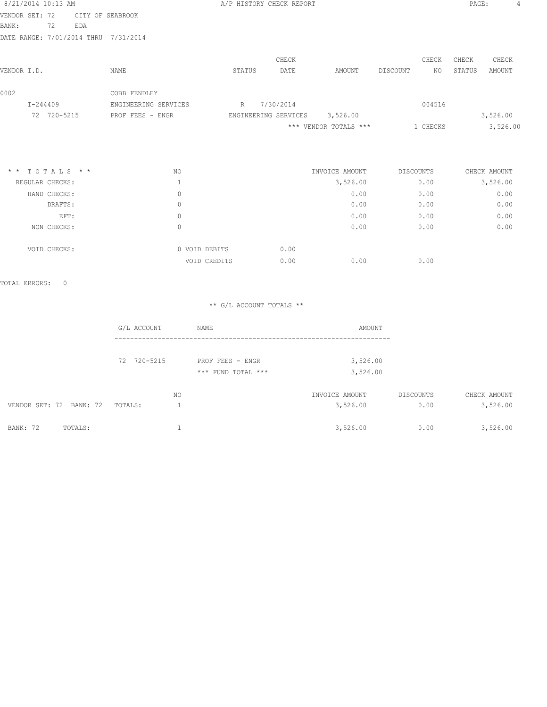| 8/21/2014 10:13 AM |          |             |     |                                      |        | A/P HISTORY CHECK REPORT |                       |          |          | PAGE:  |          | 4 |
|--------------------|----------|-------------|-----|--------------------------------------|--------|--------------------------|-----------------------|----------|----------|--------|----------|---|
| VENDOR SET: 72     |          |             |     | CITY OF SEABROOK                     |        |                          |                       |          |          |        |          |   |
| BANK:              |          | 72          | EDA |                                      |        |                          |                       |          |          |        |          |   |
|                    |          |             |     | DATE RANGE: 7/01/2014 THRU 7/31/2014 |        |                          |                       |          |          |        |          |   |
|                    |          |             |     |                                      |        | CHECK                    |                       |          | CHECK    | CHECK  | CHECK    |   |
| VENDOR I.D.        |          |             |     | NAME                                 | STATUS | DATE                     | AMOUNT                | DISCOUNT | NO.      | STATUS | AMOUNT   |   |
| 0002               |          |             |     | COBB FENDLEY                         |        |                          |                       |          |          |        |          |   |
|                    | I-244409 |             |     | ENGINEERING SERVICES                 | R      | 7/30/2014                |                       |          | 004516   |        |          |   |
|                    |          | 72 720-5215 |     | PROF FEES - ENGR                     |        | ENGINEERING SERVICES     | 3,526.00              |          |          |        | 3,526.00 |   |
|                    |          |             |     |                                      |        |                          | *** VENDOR TOTALS *** |          | 1 CHECKS |        | 3,526.00 |   |
|                    |          |             |     |                                      |        |                          |                       |          |          |        |          |   |
|                    |          |             |     |                                      |        |                          |                       |          |          |        |          |   |
|                    |          |             |     |                                      |        |                          |                       |          |          |        |          |   |

| $*$ * TOTALS * * | NO |               | INVOICE AMOUNT | DISCOUNTS | CHECK AMOUNT |
|------------------|----|---------------|----------------|-----------|--------------|
| REGULAR CHECKS:  |    |               | 3,526.00       | 0.00      | 3,526.00     |
| HAND CHECKS:     | 0  |               | 0.00           | 0.00      | 0.00         |
| DRAFTS:          | 0  |               | 0.00           | 0.00      | 0.00         |
| EFT:             | 0  |               | 0.00           | 0.00      | 0.00         |
| NON CHECKS:      | 0  |               | 0.00           | 0.00      | 0.00         |
| VOID CHECKS:     |    | 0 VOID DEBITS | 0.00           |           |              |
|                  |    | VOID CREDITS  | 0.00<br>0.00   | 0.00      |              |
|                  |    |               |                |           |              |

TOTAL ERRORS: 0

|                            | G/L ACCOUNT |     | NAME               | AMOUNT         |           |              |
|----------------------------|-------------|-----|--------------------|----------------|-----------|--------------|
|                            | 72 720-5215 |     | PROF FEES - ENGR   | 3,526.00       |           |              |
|                            |             |     | *** FUND TOTAL *** | 3,526.00       |           |              |
|                            |             | NO. |                    | INVOICE AMOUNT | DISCOUNTS | CHECK AMOUNT |
| VENDOR SET: 72 BANK: 72    | TOTALS:     |     |                    | 3,526.00       | 0.00      | 3,526.00     |
| <b>BANK: 72</b><br>TOTALS: |             |     |                    | 3,526.00       | 0.00      | 3,526.00     |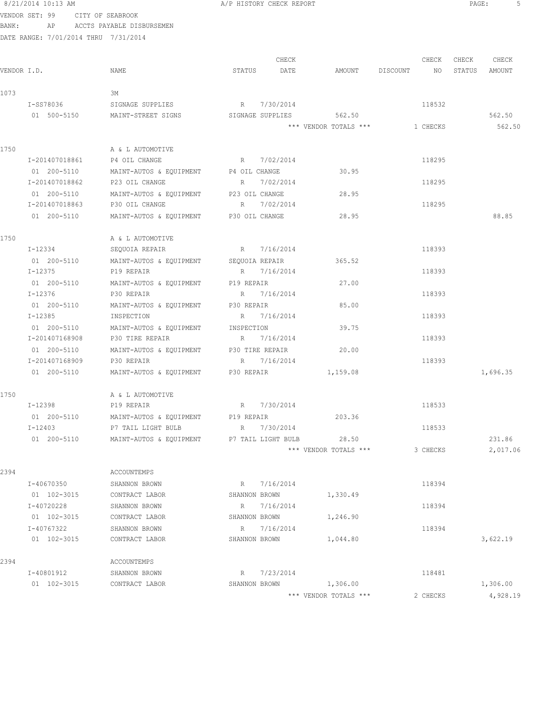8/21/2014 10:13 AM **BEE:** 5

VENDOR SET: 99 CITY OF SEABROOK BANK: AP ACCTS PAYABLE DISBURSEMEN

|             |                |                                                              |                  | CHECK |                       |             | CHECK    | CHECK  | CHECK    |
|-------------|----------------|--------------------------------------------------------------|------------------|-------|-----------------------|-------------|----------|--------|----------|
| VENDOR I.D. |                | NAME                                                         | STATUS           | DATE  | AMOUNT                | DISCOUNT NO |          | STATUS | AMOUNT   |
| 1073        |                | ЗМ                                                           |                  |       |                       |             |          |        |          |
|             | I-SS78036      | SIGNAGE SUPPLIES                                             | R 7/30/2014      |       |                       |             | 118532   |        |          |
|             | 01 500-5150    | MAINT-STREET SIGNS                                           | SIGNAGE SUPPLIES |       | 562.50                |             |          |        | 562.50   |
|             |                |                                                              |                  |       | *** VENDOR TOTALS *** |             | 1 CHECKS |        | 562.50   |
| 1750        |                | A & L AUTOMOTIVE                                             |                  |       |                       |             |          |        |          |
|             | I-201407018861 | P4 OIL CHANGE                                                | R 7/02/2014      |       |                       |             | 118295   |        |          |
|             | 01 200-5110    | MAINT-AUTOS & EQUIPMENT P4 OIL CHANGE                        |                  |       | 30.95                 |             |          |        |          |
|             | I-201407018862 | P23 OIL CHANGE                                               | R 7/02/2014      |       |                       |             | 118295   |        |          |
|             | 01 200-5110    | MAINT-AUTOS & EQUIPMENT P23 OIL CHANGE                       |                  |       | 28.95                 |             |          |        |          |
|             | I-201407018863 | P30 OIL CHANGE                                               | R 7/02/2014      |       |                       |             | 118295   |        |          |
|             | 01 200-5110    | MAINT-AUTOS & EQUIPMENT P30 OIL CHANGE                       |                  |       | 28.95                 |             |          |        | 88.85    |
| 1750        |                | A & L AUTOMOTIVE                                             |                  |       |                       |             |          |        |          |
|             | I-12334        | SEQUOIA REPAIR                                               | R 7/16/2014      |       |                       |             | 118393   |        |          |
|             | 01 200-5110    | MAINT-AUTOS & EQUIPMENT                                      | SEQUOIA REPAIR   |       | 365.52                |             |          |        |          |
|             | I-12375        | P19 REPAIR                                                   | R 7/16/2014      |       |                       |             | 118393   |        |          |
|             | 01 200-5110    | MAINT-AUTOS & EQUIPMENT                                      | P19 REPAIR       |       | 27.00                 |             |          |        |          |
|             | I-12376        | P30 REPAIR                                                   | R 7/16/2014      |       |                       |             | 118393   |        |          |
|             | 01 200-5110    | MAINT-AUTOS & EQUIPMENT P30 REPAIR                           |                  |       | 85.00                 |             |          |        |          |
|             | I-12385        | INSPECTION                                                   | R 7/16/2014      |       |                       |             | 118393   |        |          |
|             | 01 200-5110    | MAINT-AUTOS & EQUIPMENT INSPECTION                           |                  |       | 39.75                 |             |          |        |          |
|             | I-201407168908 | P30 TIRE REPAIR                                              | R 7/16/2014      |       |                       |             | 118393   |        |          |
|             | 01 200-5110    | MAINT-AUTOS & EQUIPMENT P30 TIRE REPAIR                      |                  |       | 20.00                 |             |          |        |          |
|             | I-201407168909 | P30 REPAIR                                                   | R 7/16/2014      |       |                       |             | 118393   |        |          |
|             | 01 200-5110    | MAINT-AUTOS & EQUIPMENT P30 REPAIR                           |                  |       | 1,159.08              |             |          |        | 1,696.35 |
| 1750        |                | A & L AUTOMOTIVE                                             |                  |       |                       |             |          |        |          |
|             | I-12398        | P19 REPAIR                                                   | R 7/30/2014      |       |                       |             | 118533   |        |          |
|             | 01 200-5110    | MAINT-AUTOS & EQUIPMENT P19 REPAIR                           |                  |       | 203.36                |             |          |        |          |
|             | $I - 12403$    | P7 TAIL LIGHT BULB R 7/30/2014                               |                  |       |                       |             | 118533   |        |          |
|             |                | 01 200-5110 MAINT-AUTOS & EQUIPMENT P7 TAIL LIGHT BULB 28.50 |                  |       |                       |             |          |        | 231.86   |
|             |                |                                                              |                  |       | *** VENDOR TOTALS *** |             | 3 CHECKS |        | 2,017.06 |
| 2394        |                | ACCOUNTEMPS                                                  |                  |       |                       |             |          |        |          |
|             | I-40670350     | SHANNON BROWN                                                | R 7/16/2014      |       |                       |             | 118394   |        |          |
|             | 01 102-3015    | CONTRACT LABOR                                               | SHANNON BROWN    |       | 1,330.49              |             |          |        |          |
|             | I-40720228     | SHANNON BROWN                                                | R 7/16/2014      |       |                       |             | 118394   |        |          |
|             | 01 102-3015    | CONTRACT LABOR                                               | SHANNON BROWN    |       | 1,246.90              |             |          |        |          |
|             | I-40767322     | SHANNON BROWN                                                | R 7/16/2014      |       |                       |             | 118394   |        |          |
|             | 01 102-3015    | CONTRACT LABOR                                               | SHANNON BROWN    |       | 1,044.80              |             |          |        | 3,622.19 |
| 2394        |                | ACCOUNTEMPS                                                  |                  |       |                       |             |          |        |          |
|             | I-40801912     | SHANNON BROWN                                                | 7/23/2014<br>R   |       |                       |             | 118481   |        |          |
|             | 01 102-3015    | CONTRACT LABOR                                               | SHANNON BROWN    |       | 1,306.00              |             |          |        | 1,306.00 |
|             |                |                                                              |                  |       | *** VENDOR TOTALS *** |             | 2 CHECKS |        | 4,928.19 |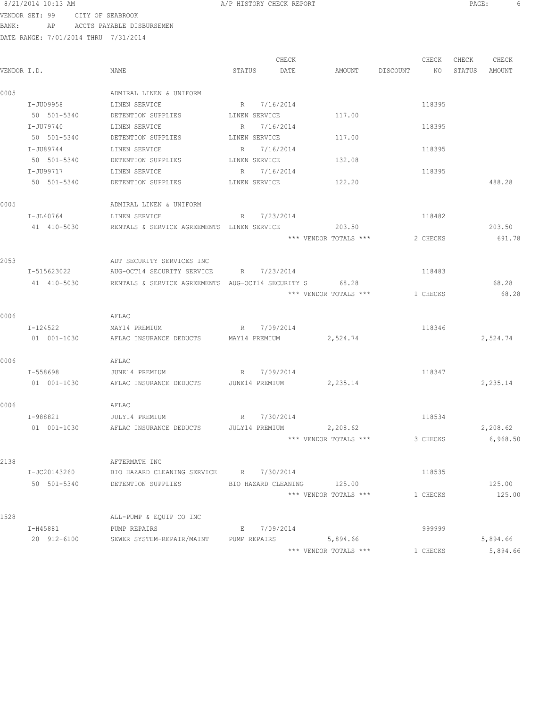8/21/2014 10:13 AM **BEE:** 6

VENDOR SET: 99 CITY OF SEABROOK BANK: AP ACCTS PAYABLE DISBURSEMEN

|             |              |                                                   |                | CHECK       |                       |          | CHECK    | CHECK  | CHECK    |
|-------------|--------------|---------------------------------------------------|----------------|-------------|-----------------------|----------|----------|--------|----------|
| VENDOR I.D. |              | NAME                                              | STATUS         | DATE        | AMOUNT                | DISCOUNT | NO       | STATUS | AMOUNT   |
| 0005        |              | ADMIRAL LINEN & UNIFORM                           |                |             |                       |          |          |        |          |
|             | I-JU09958    | LINEN SERVICE                                     | R 7/16/2014    |             |                       |          | 118395   |        |          |
|             | 50 501-5340  | DETENTION SUPPLIES LINEN SERVICE                  |                |             | 117.00                |          |          |        |          |
|             | I-JU79740    | LINEN SERVICE                                     | R 7/16/2014    |             |                       |          | 118395   |        |          |
|             | 50 501-5340  | DETENTION SUPPLIES                                | LINEN SERVICE  |             | 117.00                |          |          |        |          |
|             | I-JU89744    | LINEN SERVICE                                     | R 7/16/2014    |             |                       |          | 118395   |        |          |
|             | 50 501-5340  | DETENTION SUPPLIES                                | LINEN SERVICE  |             | 132.08                |          |          |        |          |
|             | I-JU99717    | LINEN SERVICE                                     |                | R 7/16/2014 |                       |          | 118395   |        |          |
|             | 50 501-5340  | DETENTION SUPPLIES                                | LINEN SERVICE  |             | 122.20                |          |          |        | 488.28   |
| 0005        |              | ADMIRAL LINEN & UNIFORM                           |                |             |                       |          |          |        |          |
|             | I-JL40764    | LINEN SERVICE                                     |                | R 7/23/2014 |                       |          | 118482   |        |          |
|             | 41 410-5030  | RENTALS & SERVICE AGREEMENTS LINEN SERVICE        |                |             | 203.50                |          |          |        | 203.50   |
|             |              |                                                   |                |             | *** VENDOR TOTALS *** |          | 2 CHECKS |        | 691.78   |
| 2053        |              | ADT SECURITY SERVICES INC                         |                |             |                       |          |          |        |          |
|             | I-515623022  | AUG-OCT14 SECURITY SERVICE                        | $R_{\rm max}$  | 7/23/2014   |                       |          | 118483   |        |          |
|             | 41 410-5030  | RENTALS & SERVICE AGREEMENTS AUG-OCT14 SECURITY S |                |             | 68.28                 |          |          |        | 68.28    |
|             |              |                                                   |                |             | *** VENDOR TOTALS *** |          | 1 CHECKS |        | 68.28    |
| 0006        |              | AFLAC                                             |                |             |                       |          |          |        |          |
|             | I-124522     | MAY14 PREMIUM                                     |                | R 7/09/2014 |                       |          | 118346   |        |          |
|             | 01 001-1030  | AFLAC INSURANCE DEDUCTS MAY14 PREMIUM             |                |             | 2,524.74              |          |          |        | 2,524.74 |
| 0006        |              | AFLAC                                             |                |             |                       |          |          |        |          |
|             | I-558698     | JUNE14 PREMIUM                                    |                | R 7/09/2014 |                       |          | 118347   |        |          |
|             | 01 001-1030  | AFLAC INSURANCE DEDUCTS                           | JUNE14 PREMIUM |             | 2,235.14              |          |          |        | 2,235.14 |
| 0006        |              | AFLAC                                             |                |             |                       |          |          |        |          |
|             | I-988821     | JULY14 PREMIUM                                    |                | R 7/30/2014 |                       |          | 118534   |        |          |
|             | 01 001-1030  | AFLAC INSURANCE DEDUCTS                           | JULY14 PREMIUM |             | 2,208.62              |          |          |        | 2,208.62 |
|             |              |                                                   |                |             | *** VENDOR TOTALS *** |          | 3 CHECKS |        | 6,968.50 |
| 2138        |              | AFTERMATH INC                                     |                |             |                       |          |          |        |          |
|             | I-JC20143260 | BIO HAZARD CLEANING SERVICE R 7/30/2014           |                |             |                       |          | 118535   |        |          |
|             | 50 501-5340  | DETENTION SUPPLIES BIO HAZARD CLEANING 125.00     |                |             |                       |          |          |        | 125.00   |
|             |              |                                                   |                |             | *** VENDOR TOTALS *** |          | 1 CHECKS |        | 125.00   |
| 1528        |              | ALL-PUMP & EQUIP CO INC                           |                |             |                       |          |          |        |          |
|             | I-H45881     | PUMP REPAIRS                                      |                | E 7/09/2014 |                       |          | 999999   |        |          |
|             | 20 912-6100  | SEWER SYSTEM-REPAIR/MAINT PUMP REPAIRS 5,894.66   |                |             |                       |          |          |        | 5,894.66 |
|             |              |                                                   |                |             | *** VENDOR TOTALS *** |          | 1 CHECKS |        | 5,894.66 |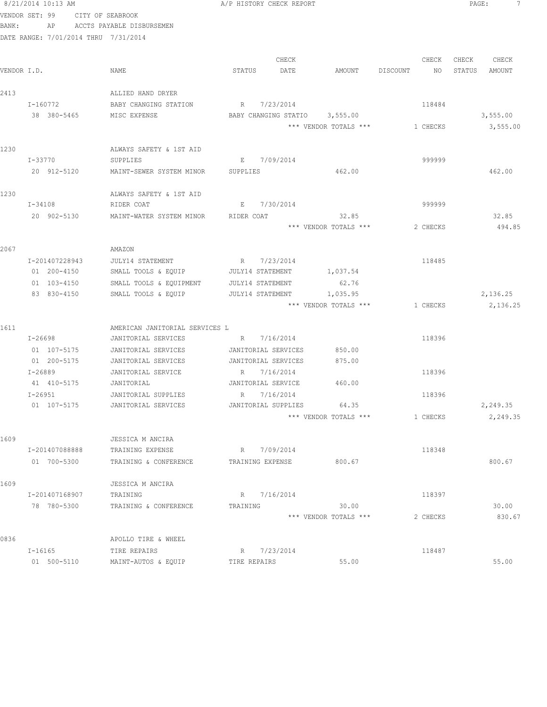|             | 8/21/2014 10:13 AM                   |                                      | A/P HISTORY CHECK REPORT      |                       |                | PAGE:<br>7       |
|-------------|--------------------------------------|--------------------------------------|-------------------------------|-----------------------|----------------|------------------|
|             | VENDOR SET: 99 CITY OF SEABROOK      |                                      |                               |                       |                |                  |
| BANK:       |                                      | AP ACCTS PAYABLE DISBURSEMEN         |                               |                       |                |                  |
|             | DATE RANGE: 7/01/2014 THRU 7/31/2014 |                                      |                               |                       |                |                  |
|             |                                      |                                      |                               |                       |                |                  |
|             |                                      |                                      | CHECK                         |                       | CHECK          | CHECK<br>CHECK   |
| VENDOR I.D. |                                      | NAME                                 | STATUS<br>DATE                | AMOUNT                | DISCOUNT<br>NO | STATUS<br>AMOUNT |
|             |                                      |                                      |                               |                       |                |                  |
| 2413        |                                      | ALLIED HAND DRYER                    |                               |                       |                |                  |
|             | I-160772                             | BABY CHANGING STATION                | R 7/23/2014                   |                       | 118484         |                  |
|             | 38 380-5465                          | MISC EXPENSE                         | BABY CHANGING STATIO 3,555.00 |                       |                | 3,555.00         |
|             |                                      |                                      |                               | *** VENDOR TOTALS *** | 1 CHECKS       | 3,555.00         |
| 1230        |                                      | ALWAYS SAFETY & 1ST AID              |                               |                       |                |                  |
|             | I-33770                              | SUPPLIES                             | E 7/09/2014                   |                       | 999999         |                  |
|             | 20 912-5120                          | MAINT-SEWER SYSTEM MINOR             | SUPPLIES                      | 462.00                |                | 462.00           |
|             |                                      |                                      |                               |                       |                |                  |
| 1230        |                                      | ALWAYS SAFETY & 1ST AID              |                               |                       |                |                  |
|             | $I - 34108$                          | RIDER COAT                           | 7/30/2014<br>E                |                       | 999999         |                  |
|             | 20 902-5130                          | MAINT-WATER SYSTEM MINOR             | RIDER COAT                    | 32.85                 |                | 32.85            |
|             |                                      |                                      |                               | *** VENDOR TOTALS *** | 2 CHECKS       | 494.85           |
|             |                                      |                                      |                               |                       |                |                  |
| 2067        |                                      | AMAZON                               |                               |                       |                |                  |
|             | I-201407228943                       | JULY14 STATEMENT                     | R 7/23/2014                   |                       | 118485         |                  |
|             | 01 200-4150                          | SMALL TOOLS & EQUIP JULY14 STATEMENT |                               | 1,037.54              |                |                  |
|             | 01 103-4150                          | SMALL TOOLS & EQUIPMENT              | JULY14 STATEMENT              | 62.76                 |                |                  |
|             | 83 830-4150                          | SMALL TOOLS & EQUIP                  | JULY14 STATEMENT              | 1,035.95              |                | 2,136.25         |
|             |                                      |                                      |                               | *** VENDOR TOTALS *** | 1 CHECKS       | 2,136.25         |
|             |                                      |                                      |                               |                       |                |                  |
| 1611        |                                      | AMERICAN JANITORIAL SERVICES L       |                               |                       |                |                  |
|             | I-26698                              | JANITORIAL SERVICES                  | R 7/16/2014                   |                       | 118396         |                  |
|             | 01 107-5175                          | JANITORIAL SERVICES                  | JANITORIAL SERVICES           | 850.00                |                |                  |
|             | 01 200-5175                          | JANITORIAL SERVICES                  | JANITORIAL SERVICES           | 875.00                |                |                  |
|             | $I - 26889$                          | JANITORIAL SERVICE                   | 7/16/2014<br>R                |                       | 118396         |                  |
|             | 41 410-5175 JANITORIAL               |                                      | JANITORIAL SERVICE            | 460.00                |                |                  |
|             | I-26951                              | JANITORIAL SUPPLIES                  | R 7/16/2014                   |                       | 118396         |                  |
|             | 01 107-5175                          | JANITORIAL SERVICES                  | JANITORIAL SUPPLIES           | 64.35                 |                | 2,249.35         |
|             |                                      |                                      |                               | *** VENDOR TOTALS *** | 1 CHECKS       | 2,249.35         |
| 1609        |                                      | JESSICA M ANCIRA                     |                               |                       |                |                  |
|             | I-201407088888                       | TRAINING EXPENSE                     | R 7/09/2014                   |                       | 118348         |                  |
|             | 01 700-5300                          | TRAINING & CONFERENCE                | TRAINING EXPENSE              | 800.67                |                | 800.67           |
|             |                                      |                                      |                               |                       |                |                  |
| 1609        |                                      | JESSICA M ANCIRA                     |                               |                       |                |                  |
|             | I-201407168907                       | TRAINING                             | R 7/16/2014                   |                       | 118397         |                  |
|             | 78 780-5300                          | TRAINING & CONFERENCE                | TRAINING                      | 30.00                 |                | 30.00            |
|             |                                      |                                      |                               | *** VENDOR TOTALS *** | 2 CHECKS       | 830.67           |
|             |                                      |                                      |                               |                       |                |                  |
| 0836        |                                      | APOLLO TIRE & WHEEL                  |                               |                       |                |                  |
|             | I-16165                              | TIRE REPAIRS                         | R 7/23/2014                   |                       | 118487         |                  |
|             | 01 500-5110                          | MAINT-AUTOS & EQUIP                  | TIRE REPAIRS                  | 55.00                 |                | 55.00            |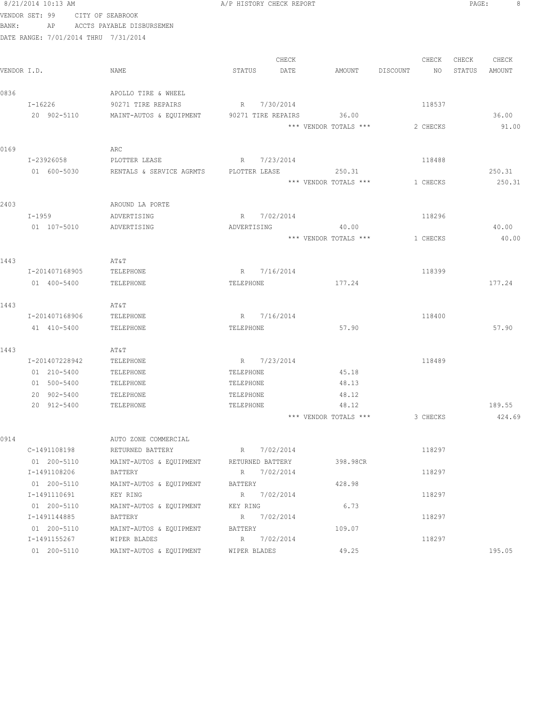|                | 8/21/2014 10:13 AM                   |                                                  | A/P HISTORY CHECK REPORT |             |                                 |                | PAGE:  | 8                |
|----------------|--------------------------------------|--------------------------------------------------|--------------------------|-------------|---------------------------------|----------------|--------|------------------|
| VENDOR SET: 99 |                                      | CITY OF SEABROOK                                 |                          |             |                                 |                |        |                  |
| BANK:          | AP                                   | ACCTS PAYABLE DISBURSEMEN                        |                          |             |                                 |                |        |                  |
|                | DATE RANGE: 7/01/2014 THRU 7/31/2014 |                                                  |                          |             |                                 |                |        |                  |
|                |                                      |                                                  |                          | CHECK       |                                 | CHECK          | CHECK  | CHECK            |
| VENDOR I.D.    |                                      | NAME                                             | STATUS                   | DATE        | AMOUNT                          | DISCOUNT<br>NO | STATUS | AMOUNT           |
| 0836           |                                      | APOLLO TIRE & WHEEL                              |                          |             |                                 |                |        |                  |
|                | I-16226                              | 90271 TIRE REPAIRS                               | R 7/30/2014              |             |                                 | 118537         |        |                  |
|                | 20 902-5110                          | MAINT-AUTOS & EQUIPMENT 90271 TIRE REPAIRS 36.00 |                          |             |                                 |                |        | 36.00            |
|                |                                      |                                                  |                          |             | *** VENDOR TOTALS ***           | 2 CHECKS       |        | 91.00            |
|                |                                      |                                                  |                          |             |                                 |                |        |                  |
| 0169           | I-23926058                           | ARC                                              | R 7/23/2014              |             |                                 | 118488         |        |                  |
|                |                                      | PLOTTER LEASE                                    |                          |             |                                 |                |        |                  |
|                | 01 600-5030                          | RENTALS & SERVICE AGRMTS PLOTTER LEASE           |                          |             | 250.31<br>*** VENDOR TOTALS *** | 1 CHECKS       |        | 250.31<br>250.31 |
|                |                                      |                                                  |                          |             |                                 |                |        |                  |
| 2403           |                                      | AROUND LA PORTE                                  |                          |             |                                 |                |        |                  |
|                | $I - 1959$                           | ADVERTISING                                      |                          | R 7/02/2014 |                                 | 118296         |        |                  |
|                | 01 107-5010                          | ADVERTISING                                      |                          | ADVERTISING | 40.00                           |                |        | 40.00            |
|                |                                      |                                                  |                          |             | *** VENDOR TOTALS ***           | 1 CHECKS       |        | 40.00            |
| 1443           |                                      | AT&T                                             |                          |             |                                 |                |        |                  |
|                | I-201407168905                       | TELEPHONE                                        | R 7/16/2014              |             |                                 | 118399         |        |                  |
|                | 01 400-5400                          | TELEPHONE                                        | TELEPHONE                |             | 177.24                          |                |        | 177.24           |
| 1443           |                                      | AΤ&Τ                                             |                          |             |                                 |                |        |                  |
|                | I-201407168906                       | TELEPHONE                                        | R 7/16/2014              |             |                                 | 118400         |        |                  |
|                | 41 410-5400                          | TELEPHONE                                        | TELEPHONE                |             | 57.90                           |                |        | 57.90            |
|                |                                      |                                                  |                          |             |                                 |                |        |                  |
| 1443           |                                      | AΤ&Τ                                             |                          |             |                                 |                |        |                  |
|                | I-201407228942                       | TELEPHONE                                        | R 7/23/2014              |             |                                 | 118489         |        |                  |
|                | 01 210-5400                          | TELEPHONE                                        | TELEPHONE                |             | 45.18                           |                |        |                  |
|                | 01 500-5400                          | TELEPHONE                                        | TELEPHONE                |             | 48.13                           |                |        |                  |
|                | 20 902-5400                          | TELEPHONE                                        | TELEPHONE                |             | 48.12                           |                |        |                  |
|                | 20 912-5400                          | TELEPHONE                                        | TELEPHONE                |             | 48.12                           |                |        | 189.55           |
|                |                                      |                                                  |                          |             | *** VENDOR TOTALS ***           | 3 CHECKS       |        | 424.69           |
| 0914           |                                      | AUTO ZONE COMMERCIAL                             |                          |             |                                 |                |        |                  |
|                | C-1491108198                         | RETURNED BATTERY                                 |                          | R 7/02/2014 |                                 | 118297         |        |                  |
|                | 01 200-5110                          | MAINT-AUTOS & EQUIPMENT                          | RETURNED BATTERY         |             | 398.98CR                        |                |        |                  |
|                | I-1491108206                         | BATTERY                                          |                          | R 7/02/2014 |                                 | 118297         |        |                  |
|                | 01 200-5110                          | MAINT-AUTOS & EQUIPMENT                          | BATTERY                  |             | 428.98                          |                |        |                  |
|                | I-1491110691                         | KEY RING                                         |                          | R 7/02/2014 |                                 | 118297         |        |                  |
|                | 01 200-5110                          | MAINT-AUTOS & EQUIPMENT                          | KEY RING                 |             | 6.73                            |                |        |                  |
|                | I-1491144885                         | BATTERY                                          |                          | R 7/02/2014 |                                 | 118297         |        |                  |
|                | 01 200-5110                          | MAINT-AUTOS & EQUIPMENT                          | BATTERY                  |             | 109.07                          |                |        |                  |
|                | I-1491155267                         | WIPER BLADES                                     |                          | R 7/02/2014 |                                 | 118297         |        |                  |
|                | 01 200-5110                          | MAINT-AUTOS & EQUIPMENT                          | WIPER BLADES             |             | 49.25                           |                |        | 195.05           |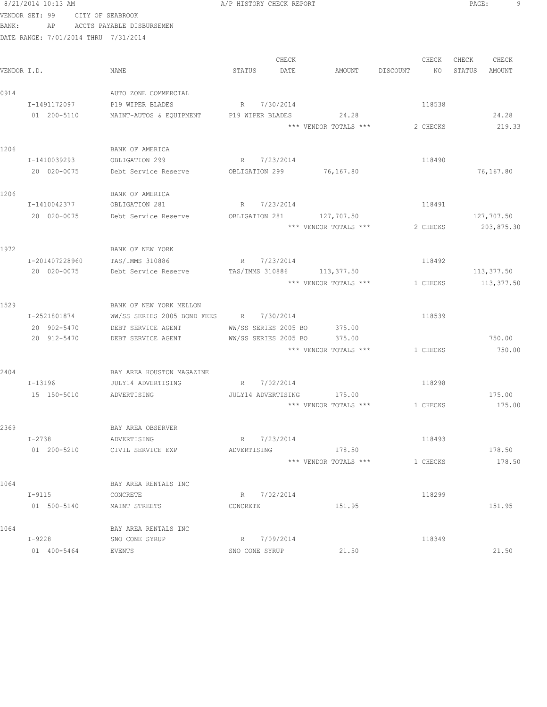|       | 8/21/2014 10:13 AM                   |                                                 | A/P HISTORY CHECK REPORT  |                       |          | PAGE:<br>9       |
|-------|--------------------------------------|-------------------------------------------------|---------------------------|-----------------------|----------|------------------|
|       | VENDOR SET: 99                       | CITY OF SEABROOK                                |                           |                       |          |                  |
| BANK: |                                      | AP ACCTS PAYABLE DISBURSEMEN                    |                           |                       |          |                  |
|       | DATE RANGE: 7/01/2014 THRU 7/31/2014 |                                                 |                           |                       |          |                  |
|       |                                      |                                                 |                           |                       |          |                  |
|       |                                      |                                                 | CHECK                     |                       | CHECK    | CHECK<br>CHECK   |
|       | VENDOR I.D.                          | NAME                                            | STATUS<br>DATE            | AMOUNT DISCOUNT       | NO       | STATUS<br>AMOUNT |
|       |                                      |                                                 |                           |                       |          |                  |
| 0914  |                                      | AUTO ZONE COMMERCIAL                            |                           |                       |          |                  |
|       | I-1491172097                         | P19 WIPER BLADES                                | R 7/30/2014               |                       | 118538   |                  |
|       | 01 200-5110                          | MAINT-AUTOS & EQUIPMENT                         | P19 WIPER BLADES          | 24.28                 |          | 24.28            |
|       |                                      |                                                 |                           | *** VENDOR TOTALS *** | 2 CHECKS | 219.33           |
| 1206  |                                      | BANK OF AMERICA                                 |                           |                       |          |                  |
|       | I-1410039293                         | OBLIGATION 299                                  | R 7/23/2014               |                       | 118490   |                  |
|       | 20 020-0075                          | Debt Service Reserve                            | OBLIGATION 299 76,167.80  |                       |          | 76,167.80        |
|       |                                      |                                                 |                           |                       |          |                  |
| 1206  |                                      | BANK OF AMERICA                                 |                           |                       |          |                  |
|       | I-1410042377                         | OBLIGATION 281                                  | R 7/23/2014               |                       | 118491   |                  |
|       | 20 020-0075                          | Debt Service Reserve                            | OBLIGATION 281 127,707.50 |                       |          | 127,707.50       |
|       |                                      |                                                 |                           | *** VENDOR TOTALS *** | 2 CHECKS | 203,875.30       |
|       |                                      |                                                 |                           |                       |          |                  |
| 1972  |                                      | BANK OF NEW YORK                                |                           |                       |          |                  |
|       | I-201407228960                       | TAS/IMMS 310886                                 | R 7/23/2014               |                       | 118492   |                  |
|       | 20 020-0075                          | Debt Service Reserve TAS/IMMS 310886 113,377.50 |                           |                       |          | 113,377.50       |
|       |                                      |                                                 |                           | *** VENDOR TOTALS *** | 1 CHECKS | 113, 377.50      |
|       |                                      |                                                 |                           |                       |          |                  |
| 1529  |                                      | BANK OF NEW YORK MELLON                         |                           |                       |          |                  |
|       | I-2521801874                         | WW/SS SERIES 2005 BOND FEES R 7/30/2014         |                           |                       | 118539   |                  |
|       | 20 902-5470                          | DEBT SERVICE AGENT                              | WW/SS SERIES 2005 BO      | 375.00                |          |                  |
|       | 20 912-5470                          | DEBT SERVICE AGENT                              | WW/SS SERIES 2005 BO      | 375.00                |          | 750.00           |
|       |                                      |                                                 |                           | *** VENDOR TOTALS *** | 1 CHECKS | 750.00           |
|       |                                      |                                                 |                           |                       |          |                  |
| 2404  |                                      | BAY AREA HOUSTON MAGAZINE                       |                           |                       |          |                  |
|       | $I - 13196$                          | JULY14 ADVERTISING                              | R 7/02/2014               |                       | 118298   |                  |
|       | 15 150-5010                          | ADVERTISING                                     | JULY14 ADVERTISING 175.00 | *** VENDOR TOTALS *** |          | 175.00<br>175.00 |
|       |                                      |                                                 |                           |                       | 1 CHECKS |                  |
| 2369  |                                      | BAY AREA OBSERVER                               |                           |                       |          |                  |
|       | I-2738                               | ADVERTISING                                     | R 7/23/2014               |                       | 118493   |                  |
|       | 01 200-5210                          | CIVIL SERVICE EXP                               | ADVERTISING               | 178.50                |          | 178.50           |
|       |                                      |                                                 |                           | *** VENDOR TOTALS *** | 1 CHECKS | 178.50           |
|       |                                      |                                                 |                           |                       |          |                  |
| 1064  |                                      | BAY AREA RENTALS INC                            |                           |                       |          |                  |
|       | $I - 9115$                           | CONCRETE                                        | R 7/02/2014               |                       | 118299   |                  |
|       | 01 500-5140                          | MAINT STREETS                                   | CONCRETE                  | 151.95                |          | 151.95           |
|       |                                      |                                                 |                           |                       |          |                  |
| 1064  |                                      | BAY AREA RENTALS INC                            |                           |                       |          |                  |
|       | I-9228                               | SNO CONE SYRUP                                  | R 7/09/2014               |                       | 118349   |                  |
|       | 01 400-5464                          | EVENTS                                          | SNO CONE SYRUP            | 21.50                 |          | 21.50            |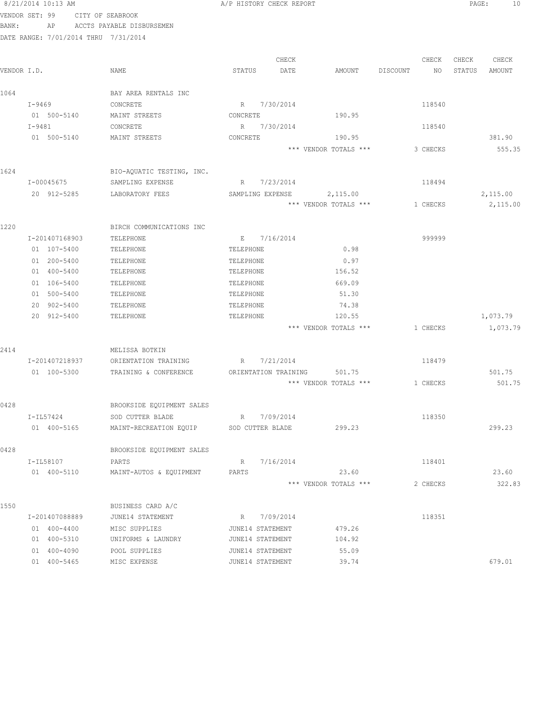|       | 8/21/2014 10:13 AM                   |                           | A/P HISTORY CHECK REPORT     |                                   |                | PAGE:<br>10      |
|-------|--------------------------------------|---------------------------|------------------------------|-----------------------------------|----------------|------------------|
|       | VENDOR SET: 99                       | CITY OF SEABROOK          |                              |                                   |                |                  |
| BANK: | AP                                   | ACCTS PAYABLE DISBURSEMEN |                              |                                   |                |                  |
|       | DATE RANGE: 7/01/2014 THRU 7/31/2014 |                           |                              |                                   |                |                  |
|       |                                      |                           |                              |                                   |                |                  |
|       |                                      |                           | CHECK                        |                                   | CHECK          | CHECK<br>CHECK   |
|       | VENDOR I.D.                          | NAME                      | STATUS<br>DATE               | AMOUNT                            | DISCOUNT<br>NO | STATUS<br>AMOUNT |
|       |                                      |                           |                              |                                   |                |                  |
| 1064  |                                      | BAY AREA RENTALS INC      |                              |                                   |                |                  |
|       | I-9469                               | CONCRETE                  | R 7/30/2014                  |                                   | 118540         |                  |
|       | 01 500-5140                          | MAINT STREETS             | CONCRETE                     | 190.95                            |                |                  |
|       | I-9481                               | CONCRETE                  | R 7/30/2014                  |                                   | 118540         |                  |
|       | 01 500-5140                          | MAINT STREETS             | CONCRETE                     | 190.95                            |                | 381.90           |
|       |                                      |                           |                              | *** VENDOR TOTALS ***             | 3 CHECKS       | 555.35           |
|       |                                      |                           |                              |                                   |                |                  |
| 1624  |                                      | BIO-AQUATIC TESTING, INC. | R 7/23/2014                  |                                   |                |                  |
|       | I-00045675                           | SAMPLING EXPENSE          |                              |                                   | 118494         |                  |
|       | 20 912-5285                          | LABORATORY FEES           | SAMPLING EXPENSE             | 2,115.00<br>*** VENDOR TOTALS *** |                | 2,115.00         |
|       |                                      |                           |                              |                                   | 1 CHECKS       | 2,115.00         |
| 1220  |                                      | BIRCH COMMUNICATIONS INC  |                              |                                   |                |                  |
|       | I-201407168903                       | TELEPHONE                 | E 7/16/2014                  |                                   | 999999         |                  |
|       | 01 107-5400                          | TELEPHONE                 | TELEPHONE                    | 0.98                              |                |                  |
|       | 01 200-5400                          | TELEPHONE                 | TELEPHONE                    | 0.97                              |                |                  |
|       | 01 400-5400                          | TELEPHONE                 | TELEPHONE                    | 156.52                            |                |                  |
|       | 01 106-5400                          | TELEPHONE                 | TELEPHONE                    | 669.09                            |                |                  |
|       | 01 500-5400                          | TELEPHONE                 | TELEPHONE                    | 51.30                             |                |                  |
|       | 20 902-5400                          | TELEPHONE                 | TELEPHONE                    | 74.38                             |                |                  |
|       | 20 912-5400                          | TELEPHONE                 | TELEPHONE                    | 120.55                            |                | 1,073.79         |
|       |                                      |                           |                              | *** VENDOR TOTALS ***             | 1 CHECKS       | 1,073.79         |
|       |                                      |                           |                              |                                   |                |                  |
| 2414  |                                      | MELISSA BOTKIN            |                              |                                   |                |                  |
|       | I-201407218937                       | ORIENTATION TRAINING      | R 7/21/2014                  |                                   | 118479         |                  |
|       | 01 100-5300                          | TRAINING & CONFERENCE     | ORIENTATION TRAINING         | 501.75                            |                | 501.75           |
|       |                                      |                           |                              | *** VENDOR TOTALS ***             | 1 CHECKS       | 501.75           |
|       |                                      |                           |                              |                                   |                |                  |
| 0428  |                                      | BROOKSIDE EQUIPMENT SALES |                              |                                   |                |                  |
|       | I-IL57424                            | SOD CUTTER BLADE          | 7/09/2014<br>R               |                                   | 118350         |                  |
|       | 01 400-5165                          | MAINT-RECREATION EQUIP    | SOD CUTTER BLADE             | 299.23                            |                | 299.23           |
|       |                                      |                           |                              |                                   |                |                  |
| 0428  |                                      | BROOKSIDE EQUIPMENT SALES |                              |                                   |                |                  |
|       | I-IL58107                            | PARTS                     | 7/16/2014<br>$R_{\parallel}$ |                                   | 118401         |                  |
|       | 01 400-5110                          | MAINT-AUTOS & EQUIPMENT   | PARTS                        | 23.60                             |                | 23.60            |
|       |                                      |                           |                              | *** VENDOR TOTALS ***             | 2 CHECKS       | 322.83           |
|       |                                      |                           |                              |                                   |                |                  |
| 1550  |                                      | BUSINESS CARD A/C         |                              |                                   |                |                  |
|       | I-201407088889                       | JUNE14 STATEMENT          | 7/09/2014<br>R               |                                   | 118351         |                  |
|       | 01 400-4400                          | MISC SUPPLIES             | JUNE14 STATEMENT             | 479.26                            |                |                  |
|       | 01 400-5310                          | UNIFORMS & LAUNDRY        | JUNE14 STATEMENT             | 104.92                            |                |                  |
|       | 01 400-4090                          | POOL SUPPLIES             | JUNE14 STATEMENT             | 55.09                             |                |                  |
|       | 01 400-5465                          | MISC EXPENSE              | JUNE14 STATEMENT             | 39.74                             |                | 679.01           |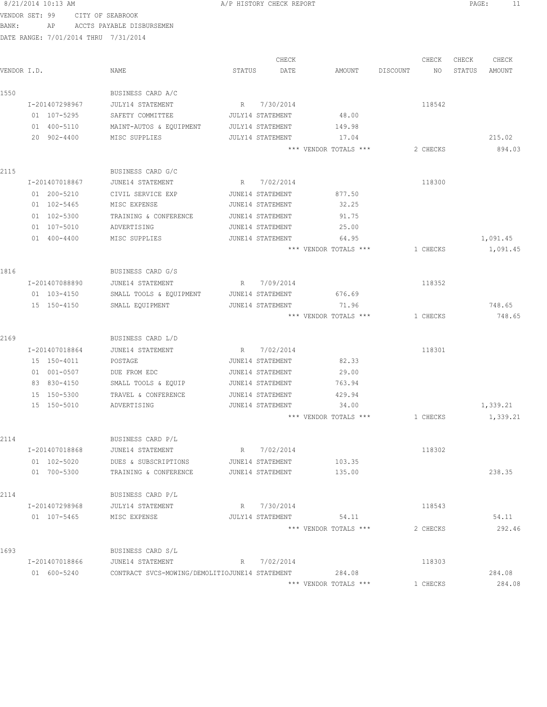| VENDOR SET: 99 |                                      | CITY OF SEABROOK                               |        |                         |                       |                         |                                    |
|----------------|--------------------------------------|------------------------------------------------|--------|-------------------------|-----------------------|-------------------------|------------------------------------|
| BANK:          | ΑP                                   | ACCTS PAYABLE DISBURSEMEN                      |        |                         |                       |                         |                                    |
|                | DATE RANGE: 7/01/2014 THRU 7/31/2014 |                                                |        |                         |                       |                         |                                    |
|                |                                      |                                                |        |                         |                       |                         |                                    |
| VENDOR I.D.    |                                      | NAME                                           | STATUS | CHECK<br>DATE           | AMOUNT                | CHECK<br>DISCOUNT<br>NO | CHECK<br>CHECK<br>STATUS<br>AMOUNT |
|                |                                      |                                                |        |                         |                       |                         |                                    |
| 1550           |                                      | BUSINESS CARD A/C                              |        |                         |                       |                         |                                    |
|                | I-201407298967                       | JULY14 STATEMENT                               |        | R 7/30/2014             |                       | 118542                  |                                    |
|                | 01 107-5295                          | SAFETY COMMITTEE                               |        | <b>JULY14 STATEMENT</b> | 48.00                 |                         |                                    |
|                | 01 400-5110                          | MAINT-AUTOS & EQUIPMENT                        |        | JULY14 STATEMENT        | 149.98                |                         |                                    |
|                | 20 902-4400                          | MISC SUPPLIES                                  |        | <b>JULY14 STATEMENT</b> | 17.04                 |                         | 215.02                             |
|                |                                      |                                                |        |                         | *** VENDOR TOTALS *** | 2 CHECKS                | 894.03                             |
|                |                                      |                                                |        |                         |                       |                         |                                    |
| 2115           | I-201407018867                       | BUSINESS CARD G/C<br>JUNE14 STATEMENT          |        | R 7/02/2014             |                       | 118300                  |                                    |
|                | 01 200-5210                          | CIVIL SERVICE EXP                              |        | JUNE14 STATEMENT        | 877.50                |                         |                                    |
|                | 01 102-5465                          | MISC EXPENSE                                   |        | JUNE14 STATEMENT        | 32.25                 |                         |                                    |
|                | 01 102-5300                          | TRAINING & CONFERENCE                          |        | JUNE14 STATEMENT        | 91.75                 |                         |                                    |
|                | 01 107-5010                          | ADVERTISING                                    |        | JUNE14 STATEMENT        | 25.00                 |                         |                                    |
|                | 01 400-4400                          | MISC SUPPLIES                                  |        | JUNE14 STATEMENT        | 64.95                 |                         | 1,091.45                           |
|                |                                      |                                                |        |                         | *** VENDOR TOTALS *** | 1 CHECKS                | 1,091.45                           |
|                |                                      |                                                |        |                         |                       |                         |                                    |
| 1816           |                                      | BUSINESS CARD G/S                              |        |                         |                       |                         |                                    |
|                | I-201407088890                       | JUNE14 STATEMENT                               | R      | 7/09/2014               |                       | 118352                  |                                    |
|                | 01 103-4150                          | SMALL TOOLS & EQUIPMENT                        |        | JUNE14 STATEMENT        | 676.69                |                         |                                    |
|                | 15 150-4150                          | SMALL EQUIPMENT                                |        | JUNE14 STATEMENT        | 71.96                 |                         | 748.65                             |
|                |                                      |                                                |        |                         | *** VENDOR TOTALS *** | 1 CHECKS                | 748.65                             |
| 2169           |                                      | BUSINESS CARD L/D                              |        |                         |                       |                         |                                    |
|                | I-201407018864                       | JUNE14 STATEMENT                               |        | R 7/02/2014             |                       | 118301                  |                                    |
|                | 15 150-4011                          | POSTAGE                                        |        | JUNE14 STATEMENT        | 82.33                 |                         |                                    |
|                | 01 001-0507                          | DUE FROM EDC                                   |        | JUNE14 STATEMENT        | 29.00                 |                         |                                    |
|                | 83 830-4150                          | SMALL TOOLS & EQUIP                            |        | JUNE14 STATEMENT        | 763.94                |                         |                                    |
|                | 15 150-5300                          | TRAVEL & CONFERENCE                            |        | JUNE14 STATEMENT        | 429.94                |                         |                                    |
|                | 15 150-5010                          | ADVERTISING                                    |        | JUNE14 STATEMENT        | 34.00                 |                         | 1,339.21                           |
|                |                                      |                                                |        |                         | *** VENDOR TOTALS *** | 1 CHECKS                | 1,339.21                           |
| 2114           |                                      | BUSINESS CARD P/L                              |        |                         |                       |                         |                                    |
|                | I-201407018868                       | JUNE14 STATEMENT                               |        | R 7/02/2014             |                       | 118302                  |                                    |
|                | 01 102-5020                          | DUES & SUBSCRIPTIONS                           |        | JUNE14 STATEMENT        | 103.35                |                         |                                    |
|                | 01 700-5300                          | TRAINING & CONFERENCE                          |        | JUNE14 STATEMENT        | 135.00                |                         | 238.35                             |
|                |                                      |                                                |        |                         |                       |                         |                                    |
| 2114           |                                      | BUSINESS CARD P/L                              |        |                         |                       |                         |                                    |
|                | I-201407298968                       | JULY14 STATEMENT                               |        | R 7/30/2014             |                       | 118543                  |                                    |
|                | 01 107-5465                          | MISC EXPENSE                                   |        | JULY14 STATEMENT        | 54.11                 |                         | 54.11                              |
|                |                                      |                                                |        |                         | *** VENDOR TOTALS *** | 2 CHECKS                | 292.46                             |
| 1693           |                                      | BUSINESS CARD S/L                              |        |                         |                       |                         |                                    |
|                | I-201407018866                       | JUNE14 STATEMENT                               |        | R 7/02/2014             |                       | 118303                  |                                    |
|                | 01 600-5240                          | CONTRACT SVCS-MOWING/DEMOLITIOJUNE14 STATEMENT |        |                         | 284.08                |                         | 284.08                             |
|                |                                      |                                                |        |                         | *** VENDOR TOTALS *** | 1 CHECKS                | 284.08                             |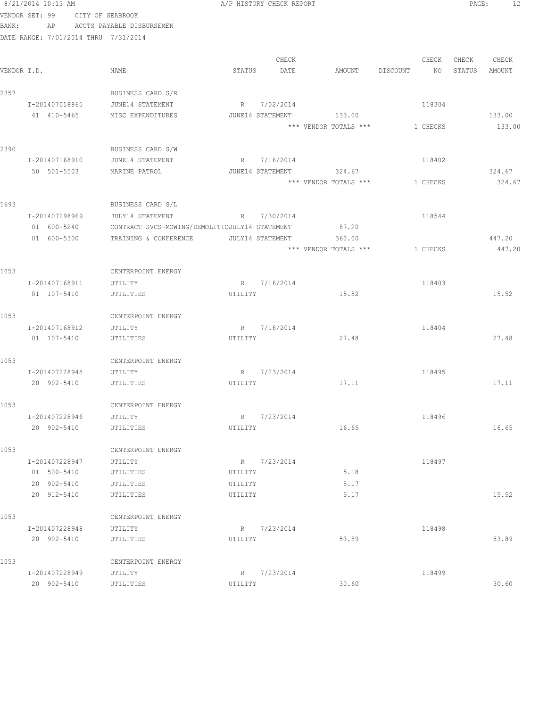|             | 8/21/2014 10:13 AM                   |                                                |         | A/P HISTORY CHECK REPORT        |                       |          |          | PAGE:  | 12     |
|-------------|--------------------------------------|------------------------------------------------|---------|---------------------------------|-----------------------|----------|----------|--------|--------|
|             | VENDOR SET: 99                       | CITY OF SEABROOK                               |         |                                 |                       |          |          |        |        |
| BANK:       | AP                                   | ACCTS PAYABLE DISBURSEMEN                      |         |                                 |                       |          |          |        |        |
|             | DATE RANGE: 7/01/2014 THRU 7/31/2014 |                                                |         |                                 |                       |          |          |        |        |
|             |                                      |                                                |         |                                 |                       |          |          |        |        |
|             |                                      |                                                |         | CHECK                           |                       |          | CHECK    | CHECK  | CHECK  |
| VENDOR I.D. |                                      | NAME                                           | STATUS  | DATE                            | AMOUNT                | DISCOUNT | NO       | STATUS | AMOUNT |
|             |                                      |                                                |         |                                 |                       |          |          |        |        |
| 2357        |                                      | BUSINESS CARD S/R                              |         |                                 |                       |          |          |        |        |
|             | I-201407018865<br>41 410-5465        | JUNE14 STATEMENT<br>MISC EXPENDITURES          |         | R 7/02/2014<br>JUNE14 STATEMENT | 133.00                |          | 118304   |        | 133.00 |
|             |                                      |                                                |         |                                 | *** VENDOR TOTALS *** |          | 1 CHECKS |        | 133.00 |
|             |                                      |                                                |         |                                 |                       |          |          |        |        |
| 2390        |                                      | BUSINESS CARD S/W                              |         |                                 |                       |          |          |        |        |
|             | I-201407168910                       | JUNE14 STATEMENT                               |         | R 7/16/2014                     |                       |          | 118402   |        |        |
|             | 50 501-5503                          | MARINE PATROL                                  |         | JUNE14 STATEMENT                | 324.67                |          |          |        | 324.67 |
|             |                                      |                                                |         |                                 | *** VENDOR TOTALS *** |          | 1 CHECKS |        | 324.67 |
|             |                                      |                                                |         |                                 |                       |          |          |        |        |
| 1693        |                                      | BUSINESS CARD S/L                              |         |                                 |                       |          |          |        |        |
|             | I-201407298969                       | JULY14 STATEMENT                               |         | R 7/30/2014                     |                       |          | 118544   |        |        |
|             | 01 600-5240                          | CONTRACT SVCS-MOWING/DEMOLITIOJULY14 STATEMENT |         |                                 | 87.20                 |          |          |        |        |
|             | 01 600-5300                          | TRAINING & CONFERENCE                          |         | JULY14 STATEMENT                | 360.00                |          |          |        | 447.20 |
|             |                                      |                                                |         |                                 | *** VENDOR TOTALS *** |          | 1 CHECKS |        | 447.20 |
|             |                                      |                                                |         |                                 |                       |          |          |        |        |
| 1053        |                                      | CENTERPOINT ENERGY                             |         |                                 |                       |          | 118403   |        |        |
|             | I-201407168911<br>01 107-5410        | UTILITY<br>UTILITIES                           | UTILITY | R 7/16/2014                     | 15.52                 |          |          |        | 15.52  |
|             |                                      |                                                |         |                                 |                       |          |          |        |        |
| 1053        |                                      | CENTERPOINT ENERGY                             |         |                                 |                       |          |          |        |        |
|             | I-201407168912                       | UTILITY                                        |         | R 7/16/2014                     |                       |          | 118404   |        |        |
|             | 01 107-5410                          | UTILITIES                                      | UTILITY |                                 | 27.48                 |          |          |        | 27.48  |
|             |                                      |                                                |         |                                 |                       |          |          |        |        |
| 1053        |                                      | CENTERPOINT ENERGY                             |         |                                 |                       |          |          |        |        |
|             | I-201407228945                       | UTILITY                                        |         | R 7/23/2014                     |                       |          | 118495   |        |        |
|             | 20 902-5410                          | UTILITIES                                      | UTILITY |                                 | 17.11                 |          |          |        | 17.11  |
|             |                                      |                                                |         |                                 |                       |          |          |        |        |
| 1053        |                                      | CENTERPOINT ENERGY                             |         |                                 |                       |          |          |        |        |
|             | I-201407228946<br>20 902-5410        | UTILITY<br>UTILITIES                           | R       | 7/23/2014                       | 16.65                 |          | 118496   |        | 16.65  |
|             |                                      |                                                | UTILITY |                                 |                       |          |          |        |        |
| 1053        |                                      | CENTERPOINT ENERGY                             |         |                                 |                       |          |          |        |        |
|             | I-201407228947                       | UTILITY                                        |         | R 7/23/2014                     |                       |          | 118497   |        |        |
|             | 01 500-5410                          | UTILITIES                                      | UTILITY |                                 | 5.18                  |          |          |        |        |
|             | 20 902-5410                          | UTILITIES                                      | UTILITY |                                 | 5.17                  |          |          |        |        |
|             | 20 912-5410                          | UTILITIES                                      | UTILITY |                                 | 5.17                  |          |          |        | 15.52  |
|             |                                      |                                                |         |                                 |                       |          |          |        |        |
| 1053        |                                      | CENTERPOINT ENERGY                             |         |                                 |                       |          |          |        |        |
|             | I-201407228948                       | UTILITY                                        |         | R 7/23/2014                     |                       |          | 118498   |        |        |
|             | 20 902-5410                          | UTILITIES                                      | UTILITY |                                 | 53.89                 |          |          |        | 53.89  |
|             |                                      |                                                |         |                                 |                       |          |          |        |        |
| 1053        |                                      | CENTERPOINT ENERGY                             |         |                                 |                       |          |          |        |        |
|             | I-201407228949<br>20 902-5410        | UTILITY                                        | UTILITY | R 7/23/2014                     | 30.60                 |          | 118499   |        | 30.60  |
|             |                                      | UTILITIES                                      |         |                                 |                       |          |          |        |        |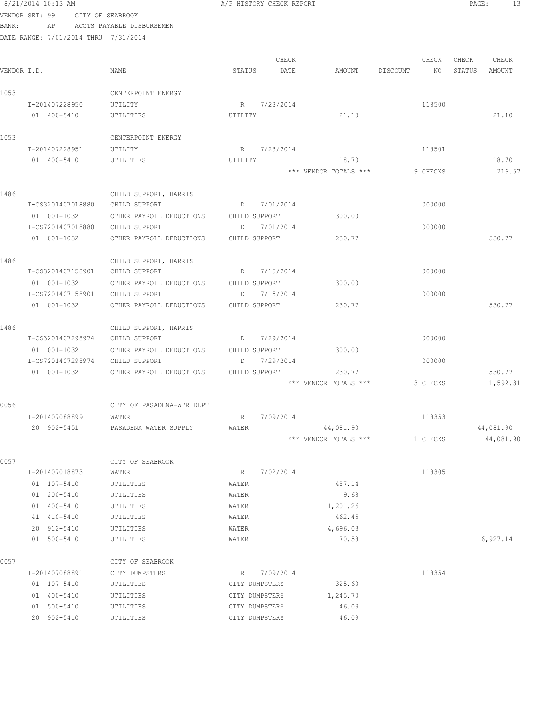|             | 8/21/2014 10:13 AM                   |                                                    | A/P HISTORY CHECK REPORT |                       |                | PAGE:<br>13      |
|-------------|--------------------------------------|----------------------------------------------------|--------------------------|-----------------------|----------------|------------------|
|             | VENDOR SET: 99                       | CITY OF SEABROOK                                   |                          |                       |                |                  |
| BANK:       | AP                                   | ACCTS PAYABLE DISBURSEMEN                          |                          |                       |                |                  |
|             | DATE RANGE: 7/01/2014 THRU 7/31/2014 |                                                    |                          |                       |                |                  |
|             |                                      |                                                    |                          |                       |                |                  |
|             |                                      |                                                    | CHECK                    |                       | CHECK          | CHECK<br>CHECK   |
| VENDOR I.D. |                                      | NAME                                               | STATUS<br>DATE           | AMOUNT                | DISCOUNT<br>NO | STATUS<br>AMOUNT |
| 1053        |                                      | CENTERPOINT ENERGY                                 |                          |                       |                |                  |
|             | I-201407228950                       | UTILITY                                            | R 7/23/2014              |                       | 118500         |                  |
|             | 01 400-5410                          | UTILITIES                                          | UTILITY                  | 21.10                 |                | 21.10            |
|             |                                      |                                                    |                          |                       |                |                  |
| 1053        |                                      | CENTERPOINT ENERGY                                 |                          |                       |                |                  |
|             | I-201407228951                       | UTILITY                                            | R 7/23/2014              |                       | 118501         |                  |
|             | 01 400-5410                          | UTILITIES                                          | UTILITY                  | 18.70                 |                | 18.70            |
|             |                                      |                                                    |                          | *** VENDOR TOTALS *** | 9 CHECKS       | 216.57           |
|             |                                      |                                                    |                          |                       |                |                  |
| 1486        | I-CS3201407018880                    | CHILD SUPPORT, HARRIS<br>CHILD SUPPORT             | D 7/01/2014              |                       | 000000         |                  |
|             | 01 001-1032                          | OTHER PAYROLL DEDUCTIONS                           | CHILD SUPPORT            | 300.00                |                |                  |
|             | I-CS7201407018880                    | CHILD SUPPORT                                      | 7/01/2014<br>D           |                       | 000000         |                  |
|             | 01 001-1032                          | OTHER PAYROLL DEDUCTIONS                           | CHILD SUPPORT            | 230.77                |                | 530.77           |
|             |                                      |                                                    |                          |                       |                |                  |
| 1486        |                                      | CHILD SUPPORT, HARRIS                              |                          |                       |                |                  |
|             | I-CS3201407158901                    | CHILD SUPPORT                                      | 7/15/2014<br>D           |                       | 000000         |                  |
|             | 01 001-1032                          | OTHER PAYROLL DEDUCTIONS                           | CHILD SUPPORT            | 300.00                |                |                  |
|             | I-CS7201407158901                    | CHILD SUPPORT                                      | D<br>7/15/2014           |                       | 000000         |                  |
|             | 01 001-1032                          | OTHER PAYROLL DEDUCTIONS                           | CHILD SUPPORT            | 230.77                |                | 530.77           |
| 1486        |                                      |                                                    |                          |                       |                |                  |
|             | I-CS3201407298974                    | CHILD SUPPORT, HARRIS<br>CHILD SUPPORT             | D 7/29/2014              |                       | 000000         |                  |
|             | 01 001-1032                          | OTHER PAYROLL DEDUCTIONS                           | CHILD SUPPORT            | 300.00                |                |                  |
|             | I-CS7201407298974                    | CHILD SUPPORT                                      | 7/29/2014<br>D           |                       | 000000         |                  |
|             |                                      | 01 001-1032 OTHER PAYROLL DEDUCTIONS CHILD SUPPORT |                          | 230.77                |                | 530.77           |
|             |                                      |                                                    |                          | *** VENDOR TOTALS *** | 3 CHECKS       | 1,592.31         |
|             |                                      |                                                    |                          |                       |                |                  |
| 0056        |                                      | CITY OF PASADENA-WTR DEPT                          |                          |                       |                |                  |
|             | I-201407088899<br>20 902-5451        | WATER<br>PASADENA WATER SUPPLY                     | 7/09/2014<br>R<br>WATER  | 44,081.90             | 118353         | 44,081.90        |
|             |                                      |                                                    |                          | *** VENDOR TOTALS *** | 1 CHECKS       | 44,081.90        |
|             |                                      |                                                    |                          |                       |                |                  |
| 0057        |                                      | CITY OF SEABROOK                                   |                          |                       |                |                  |
|             | I-201407018873                       | WATER                                              | 7/02/2014<br>R           |                       | 118305         |                  |
|             | 01 107-5410                          | UTILITIES                                          | WATER                    | 487.14                |                |                  |
|             | 01 200-5410                          | UTILITIES                                          | WATER                    | 9.68                  |                |                  |
|             | 01 400-5410                          | UTILITIES                                          | WATER                    | 1,201.26              |                |                  |
|             | 41 410-5410                          | UTILITIES                                          | WATER                    | 462.45                |                |                  |
|             | 20 912-5410<br>01 500-5410           | UTILITIES<br>UTILITIES                             | WATER<br>WATER           | 4,696.03<br>70.58     |                | 6,927.14         |
|             |                                      |                                                    |                          |                       |                |                  |
| 0057        |                                      | CITY OF SEABROOK                                   |                          |                       |                |                  |
|             | I-201407088891                       | CITY DUMPSTERS                                     | 7/09/2014<br>R           |                       | 118354         |                  |
|             | 01 107-5410                          | UTILITIES                                          | CITY DUMPSTERS           | 325.60                |                |                  |
|             | 01 400-5410                          | UTILITIES                                          | CITY DUMPSTERS           | 1,245.70              |                |                  |
|             | 01 500-5410                          | UTILITIES                                          | CITY DUMPSTERS           | 46.09                 |                |                  |
|             | 20 902-5410                          | UTILITIES                                          | CITY DUMPSTERS           | 46.09                 |                |                  |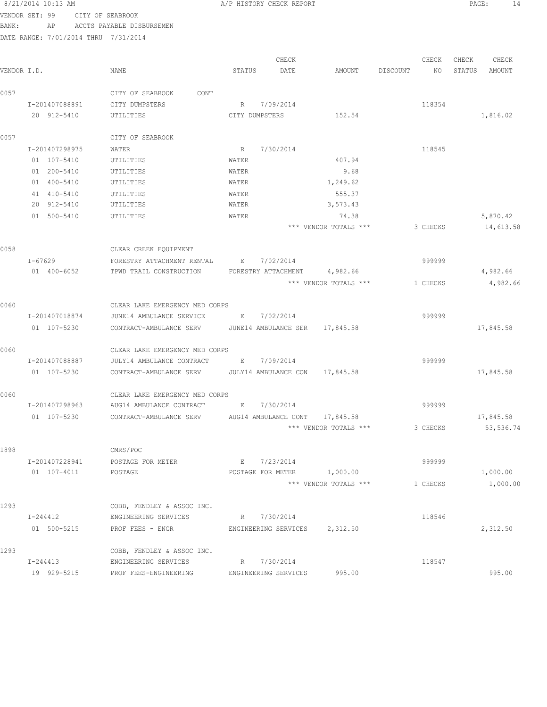| VENDOR SET: 99<br>BANK: |             |                | CITY OF SEABROOK | AP ACCTS PAYABLE DISBURSEMEN                           |      |                                                |                |                                |          |          |        |            |
|-------------------------|-------------|----------------|------------------|--------------------------------------------------------|------|------------------------------------------------|----------------|--------------------------------|----------|----------|--------|------------|
|                         |             |                |                  | DATE RANGE: 7/01/2014 THRU 7/31/2014                   |      |                                                |                |                                |          |          |        |            |
|                         |             |                |                  |                                                        |      |                                                |                |                                |          |          |        |            |
|                         |             |                |                  |                                                        |      |                                                | CHECK          |                                |          | CHECK    | CHECK  | CHECK      |
| VENDOR I.D.             |             |                |                  | NAME                                                   |      | STATUS                                         | DATE           | AMOUNT                         | DISCOUNT | NO       | STATUS | AMOUNT     |
| 0057                    |             |                |                  | CITY OF SEABROOK                                       | CONT |                                                |                |                                |          |          |        |            |
|                         |             | I-201407088891 |                  | CITY DUMPSTERS                                         |      |                                                | R 7/09/2014    |                                |          | 118354   |        |            |
|                         |             | 20 912-5410    |                  | UTILITIES                                              |      |                                                | CITY DUMPSTERS | 152.54                         |          |          |        | 1,816.02   |
| 0057                    |             |                |                  | CITY OF SEABROOK                                       |      |                                                |                |                                |          |          |        |            |
|                         |             | I-201407298975 |                  | WATER                                                  |      | R                                              | 7/30/2014      |                                |          | 118545   |        |            |
|                         |             | 01 107-5410    |                  | UTILITIES                                              |      | WATER                                          |                | 407.94                         |          |          |        |            |
|                         |             | 01 200-5410    |                  | UTILITIES                                              |      | WATER                                          |                | 9.68                           |          |          |        |            |
|                         |             | 01 400-5410    |                  | UTILITIES                                              |      | WATER                                          |                | 1,249.62                       |          |          |        |            |
|                         |             | 41 410-5410    |                  | UTILITIES                                              |      | WATER                                          |                | 555.37                         |          |          |        |            |
|                         |             | 20 912-5410    |                  | UTILITIES                                              |      | WATER                                          |                | 3,573.43                       |          |          |        |            |
|                         |             | 01 500-5410    |                  | UTILITIES                                              |      | WATER                                          |                | 74.38                          |          |          |        | 5,870.42   |
|                         |             |                |                  |                                                        |      |                                                |                | *** VENDOR TOTALS ***          |          | 3 CHECKS |        | 14,613.58  |
| 0058                    |             |                |                  | CLEAR CREEK EQUIPMENT                                  |      |                                                |                |                                |          |          |        |            |
|                         | $I - 67629$ |                |                  | FORESTRY ATTACHMENT RENTAL                             |      | $\mathbf{E}$ and $\mathbf{E}$ and $\mathbf{E}$ | 7/02/2014      |                                |          | 999999   |        |            |
|                         |             | 01 400-6052    |                  | TPWD TRAIL CONSTRUCTION                                |      |                                                |                | FORESTRY ATTACHMENT 4,982.66   |          |          |        | 4,982.66   |
|                         |             |                |                  |                                                        |      |                                                |                | *** VENDOR TOTALS ***          |          | 1 CHECKS |        | 4,982.66   |
| 0060                    |             |                |                  | CLEAR LAKE EMERGENCY MED CORPS                         |      |                                                |                |                                |          |          |        |            |
|                         |             | I-201407018874 |                  | JUNE14 AMBULANCE SERVICE                               |      |                                                | E 7/02/2014    |                                |          | 999999   |        |            |
|                         |             | 01 107-5230    |                  | CONTRACT-AMBULANCE SERV JUNE14 AMBULANCE SER 17,845.58 |      |                                                |                |                                |          |          |        | 17,845.58  |
| 0060                    |             |                |                  | CLEAR LAKE EMERGENCY MED CORPS                         |      |                                                |                |                                |          |          |        |            |
|                         |             | I-201407088887 |                  | JULY14 AMBULANCE CONTRACT E 7/09/2014                  |      |                                                |                |                                |          | 999999   |        |            |
|                         |             | 01 107-5230    |                  | CONTRACT-AMBULANCE SERV JULY14 AMBULANCE CON           |      |                                                |                | 17,845.58                      |          |          |        | 17,845.58  |
| 0060                    |             |                |                  | CLEAR LAKE EMERGENCY MED CORPS                         |      |                                                |                |                                |          |          |        |            |
|                         |             | I-201407298963 |                  | AUG14 AMBULANCE CONTRACT B 7/30/2014                   |      |                                                |                |                                |          | 999999   |        |            |
|                         |             | 01 107-5230    |                  | CONTRACT-AMBULANCE SERV                                |      |                                                |                | AUG14 AMBULANCE CONT 17,845.58 |          |          |        | 17,845.58  |
|                         |             |                |                  |                                                        |      |                                                |                | *** VENDOR TOTALS ***          |          | 3 CHECKS |        | 53, 536.74 |
|                         |             |                |                  |                                                        |      |                                                |                |                                |          |          |        |            |
| 1898                    |             |                |                  | CMRS/POC                                               |      |                                                |                |                                |          |          |        |            |
|                         |             | I-201407228941 |                  | POSTAGE FOR METER                                      |      |                                                | E 7/23/2014    |                                |          | 999999   |        |            |
|                         |             | 01 107-4011    |                  | POSTAGE                                                |      |                                                |                | POSTAGE FOR METER 1,000.00     |          |          |        | 1,000.00   |
|                         |             |                |                  |                                                        |      |                                                |                | *** VENDOR TOTALS ***          |          | 1 CHECKS |        | 1,000.00   |
| 1293                    |             |                |                  | COBB, FENDLEY & ASSOC INC.                             |      |                                                |                |                                |          |          |        |            |
|                         |             | I-244412       |                  | ENGINEERING SERVICES                                   |      |                                                | R 7/30/2014    |                                |          | 118546   |        |            |
|                         |             |                | 01 500-5215      | PROF FEES - ENGR                                       |      |                                                |                | ENGINEERING SERVICES 2,312.50  |          |          |        | 2,312.50   |
| 1293                    |             |                |                  | COBB, FENDLEY & ASSOC INC.                             |      |                                                |                |                                |          |          |        |            |

1293 COBB, FENDLEY & ASSOC INC. I-244413 ENGINEERING SERVICES R 7/30/2014 118547 19 929-5215 PROF FEES-ENGINEERING ENGINEERING SERVICES 995.00 995.00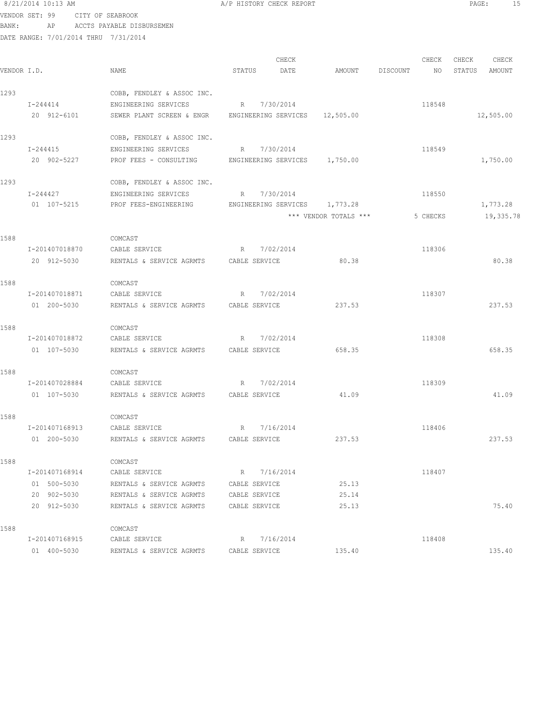8/21/2014 10:13 AM **A/P HISTORY CHECK REPORT PAGE:** 15 VENDOR SET: 99 CITY OF SEABROOK BANK: AP ACCTS PAYABLE DISBURSEMEN DATE RANGE: 7/01/2014 THRU 7/31/2014

CHECK CHECK CHECK CHECK CHECK CHECK CHECK CHECK CHECK CHECK CHECK CHECK CHECK CHECK CHECK CHECK CHECK CHECK CHECK CHECK CHECK CHECK CHECK CHECK CHECK CHECK CHECK CHECK CHECK CHECK CHECK CHECK CHECK CHECK CHECK CHECK CHECK VENDOR I.D. NAME STATUS DATE AMOUNT DISCOUNT NO STATUS AMOUNT 1293 COBB, FENDLEY & ASSOC INC. I-244414 ENGINEERING SERVICES R 7/30/2014 118548 20 912-6101 SEWER PLANT SCREEN & ENGR ENGINEERING SERVICES 12,505.00 12,505.00 1293 COBB, FENDLEY & ASSOC INC. I-244415 ENGINEERING SERVICES R 7/30/2014 118549 20 902-5227 PROF FEES - CONSULTING ENGINEERING SERVICES 1,750.00 1,750.00 1293 COBB, FENDLEY & ASSOC INC. I-244427 ENGINEERING SERVICES R 7/30/2014 01 107-5215 PROF FEES-ENGINEERING ENGINEERING SERVICES 1,773.28 1,773.28 1,773.28 \*\*\* VENDOR TOTALS \*\*\* 5 CHECKS 19,335.78 1588 COMCAST I-201407018870 CABLE SERVICE R 7/02/2014 118306 20 912-5030 RENTALS & SERVICE AGRMTS CABLE SERVICE 80.38 80.38 80.38 1588 COMCAST I-201407018871 CABLE SERVICE R 7/02/2014 118307 01 200-5030 RENTALS & SERVICE AGRMTS CABLE SERVICE 237.53 237.53 1588 COMCAST I-201407018872 CABLE SERVICE R 7/02/2014 R 7/02/2014 01 107-5030 RENTALS & SERVICE AGRMTS CABLE SERVICE 658.35 658.35 1588 COMCAST I-201407028884 CABLE SERVICE R 7/02/2014 118309 01 107-5030 RENTALS & SERVICE AGRMTS CABLE SERVICE 41.09 41.09 41.09 1588 COMCAST I-201407168913 CABLE SERVICE R 7/16/2014 118406 01 200-5030 RENTALS & SERVICE AGRMTS CABLE SERVICE 237.53 237.53 1588 COMCAST I-201407168914 CABLE SERVICE R 7/16/2014 118407 01 500-5030 RENTALS & SERVICE AGRMTS CABLE SERVICE 25.13

 20 912-5030 RENTALS & SERVICE AGRMTS CABLE SERVICE 25.13 75.40 1588 COMCAST I-201407168915 CABLE SERVICE R 7/16/2014 118408 01 400-5030 RENTALS & SERVICE AGRMTS CABLE SERVICE 135.40 135.40

20 902-5030 RENTALS & SERVICE AGRMTS CABLE SERVICE 25.14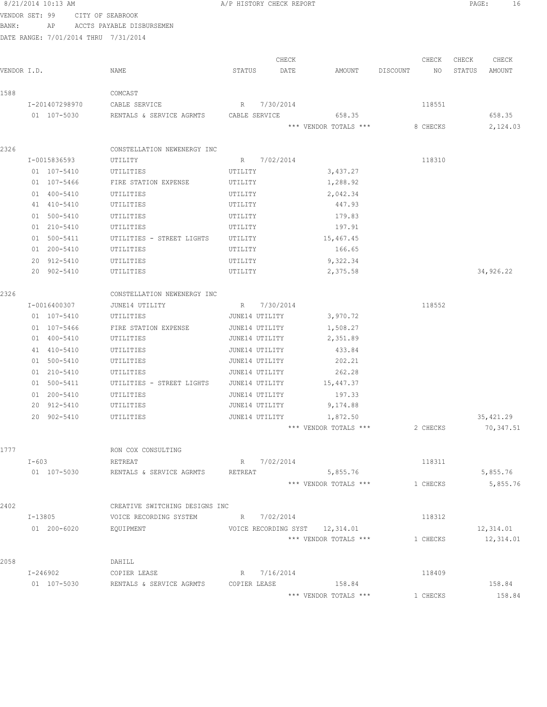|             | 8/21/2014 10:13 AM                   |                                                        | A/P HISTORY CHECK REPORT |               |                                |          |             | PAGE:           | 16              |
|-------------|--------------------------------------|--------------------------------------------------------|--------------------------|---------------|--------------------------------|----------|-------------|-----------------|-----------------|
|             | VENDOR SET: 99                       | CITY OF SEABROOK                                       |                          |               |                                |          |             |                 |                 |
| BANK:       | AP                                   | ACCTS PAYABLE DISBURSEMEN                              |                          |               |                                |          |             |                 |                 |
|             | DATE RANGE: 7/01/2014 THRU 7/31/2014 |                                                        |                          |               |                                |          |             |                 |                 |
|             |                                      |                                                        |                          |               |                                |          |             |                 |                 |
| VENDOR I.D. |                                      | NAME                                                   | STATUS                   | CHECK<br>DATE | AMOUNT                         | DISCOUNT | CHECK<br>NO | CHECK<br>STATUS | CHECK<br>AMOUNT |
|             |                                      |                                                        |                          |               |                                |          |             |                 |                 |
| 1588        |                                      | COMCAST                                                |                          |               |                                |          |             |                 |                 |
|             | I-201407298970                       | CABLE SERVICE                                          | $R_{\rm{max}}$           | 7/30/2014     |                                |          | 118551      |                 |                 |
|             | 01 107-5030                          | RENTALS & SERVICE AGRMTS CABLE SERVICE                 |                          |               | 658.35                         |          |             |                 | 658.35          |
|             |                                      |                                                        |                          |               | *** VENDOR TOTALS ***          |          | 8 CHECKS    |                 | 2,124.03        |
| 2326        |                                      |                                                        |                          |               |                                |          |             |                 |                 |
|             | I-0015836593                         | CONSTELLATION NEWENERGY INC<br>UTILITY                 | R 7/02/2014              |               |                                |          | 118310      |                 |                 |
|             | 01 107-5410                          |                                                        | UTILITY                  |               |                                |          |             |                 |                 |
|             | 01 107-5466                          | UTILITIES<br>FIRE STATION EXPENSE                      | UTILITY                  |               | 3,437.27<br>1,288.92           |          |             |                 |                 |
|             | 01 400-5410                          | UTILITIES                                              | UTILITY                  |               | 2,042.34                       |          |             |                 |                 |
|             | 41 410-5410                          | UTILITIES                                              | UTILITY                  |               | 447.93                         |          |             |                 |                 |
|             | 01 500-5410                          | UTILITIES                                              | UTILITY                  |               | 179.83                         |          |             |                 |                 |
|             | 01 210-5410                          | UTILITIES                                              | UTILITY                  |               | 197.91                         |          |             |                 |                 |
|             | 01 500-5411                          | UTILITIES - STREET LIGHTS                              | UTILITY                  |               | 15,467.45                      |          |             |                 |                 |
|             | 01 200-5410                          | UTILITIES                                              | UTILITY                  |               | 166.65                         |          |             |                 |                 |
|             | 20 912-5410                          | UTILITIES                                              | UTILITY                  |               | 9,322.34                       |          |             |                 |                 |
|             | 20 902-5410                          | UTILITIES                                              | UTILITY                  |               | 2,375.58                       |          |             |                 | 34,926.22       |
|             |                                      |                                                        |                          |               |                                |          |             |                 |                 |
| 2326        |                                      | CONSTELLATION NEWENERGY INC                            |                          |               |                                |          |             |                 |                 |
|             | I-0016400307                         | JUNE14 UTILITY                                         | R 7/30/2014              |               |                                |          | 118552      |                 |                 |
|             | 01 107-5410                          | UTILITIES                                              | JUNE14 UTILITY           |               | 3,970.72                       |          |             |                 |                 |
|             | 01 107-5466                          | FIRE STATION EXPENSE                                   | JUNE14 UTILITY           |               | 1,508.27                       |          |             |                 |                 |
|             | 01 400-5410                          | UTILITIES                                              | JUNE14 UTILITY           |               | 2,351.89                       |          |             |                 |                 |
|             | 41 410-5410                          | UTILITIES                                              | JUNE14 UTILITY           |               | 433.84                         |          |             |                 |                 |
|             | 01 500-5410                          | UTILITIES                                              | JUNE14 UTILITY           |               | 202.21                         |          |             |                 |                 |
|             | 01 210-5410                          | UTILITIES                                              | JUNE14 UTILITY           |               | 262.28                         |          |             |                 |                 |
|             | 01 500-5411                          | UTILITIES - STREET LIGHTS JUNE14 UTILITY               |                          |               | 15,447.37                      |          |             |                 |                 |
|             | 01 200-5410                          | UTILITIES                                              | JUNE14 UTILITY           |               | 197.33                         |          |             |                 |                 |
|             | 20 912-5410                          | UTILITIES                                              | JUNE14 UTILITY           |               | 9,174.88                       |          |             |                 |                 |
|             | 20 902-5410                          | UTILITIES                                              | JUNE14 UTILITY           |               | 1,872.50                       |          |             |                 | 35, 421.29      |
|             |                                      |                                                        |                          |               | *** VENDOR TOTALS ***          |          | 2 CHECKS    |                 | 70,347.51       |
| 1777        |                                      | RON COX CONSULTING                                     |                          |               |                                |          |             |                 |                 |
|             | I-603                                | RETREAT                                                |                          | R 7/02/2014   |                                |          | 118311      |                 |                 |
|             | 01 107-5030                          | RENTALS & SERVICE AGRMTS                               | RETREAT                  |               | 5,855.76                       |          |             |                 | 5,855.76        |
|             |                                      |                                                        |                          |               | *** VENDOR TOTALS ***          |          | 1 CHECKS    |                 | 5,855.76        |
|             |                                      |                                                        |                          |               |                                |          |             |                 |                 |
| 2402        |                                      | CREATIVE SWITCHING DESIGNS INC                         |                          |               |                                |          |             |                 |                 |
|             | I-13805                              | VOICE RECORDING SYSTEM                                 | R 7/02/2014              |               |                                |          | 118312      |                 |                 |
|             | 01 200-6020                          | EQUIPMENT                                              |                          |               | VOICE RECORDING SYST 12,314.01 |          |             |                 | 12,314.01       |
|             |                                      |                                                        |                          |               | *** VENDOR TOTALS ***          |          | 1 CHECKS    |                 | 12,314.01       |
|             |                                      |                                                        |                          |               |                                |          |             |                 |                 |
| 2058        |                                      | DAHILL                                                 | R 7/16/2014              |               |                                |          | 118409      |                 |                 |
|             | I-246902<br>01 107-5030              | COPIER LEASE<br>RENTALS & SERVICE AGRMTS  COPIER LEASE |                          |               | 158.84                         |          |             |                 | 158.84          |
|             |                                      |                                                        |                          |               | *** VENDOR TOTALS ***          |          | 1 CHECKS    |                 | 158.84          |
|             |                                      |                                                        |                          |               |                                |          |             |                 |                 |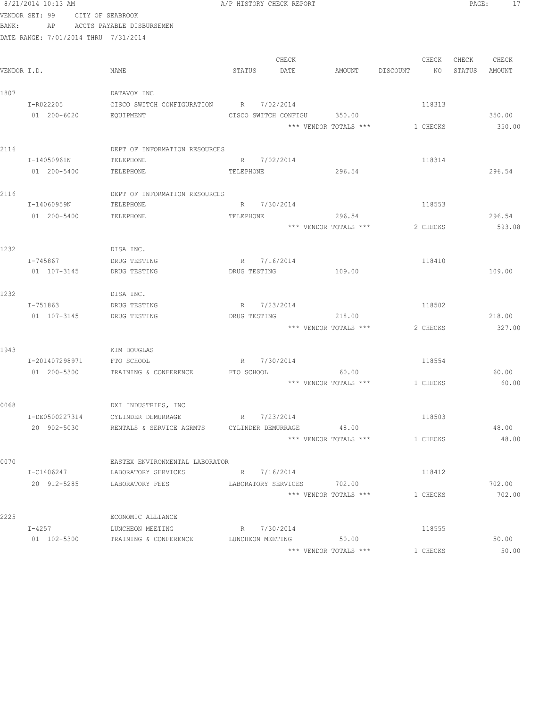|       | 8/21/2014 10:13 AM                   |                                  | A/P HISTORY CHECK REPORT    |       |                       |                | PAGE:  | 17     |
|-------|--------------------------------------|----------------------------------|-----------------------------|-------|-----------------------|----------------|--------|--------|
|       | VENDOR SET: 99                       | CITY OF SEABROOK                 |                             |       |                       |                |        |        |
| BANK: | AP                                   | ACCTS PAYABLE DISBURSEMEN        |                             |       |                       |                |        |        |
|       | DATE RANGE: 7/01/2014 THRU 7/31/2014 |                                  |                             |       |                       |                |        |        |
|       |                                      |                                  |                             |       |                       |                |        |        |
|       |                                      |                                  |                             | CHECK |                       | CHECK          | CHECK  | CHECK  |
|       | VENDOR I.D.                          | NAME                             | STATUS                      | DATE  | AMOUNT                | DISCOUNT<br>NO | STATUS | AMOUNT |
|       |                                      |                                  |                             |       |                       |                |        |        |
| 1807  |                                      | DATAVOX INC                      |                             |       |                       |                |        |        |
|       | I-R022205                            | CISCO SWITCH CONFIGURATION       | R 7/02/2014                 |       |                       | 118313         |        |        |
|       | 01 200-6020                          | EQUIPMENT                        | CISCO SWITCH CONFIGU 350.00 |       |                       |                |        | 350.00 |
|       |                                      |                                  |                             |       | *** VENDOR TOTALS *** | 1 CHECKS       |        | 350.00 |
|       |                                      |                                  |                             |       |                       |                |        |        |
| 2116  |                                      | DEPT OF INFORMATION RESOURCES    |                             |       |                       |                |        |        |
|       | I-14050961N                          | TELEPHONE                        | R 7/02/2014                 |       |                       | 118314         |        |        |
|       | 01 200-5400                          | TELEPHONE                        | TELEPHONE                   |       | 296.54                |                |        | 296.54 |
|       |                                      |                                  |                             |       |                       |                |        |        |
| 2116  |                                      | DEPT OF INFORMATION RESOURCES    |                             |       |                       |                |        |        |
|       | I-14060959N                          | TELEPHONE                        | R 7/30/2014                 |       |                       | 118553         |        |        |
|       | 01 200-5400                          | TELEPHONE                        | TELEPHONE                   |       | 296.54                |                |        | 296.54 |
|       |                                      |                                  |                             |       | *** VENDOR TOTALS *** | 2 CHECKS       |        | 593.08 |
| 1232  |                                      | DISA INC.                        |                             |       |                       |                |        |        |
|       | I-745867                             | DRUG TESTING                     | R 7/16/2014                 |       |                       | 118410         |        |        |
|       | 01 107-3145                          | DRUG TESTING                     | DRUG TESTING                |       | 109.00                |                |        | 109.00 |
|       |                                      |                                  |                             |       |                       |                |        |        |
| 1232  |                                      | DISA INC.                        |                             |       |                       |                |        |        |
|       | I-751863                             | DRUG TESTING                     | R 7/23/2014                 |       |                       | 118502         |        |        |
|       | 01 107-3145                          | DRUG TESTING                     | DRUG TESTING                |       | 218.00                |                |        | 218.00 |
|       |                                      |                                  |                             |       | *** VENDOR TOTALS *** | 2 CHECKS       |        | 327.00 |
|       |                                      |                                  |                             |       |                       |                |        |        |
| 1943  |                                      | KIM DOUGLAS                      |                             |       |                       |                |        |        |
|       | I-201407298971                       | FTO SCHOOL                       | R 7/30/2014                 |       |                       | 118554         |        |        |
|       | 01 200-5300                          | TRAINING & CONFERENCE FTO SCHOOL |                             |       | 60.00                 |                |        | 60.00  |
|       |                                      |                                  |                             |       | *** VENDOR TOTALS *** | 1 CHECKS       |        | 60.00  |
|       |                                      |                                  |                             |       |                       |                |        |        |
| 0068  |                                      | DXI INDUSTRIES, INC              |                             |       |                       |                |        |        |
|       | I-DE0500227314                       | CYLINDER DEMURRAGE               | R<br>7/23/2014              |       |                       | 118503         |        |        |
|       | 20 902-5030                          | RENTALS & SERVICE AGRMTS         | CYLINDER DEMURRAGE          |       | 48.00                 |                |        | 48.00  |
|       |                                      |                                  |                             |       | *** VENDOR TOTALS *** | 1 CHECKS       |        | 48.00  |
|       |                                      |                                  |                             |       |                       |                |        |        |
| 0070  |                                      | EASTEX ENVIRONMENTAL LABORATOR   |                             |       |                       |                |        |        |
|       | I-C1406247                           | LABORATORY SERVICES              | R 7/16/2014                 |       |                       | 118412         |        |        |
|       | 20 912-5285                          | LABORATORY FEES                  | LABORATORY SERVICES 702.00  |       |                       |                |        | 702.00 |
|       |                                      |                                  |                             |       | *** VENDOR TOTALS *** | 1 CHECKS       |        | 702.00 |
|       |                                      |                                  |                             |       |                       |                |        |        |
| 2225  |                                      | ECONOMIC ALLIANCE                |                             |       |                       |                |        |        |
|       | $I-4257$                             | LUNCHEON MEETING                 | R 7/30/2014                 |       |                       | 118555         |        |        |
|       | 01 102-5300                          | TRAINING & CONFERENCE            | LUNCHEON MEETING            |       | 50.00                 |                |        | 50.00  |
|       |                                      |                                  |                             |       | *** VENDOR TOTALS *** | 1 CHECKS       |        | 50.00  |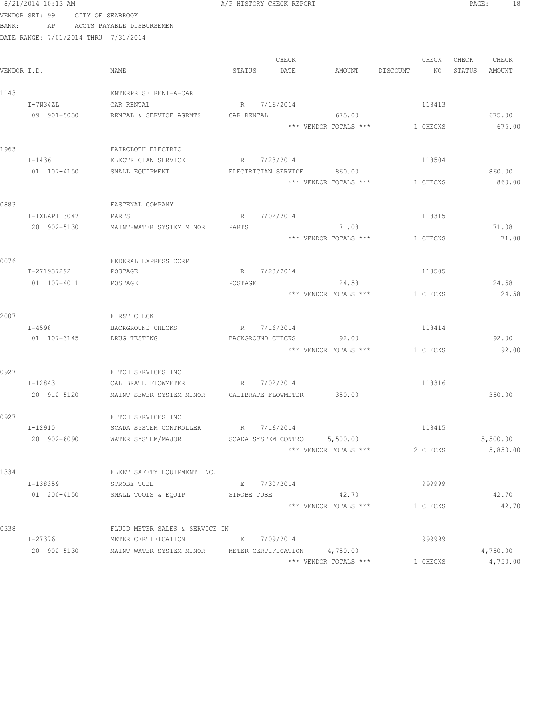|       | 8/21/2014 10:13 AM                   |                                     | A/P HISTORY CHECK REPORT                                                                   | 18<br>PAGE:          |
|-------|--------------------------------------|-------------------------------------|--------------------------------------------------------------------------------------------|----------------------|
|       | VENDOR SET: 99 CITY OF SEABROOK      |                                     |                                                                                            |                      |
| BANK: |                                      | AP ACCTS PAYABLE DISBURSEMEN        |                                                                                            |                      |
|       | DATE RANGE: 7/01/2014 THRU 7/31/2014 |                                     |                                                                                            |                      |
|       |                                      |                                     |                                                                                            |                      |
|       |                                      |                                     | CHECK<br>CHECK                                                                             | CHECK CHECK          |
|       | VENDOR I.D.                          | NAME                                | AMOUNT DISCOUNT<br>STATUS<br>DATE<br>NO                                                    | STATUS<br>AMOUNT     |
|       |                                      |                                     |                                                                                            |                      |
| 1143  |                                      | ENTERPRISE RENT-A-CAR               |                                                                                            |                      |
|       | I-7N34ZL                             | CAR RENTAL                          | R 7/16/2014<br>118413                                                                      |                      |
|       | 09 901-5030                          | RENTAL & SERVICE AGRMTS             | CAR RENTAL<br>675.00                                                                       | 675.00               |
|       |                                      |                                     | *** VENDOR TOTALS ***<br>1 CHECKS                                                          | 675.00               |
| 1963  |                                      | FAIRCLOTH ELECTRIC                  |                                                                                            |                      |
|       | I-1436                               | ELECTRICIAN SERVICE                 | R 7/23/2014<br>118504                                                                      |                      |
|       | 01 107-4150                          | SMALL EQUIPMENT                     | ELECTRICIAN SERVICE<br>860.00                                                              | 860.00               |
|       |                                      |                                     | *** VENDOR TOTALS ***<br>1 CHECKS                                                          | 860.00               |
|       |                                      |                                     |                                                                                            |                      |
| 0883  |                                      | FASTENAL COMPANY                    |                                                                                            |                      |
|       | I-TXLAP113047                        | PARTS                               | R<br>7/02/2014<br>118315                                                                   |                      |
|       | 20 902-5130                          | MAINT-WATER SYSTEM MINOR            | 71.08<br>PARTS                                                                             | 71.08                |
|       |                                      |                                     | *** VENDOR TOTALS ***<br>1 CHECKS                                                          | 71.08                |
|       |                                      |                                     |                                                                                            |                      |
| 0076  |                                      | FEDERAL EXPRESS CORP                |                                                                                            |                      |
|       | I-271937292                          | POSTAGE                             | 7/23/2014<br>R<br>118505                                                                   |                      |
|       | 01 107-4011                          | POSTAGE                             | 24.58<br>POSTAGE                                                                           | 24.58                |
|       |                                      |                                     | *** VENDOR TOTALS ***<br>1 CHECKS                                                          | 24.58                |
|       |                                      |                                     |                                                                                            |                      |
| 2007  |                                      | FIRST CHECK                         |                                                                                            |                      |
|       | $I - 4598$                           | BACKGROUND CHECKS                   | R 7/16/2014<br>118414                                                                      |                      |
|       | 01 107-3145                          | DRUG TESTING                        | 92.00<br>BACKGROUND CHECKS                                                                 | 92.00                |
|       |                                      |                                     | *** VENDOR TOTALS ***<br>1 CHECKS                                                          | 92.00                |
| 0927  |                                      | FITCH SERVICES INC                  |                                                                                            |                      |
|       | $I - 12843$                          | CALIBRATE FLOWMETER                 | R 7/02/2014<br>118316                                                                      |                      |
|       | 20 912-5120                          |                                     | MAINT-SEWER SYSTEM MINOR CALIBRATE FLOWMETER 350.00                                        | 350.00               |
|       |                                      |                                     |                                                                                            |                      |
| 0927  |                                      | FITCH SERVICES INC                  |                                                                                            |                      |
|       | I-12910                              | SCADA SYSTEM CONTROLLER R 7/16/2014 | 118415                                                                                     |                      |
|       |                                      | 20 902-6090 WATER SYSTEM/MAJOR      | SCADA SYSTEM CONTROL 5,500.00                                                              | 5,500.00             |
|       |                                      |                                     | *** VENDOR TOTALS ***<br>2 CHECKS                                                          | 5,850.00             |
|       |                                      |                                     |                                                                                            |                      |
| 1334  |                                      | FLEET SAFETY EQUIPMENT INC.         |                                                                                            |                      |
|       | I-138359                             | STROBE TUBE                         | E 7/30/2014<br>999999                                                                      |                      |
|       | 01 200-4150                          | SMALL TOOLS & EQUIP STROBE TUBE     | 42.70                                                                                      | 42.70                |
|       |                                      |                                     | *** VENDOR TOTALS ***<br>1 CHECKS                                                          | 42.70                |
|       |                                      |                                     |                                                                                            |                      |
| 0338  |                                      | FLUID METER SALES & SERVICE IN      |                                                                                            |                      |
|       |                                      | I-27376 METER CERTIFICATION         | E 7/09/2014<br>999999<br>20 902-5130 MAINT-WATER SYSTEM MINOR METER CERTIFICATION 4,750.00 |                      |
|       |                                      |                                     | *** VENDOR TOTALS ***<br>1 CHECKS                                                          | 4,750.00<br>4,750.00 |
|       |                                      |                                     |                                                                                            |                      |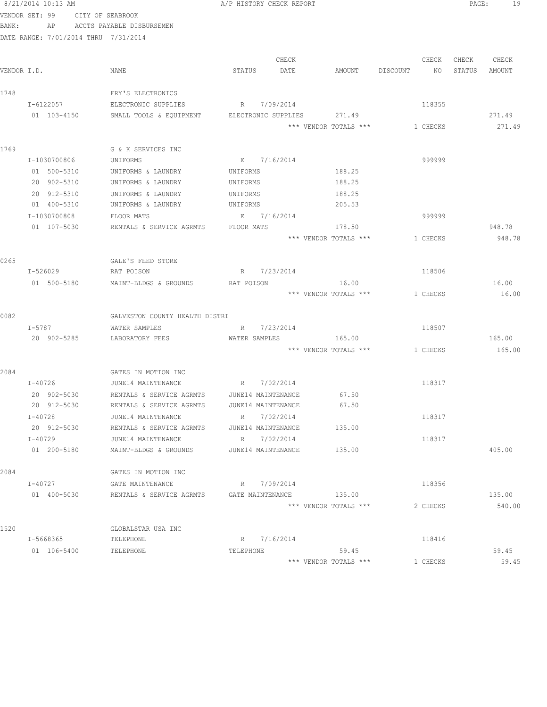|             | 8/21/2014 10:13 AM                   |                                                    |            | A/P HISTORY CHECK REPORT          |                                |          | PAGE:<br>19 |
|-------------|--------------------------------------|----------------------------------------------------|------------|-----------------------------------|--------------------------------|----------|-------------|
|             | VENDOR SET: 99                       | CITY OF SEABROOK                                   |            |                                   |                                |          |             |
| BANK:       | AP                                   | ACCTS PAYABLE DISBURSEMEN                          |            |                                   |                                |          |             |
|             | DATE RANGE: 7/01/2014 THRU 7/31/2014 |                                                    |            |                                   |                                |          |             |
|             |                                      |                                                    |            |                                   |                                |          |             |
|             |                                      |                                                    |            | CHECK                             |                                | CHECK    | CHECK CHECK |
| VENDOR I.D. |                                      | NAME                                               | STATUS     | DATE                              | AMOUNT DISCOUNT NO STATUS      |          | AMOUNT      |
|             |                                      |                                                    |            |                                   |                                |          |             |
| 1748        |                                      | FRY'S ELECTRONICS                                  |            |                                   |                                |          |             |
|             | I-6122057                            | ELECTRONIC SUPPLIES                                |            | R 7/09/2014                       |                                | 118355   |             |
|             | 01 103-4150                          | SMALL TOOLS & EQUIPMENT ELECTRONIC SUPPLIES 271.49 |            |                                   |                                |          | 271.49      |
|             |                                      |                                                    |            |                                   | *** VENDOR TOTALS *** 1 CHECKS |          | 271.49      |
| 1769        |                                      | G & K SERVICES INC                                 |            |                                   |                                |          |             |
|             | I-1030700806                         | UNIFORMS                                           |            | E 7/16/2014                       |                                | 999999   |             |
|             | 01 500-5310                          | UNIFORMS & LAUNDRY                                 | UNIFORMS   |                                   | 188.25                         |          |             |
|             | 20 902-5310                          | UNIFORMS & LAUNDRY                                 | UNIFORMS   |                                   | 188.25                         |          |             |
|             | 20 912-5310                          | UNIFORMS & LAUNDRY                                 | UNIFORMS   |                                   | 188.25                         |          |             |
|             | 01 400-5310                          | UNIFORMS & LAUNDRY                                 | UNIFORMS   |                                   | 205.53                         |          |             |
|             | I-1030700808                         | FLOOR MATS                                         |            | E 7/16/2014                       |                                | 999999   |             |
|             | 01 107-5030                          | RENTALS & SERVICE AGRMTS                           | FLOOR MATS |                                   | 178.50                         |          | 948.78      |
|             |                                      |                                                    |            |                                   | *** VENDOR TOTALS ***          | 1 CHECKS | 948.78      |
|             |                                      |                                                    |            |                                   |                                |          |             |
| 0265        |                                      | GALE'S FEED STORE                                  |            |                                   |                                |          |             |
|             | I-526029                             | RAT POISON                                         |            | R 7/23/2014                       |                                | 118506   |             |
|             | 01 500-5180                          | MAINT-BLDGS & GROUNDS                              | RAT POISON |                                   | 16.00                          |          | 16.00       |
|             |                                      |                                                    |            |                                   | *** VENDOR TOTALS *** 1 CHECKS |          | 16.00       |
|             |                                      |                                                    |            |                                   |                                |          |             |
| 0082        |                                      | GALVESTON COUNTY HEALTH DISTRI                     |            |                                   |                                |          |             |
|             | I-5787                               | WATER SAMPLES                                      |            | R 7/23/2014                       |                                | 118507   |             |
|             | 20 902-5285                          | LABORATORY FEES                                    |            | WATER SAMPLES                     | 165.00                         |          | 165.00      |
|             |                                      |                                                    |            |                                   | *** VENDOR TOTALS ***          | 1 CHECKS | 165.00      |
|             |                                      |                                                    |            |                                   |                                |          |             |
| 2084        |                                      | GATES IN MOTION INC                                |            |                                   |                                |          |             |
|             | $I - 40726$                          | JUNE14 MAINTENANCE R 7/02/2014                     |            |                                   |                                | 118317   |             |
|             | 20 902-5030                          | RENTALS & SERVICE AGRMTS                           |            | JUNE14 MAINTENANCE                | 67.50<br>67.50                 |          |             |
|             | 20 912-5030<br>I-40728               | RENTALS & SERVICE AGRMTS<br>JUNE14 MAINTENANCE     |            | JUNE14 MAINTENANCE<br>R 7/02/2014 |                                | 118317   |             |
|             | 20 912-5030                          | RENTALS & SERVICE AGRMTS                           |            | JUNE14 MAINTENANCE                | 135.00                         |          |             |
|             | $I - 40729$                          | JUNE14 MAINTENANCE                                 |            | R 7/02/2014                       |                                | 118317   |             |
|             | 01 200-5180                          | MAINT-BLDGS & GROUNDS                              |            | JUNE14 MAINTENANCE                | 135.00                         |          | 405.00      |
|             |                                      |                                                    |            |                                   |                                |          |             |
| 2084        |                                      | GATES IN MOTION INC                                |            |                                   |                                |          |             |
|             | I-40727                              | GATE MAINTENANCE                                   |            | R 7/09/2014                       |                                | 118356   |             |
|             | 01 400-5030                          | RENTALS & SERVICE AGRMTS GATE MAINTENANCE          |            |                                   | 135.00                         |          | 135.00      |
|             |                                      |                                                    |            |                                   | *** VENDOR TOTALS ***          | 2 CHECKS | 540.00      |
|             |                                      |                                                    |            |                                   |                                |          |             |
| 1520        |                                      | GLOBALSTAR USA INC                                 |            |                                   |                                |          |             |
|             | I-5668365                            | TELEPHONE                                          |            | R 7/16/2014                       |                                | 118416   |             |
|             | 01 106-5400                          | TELEPHONE                                          | TELEPHONE  |                                   | 59.45                          |          | 59.45       |
|             |                                      |                                                    |            |                                   | *** VENDOR TOTALS ***          | 1 CHECKS | 59.45       |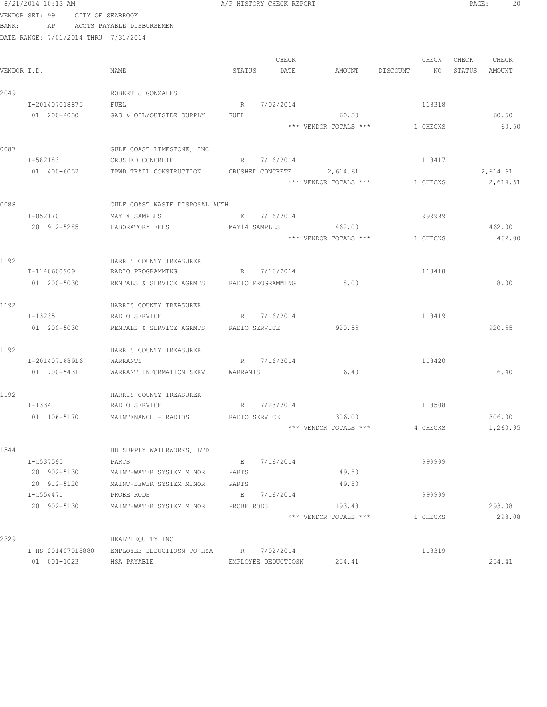| BANK: | VENDOR SET: 99<br>CITY OF SEABROOK<br>AP | ACCTS PAYABLE DISBURSEMEN                             |               |                     |                       |                |        |          |
|-------|------------------------------------------|-------------------------------------------------------|---------------|---------------------|-----------------------|----------------|--------|----------|
|       | DATE RANGE: 7/01/2014 THRU 7/31/2014     |                                                       |               |                     |                       |                |        |          |
|       |                                          |                                                       |               |                     |                       |                |        |          |
|       |                                          |                                                       |               | CHECK               |                       | CHECK          | CHECK  | CHECK    |
|       | VENDOR I.D.                              | NAME                                                  | STATUS        | DATE                | AMOUNT                | NO<br>DISCOUNT | STATUS | AMOUNT   |
|       |                                          |                                                       |               |                     |                       |                |        |          |
| 2049  |                                          | ROBERT J GONZALES                                     |               |                     |                       |                |        |          |
|       | I-201407018875                           | FUEL                                                  |               | R 7/02/2014         |                       | 118318         |        |          |
|       | 01 200-4030                              | GAS & OIL/OUTSIDE SUPPLY                              | FUEL          |                     | 60.50                 |                |        | 60.50    |
|       |                                          |                                                       |               |                     | *** VENDOR TOTALS *** | 1 CHECKS       |        | 60.50    |
|       |                                          |                                                       |               |                     |                       |                |        |          |
| 0087  |                                          | GULF COAST LIMESTONE, INC                             |               |                     |                       |                |        |          |
|       | I-582183                                 | CRUSHED CONCRETE                                      |               | R 7/16/2014         |                       | 118417         |        |          |
|       | 01 400-6052                              | TPWD TRAIL CONSTRUCTION CRUSHED CONCRETE 2,614.61     |               |                     |                       |                |        | 2,614.61 |
|       |                                          |                                                       |               |                     | *** VENDOR TOTALS *** | 1 CHECKS       |        | 2,614.61 |
|       |                                          |                                                       |               |                     |                       |                |        |          |
| 0088  |                                          | GULF COAST WASTE DISPOSAL AUTH                        |               |                     |                       |                |        |          |
|       | I-052170                                 | MAY14 SAMPLES                                         |               | E 7/16/2014         |                       | 999999         |        |          |
|       | 20 912-5285                              | LABORATORY FEES                                       |               |                     | MAY14 SAMPLES 462.00  |                |        | 462.00   |
|       |                                          |                                                       |               |                     | *** VENDOR TOTALS *** | 1 CHECKS       |        | 462.00   |
|       |                                          |                                                       |               |                     |                       |                |        |          |
| 1192  |                                          | HARRIS COUNTY TREASURER                               |               |                     |                       |                |        |          |
|       | I-1140600909                             | RADIO PROGRAMMING                                     |               | R 7/16/2014         |                       | 118418         |        |          |
|       | 01 200-5030                              | RENTALS & SERVICE AGRMTS                              |               | RADIO PROGRAMMING   | 18.00                 |                |        | 18.00    |
| 1192  |                                          | HARRIS COUNTY TREASURER                               |               |                     |                       |                |        |          |
|       | I-13235                                  | RADIO SERVICE                                         |               | R 7/16/2014         |                       | 118419         |        |          |
|       | 01 200-5030                              | RENTALS & SERVICE AGRMTS                              | RADIO SERVICE |                     | 920.55                |                |        | 920.55   |
|       |                                          |                                                       |               |                     |                       |                |        |          |
| 1192  |                                          | HARRIS COUNTY TREASURER                               |               |                     |                       |                |        |          |
|       | I-201407168916                           | WARRANTS                                              |               | R 7/16/2014         |                       | 118420         |        |          |
|       | 01 700-5431                              | WARRANT INFORMATION SERV                              | WARRANTS      |                     | 16.40                 |                |        | 16.40    |
|       |                                          |                                                       |               |                     |                       |                |        |          |
| 1192  |                                          | HARRIS COUNTY TREASURER                               |               |                     |                       |                |        |          |
|       | I-13341                                  | RADIO SERVICE                                         |               | R 7/23/2014         |                       | 118508         |        |          |
|       | 01 106-5170                              | MAINTENANCE - RADIOS                                  |               | RADIO SERVICE       | 306.00                |                |        | 306.00   |
|       |                                          |                                                       |               |                     | *** VENDOR TOTALS *** | 4 CHECKS       |        | 1,260.95 |
|       |                                          |                                                       |               |                     |                       |                |        |          |
| 1544  |                                          | HD SUPPLY WATERWORKS, LTD                             |               |                     |                       |                |        |          |
|       | I-C537595                                | PARTS                                                 | E             | 7/16/2014           |                       | 999999         |        |          |
|       | 20 902-5130                              | MAINT-WATER SYSTEM MINOR                              | PARTS         |                     | 49.80                 |                |        |          |
|       | 20 912-5120                              | MAINT-SEWER SYSTEM MINOR                              | PARTS         |                     | 49.80                 |                |        |          |
|       | I-C554471                                | PROBE RODS                                            |               | E 7/16/2014         |                       | 999999         |        |          |
|       | 20 902-5130                              | MAINT-WATER SYSTEM MINOR                              | PROBE RODS    |                     | 193.48                |                |        | 293.08   |
|       |                                          |                                                       |               |                     | *** VENDOR TOTALS *** | 1 CHECKS       |        | 293.08   |
|       |                                          |                                                       |               |                     |                       |                |        |          |
| 2329  |                                          | HEALTHEQUITY INC                                      |               |                     |                       |                |        |          |
|       | I-HS 201407018880<br>01 001-1023         | EMPLOYEE DEDUCTIOSN TO HSA R 7/02/2014<br>HSA PAYABLE |               | EMPLOYEE DEDUCTIOSN | 254.41                | 118319         |        | 254.41   |
|       |                                          |                                                       |               |                     |                       |                |        |          |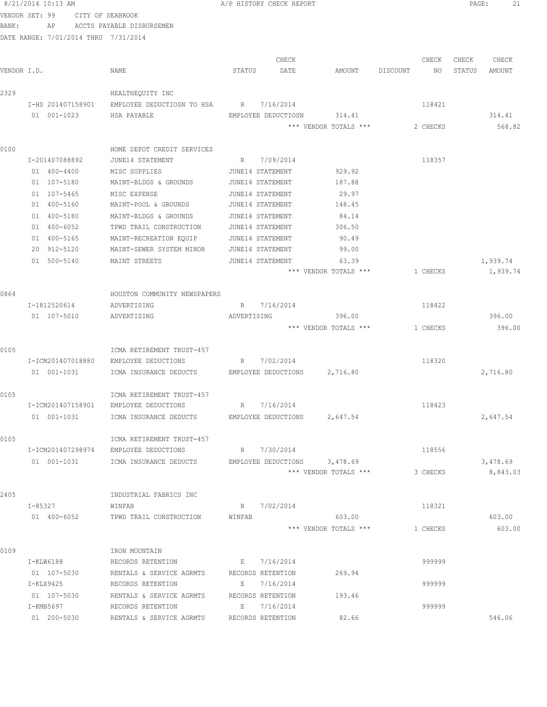|                | 8/21/2014 10:13 AM             |                                                    |             | A/P HISTORY CHECK REPORT             |                              |          |          | PAGE:  | 21       |
|----------------|--------------------------------|----------------------------------------------------|-------------|--------------------------------------|------------------------------|----------|----------|--------|----------|
| VENDOR SET: 99 |                                | CITY OF SEABROOK                                   |             |                                      |                              |          |          |        |          |
| BANK:          | AP                             | ACCTS PAYABLE DISBURSEMEN                          |             |                                      |                              |          |          |        |          |
|                |                                | DATE RANGE: 7/01/2014 THRU 7/31/2014               |             |                                      |                              |          |          |        |          |
|                |                                |                                                    |             |                                      |                              |          |          |        |          |
|                |                                |                                                    |             | CHECK                                |                              |          | CHECK    | CHECK  | CHECK    |
| VENDOR I.D.    |                                | NAME                                               | STATUS      | DATE                                 | AMOUNT                       | DISCOUNT | NO       | STATUS | AMOUNT   |
| 2329           |                                | HEALTHEQUITY INC                                   |             |                                      |                              |          |          |        |          |
|                | I-HS 201407158901              | EMPLOYEE DEDUCTIOSN TO HSA                         |             | R 7/16/2014                          |                              |          | 118421   |        |          |
|                | 01 001-1023                    | HSA PAYABLE                                        |             | EMPLOYEE DEDUCTIOSN                  | 314.41                       |          |          |        | 314.41   |
|                |                                |                                                    |             |                                      | *** VENDOR TOTALS ***        |          | 2 CHECKS |        | 568.82   |
|                |                                |                                                    |             |                                      |                              |          |          |        |          |
| 0100           |                                | HOME DEPOT CREDIT SERVICES                         |             |                                      |                              |          |          |        |          |
|                | I-201407088892                 | JUNE14 STATEMENT                                   | R           | 7/09/2014                            |                              |          | 118357   |        |          |
|                | 01 400-4400<br>01 107-5180     | MISC SUPPLIES                                      |             | JUNE14 STATEMENT                     | 929.92                       |          |          |        |          |
|                |                                | MAINT-BLDGS & GROUNDS                              |             | JUNE14 STATEMENT                     | 187.88                       |          |          |        |          |
|                | $01 107 - 5465$<br>01 400-5160 | MISC EXPENSE                                       |             | JUNE14 STATEMENT                     | 29.97<br>148.45              |          |          |        |          |
|                | 01 400-5180                    | MAINT-POOL & GROUNDS                               |             | JUNE14 STATEMENT<br>JUNE14 STATEMENT |                              |          |          |        |          |
|                | 01 400-6052                    | MAINT-BLDGS & GROUNDS<br>TPWD TRAIL CONSTRUCTION   |             | JUNE14 STATEMENT                     | 84.14<br>306.50              |          |          |        |          |
|                | 01 400-5165                    |                                                    |             | JUNE14 STATEMENT                     | 90.49                        |          |          |        |          |
|                | 20 912-5120                    | MAINT-RECREATION EQUIP<br>MAINT-SEWER SYSTEM MINOR |             | JUNE14 STATEMENT                     | 99.00                        |          |          |        |          |
|                | 01 500-5140                    | MAINT STREETS                                      |             | JUNE14 STATEMENT                     | 63.39                        |          |          |        | 1,939.74 |
|                |                                |                                                    |             |                                      | *** VENDOR TOTALS ***        |          | 1 CHECKS |        | 1,939.74 |
|                |                                |                                                    |             |                                      |                              |          |          |        |          |
| 0864           |                                | HOUSTON COMMUNITY NEWSPAPERS                       |             |                                      |                              |          |          |        |          |
|                | I-1812520614                   | ADVERTISING                                        | R           | 7/16/2014                            |                              |          | 118422   |        |          |
|                | 01 107-5010                    | ADVERTISING                                        | ADVERTISING |                                      | 396.00                       |          |          |        | 396.00   |
|                |                                |                                                    |             |                                      | *** VENDOR TOTALS ***        |          | 1 CHECKS |        | 396.00   |
|                |                                |                                                    |             |                                      |                              |          |          |        |          |
| 0105           |                                | ICMA RETIREMENT TRUST-457                          |             |                                      |                              |          |          |        |          |
|                | I-ICM201407018880              | EMPLOYEE DEDUCTIONS                                | R           | 7/02/2014                            |                              |          | 118320   |        |          |
|                | 01 001-1031                    | ICMA INSURANCE DEDUCTS                             |             |                                      | EMPLOYEE DEDUCTIONS 2,716.80 |          |          |        | 2,716.80 |
|                |                                |                                                    |             |                                      |                              |          |          |        |          |
| 0105           |                                | ICMA RETIREMENT TRUST-457                          |             |                                      |                              |          |          |        |          |
|                | I-ICM201407158901              | EMPLOYEE DEDUCTIONS                                | R           | 7/16/2014                            |                              |          | 118423   |        |          |
|                | 01 001-1031                    | ICMA INSURANCE DEDUCTS                             |             | EMPLOYEE DEDUCTIONS                  | 2,647.54                     |          |          |        | 2,647.54 |
|                |                                |                                                    |             |                                      |                              |          |          |        |          |
| 0105           |                                | ICMA RETIREMENT TRUST-457                          |             |                                      |                              |          |          |        |          |
|                | I-ICM201407298974              | EMPLOYEE DEDUCTIONS                                |             | R 7/30/2014                          |                              |          | 118556   |        |          |
|                | 01 001-1031                    | ICMA INSURANCE DEDUCTS                             |             | EMPLOYEE DEDUCTIONS                  | 3,478.69                     |          |          |        | 3,478.69 |
|                |                                |                                                    |             |                                      | *** VENDOR TOTALS ***        |          | 3 CHECKS |        | 8,843.03 |
|                |                                |                                                    |             |                                      |                              |          |          |        |          |
| 2405           |                                | INDUSTRIAL FABRICS INC                             |             |                                      |                              |          |          |        |          |
|                | I-85327                        | WINFAB                                             |             | R 7/02/2014                          |                              |          | 118321   |        |          |
|                | 01 400-6052                    | TPWD TRAIL CONSTRUCTION                            | WINFAB      |                                      | 603.00                       |          |          |        | 603.00   |
|                |                                |                                                    |             |                                      | *** VENDOR TOTALS ***        |          | 1 CHECKS |        | 603.00   |
| 0109           |                                | IRON MOUNTAIN                                      |             |                                      |                              |          |          |        |          |
|                | I-KLW6188                      | RECORDS RETENTION                                  | E           | 7/16/2014                            |                              |          | 999999   |        |          |
|                | 01 107-5030                    | RENTALS & SERVICE AGRMTS                           |             | RECORDS RETENTION                    | 269.94                       |          |          |        |          |
|                | I-KLX9425                      | RECORDS RETENTION                                  | E           | 7/16/2014                            |                              |          | 999999   |        |          |
|                | 01 107-5030                    | RENTALS & SERVICE AGRMTS                           |             | RECORDS RETENTION                    | 193.46                       |          |          |        |          |
|                | I-KMB5697                      | RECORDS RETENTION                                  |             | E 7/16/2014                          |                              |          | 999999   |        |          |
|                | 01 200-5030                    | RENTALS & SERVICE AGRMTS                           |             | RECORDS RETENTION                    | 82.66                        |          |          |        | 546.06   |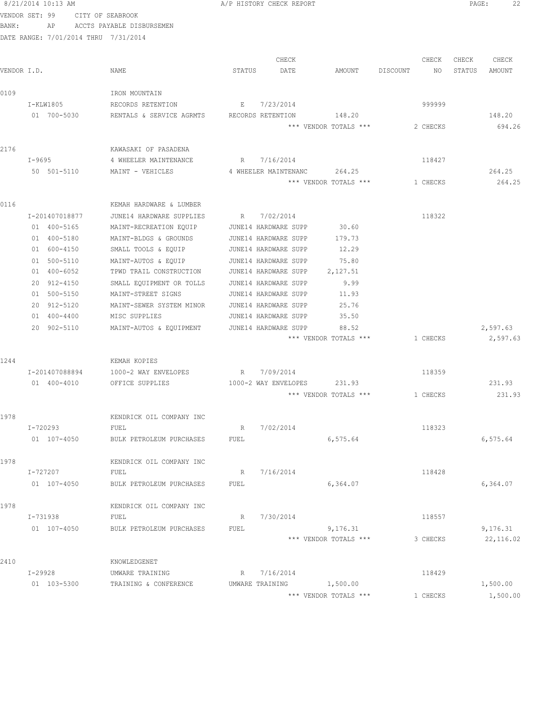|             | 8/21/2014 10:13 AM                   |                           | A/P HISTORY CHECK REPORT |                       |                | 22<br>PAGE:      |
|-------------|--------------------------------------|---------------------------|--------------------------|-----------------------|----------------|------------------|
|             | VENDOR SET: 99                       | CITY OF SEABROOK          |                          |                       |                |                  |
| BANK:       | AP                                   | ACCTS PAYABLE DISBURSEMEN |                          |                       |                |                  |
|             | DATE RANGE: 7/01/2014 THRU 7/31/2014 |                           |                          |                       |                |                  |
|             |                                      |                           |                          |                       |                |                  |
|             |                                      |                           | CHECK                    |                       | CHECK          | CHECK<br>CHECK   |
| VENDOR I.D. |                                      | NAME                      | STATUS<br>DATE           | AMOUNT                | DISCOUNT<br>NO | STATUS<br>AMOUNT |
|             |                                      |                           |                          |                       |                |                  |
| 0109        |                                      | IRON MOUNTAIN             |                          |                       |                |                  |
|             | I-KLW1805                            | RECORDS RETENTION         | 7/23/2014<br>E           |                       | 999999         |                  |
|             | 01 700-5030                          | RENTALS & SERVICE AGRMTS  | RECORDS RETENTION        | 148.20                |                | 148.20           |
|             |                                      |                           |                          | *** VENDOR TOTALS *** | 2 CHECKS       | 694.26           |
| 2176        |                                      | KAWASAKI OF PASADENA      |                          |                       |                |                  |
|             | I-9695                               | 4 WHEELER MAINTENANCE     | R 7/16/2014              |                       | 118427         |                  |
|             | 50 501-5110                          | MAINT - VEHICLES          | 4 WHEELER MAINTENANC     | 264.25                |                | 264.25           |
|             |                                      |                           |                          | *** VENDOR TOTALS *** | 1 CHECKS       | 264.25           |
|             |                                      |                           |                          |                       |                |                  |
| 0116        |                                      | KEMAH HARDWARE & LUMBER   |                          |                       |                |                  |
|             | I-201407018877                       | JUNE14 HARDWARE SUPPLIES  | 7/02/2014<br>R           |                       | 118322         |                  |
|             | 01 400-5165                          | MAINT-RECREATION EQUIP    | JUNE14 HARDWARE SUPP     | 30.60                 |                |                  |
|             | 01 400-5180                          | MAINT-BLDGS & GROUNDS     | JUNE14 HARDWARE SUPP     | 179.73                |                |                  |
|             | 01 600-4150                          | SMALL TOOLS & EQUIP       | JUNE14 HARDWARE SUPP     | 12.29                 |                |                  |
|             | 01 500-5110                          | MAINT-AUTOS & EQUIP       | JUNE14 HARDWARE SUPP     | 75.80                 |                |                  |
|             | 01 400-6052                          | TPWD TRAIL CONSTRUCTION   | JUNE14 HARDWARE SUPP     | 2,127.51              |                |                  |
|             | 20 912-4150                          | SMALL EQUIPMENT OR TOLLS  | JUNE14 HARDWARE SUPP     | 9.99                  |                |                  |
|             | 01 500-5150                          | MAINT-STREET SIGNS        | JUNE14 HARDWARE SUPP     | 11.93                 |                |                  |
|             | 20 912-5120                          | MAINT-SEWER SYSTEM MINOR  | JUNE14 HARDWARE SUPP     | 25.76                 |                |                  |
|             | $01 400 - 4400$                      | MISC SUPPLIES             | JUNE14 HARDWARE SUPP     | 35.50                 |                |                  |
|             | 20 902-5110                          | MAINT-AUTOS & EQUIPMENT   | JUNE14 HARDWARE SUPP     | 88.52                 |                | 2,597.63         |
|             |                                      |                           |                          | *** VENDOR TOTALS *** | 1 CHECKS       | 2,597.63         |
|             |                                      |                           |                          |                       |                |                  |
| 1244        |                                      | KEMAH KOPIES              |                          |                       |                |                  |
|             | I-201407088894                       | 1000-2 WAY ENVELOPES      | 7/09/2014<br>R           |                       | 118359         |                  |
|             | 01 400-4010                          | OFFICE SUPPLIES           | 1000-2 WAY ENVELOPES     | 231.93                |                | 231.93           |
|             |                                      |                           |                          | *** VENDOR TOTALS *** | 1 CHECKS       | 231.93           |
|             |                                      |                           |                          |                       |                |                  |
| 1978        |                                      | KENDRICK OIL COMPANY INC  |                          |                       |                |                  |
|             | I-720293                             | FUEL                      | 7/02/2014<br>R           |                       | 118323         |                  |
|             | 01 107-4050                          | BULK PETROLEUM PURCHASES  | FUEL                     | 6, 575.64             |                | 6,575.64         |
|             |                                      |                           |                          |                       |                |                  |
| 1978        |                                      | KENDRICK OIL COMPANY INC  |                          |                       |                |                  |
|             | I-727207                             | FUEL                      | 7/16/2014<br>R           |                       | 118428         |                  |
|             | 01 107-4050                          | BULK PETROLEUM PURCHASES  | FUEL                     | 6,364.07              |                | 6,364.07         |
|             |                                      |                           |                          |                       |                |                  |
| 1978        |                                      | KENDRICK OIL COMPANY INC  |                          |                       |                |                  |
|             | I-731938                             | FUEL                      | 7/30/2014<br>R           |                       | 118557         |                  |
|             | 01 107-4050                          | BULK PETROLEUM PURCHASES  | FUEL                     | 9,176.31              |                | 9,176.31         |
|             |                                      |                           |                          | *** VENDOR TOTALS *** | 3 CHECKS       | 22, 116.02       |
|             |                                      |                           |                          |                       |                |                  |
| 2410        |                                      | KNOWLEDGENET              |                          |                       |                |                  |
|             | I-29928                              | UMWARE TRAINING           | 7/16/2014<br>R           |                       | 118429         |                  |

01 103-5300 TRAINING & CONFERENCE UMWARE TRAINING 1,500.00 1,500.00 1,500.00 \*\*\* VENDOR TOTALS \*\*\* 1 CHECKS 1,500.00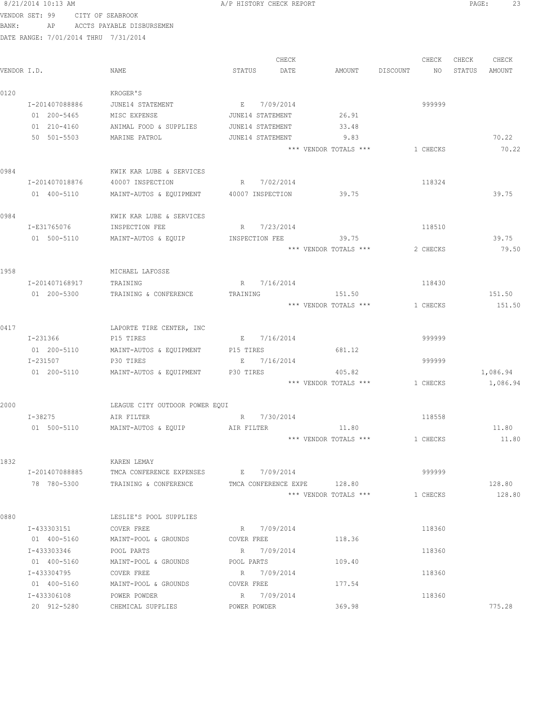|             | 8/21/2014 10:13 AM |                                      | A/P HISTORY CHECK REPORT                             |                | PAGE:<br>23      |
|-------------|--------------------|--------------------------------------|------------------------------------------------------|----------------|------------------|
|             | VENDOR SET: 99     | CITY OF SEABROOK                     |                                                      |                |                  |
| BANK:       | AP                 | ACCTS PAYABLE DISBURSEMEN            |                                                      |                |                  |
|             |                    | DATE RANGE: 7/01/2014 THRU 7/31/2014 |                                                      |                |                  |
|             |                    |                                      |                                                      |                |                  |
|             |                    |                                      | CHECK                                                | CHECK          | CHECK<br>CHECK   |
| VENDOR I.D. |                    | NAME                                 | STATUS<br>DATE<br>AMOUNT                             | DISCOUNT<br>NO | STATUS<br>AMOUNT |
| 0120        |                    | KROGER'S                             |                                                      |                |                  |
|             | I-201407088886     | JUNE14 STATEMENT                     | E 7/09/2014                                          | 999999         |                  |
|             | 01 200-5465        | MISC EXPENSE                         | 26.91<br>JUNE14 STATEMENT                            |                |                  |
|             | $01 210 - 4160$    | ANIMAL FOOD & SUPPLIES               | JUNE14 STATEMENT<br>33.48                            |                |                  |
|             | 50 501-5503        | MARINE PATROL                        | JUNE14 STATEMENT<br>9.83                             |                | 70.22            |
|             |                    |                                      | *** VENDOR TOTALS ***                                | 1 CHECKS       | 70.22            |
| 0984        |                    | KWIK KAR LUBE & SERVICES             |                                                      |                |                  |
|             | I-201407018876     | 40007 INSPECTION                     | R 7/02/2014                                          | 118324         |                  |
|             | 01 400-5110        | MAINT-AUTOS & EQUIPMENT              | 39.75<br>40007 INSPECTION                            |                | 39.75            |
|             |                    |                                      |                                                      |                |                  |
| 0984        |                    | KWIK KAR LUBE & SERVICES             |                                                      |                |                  |
|             | I-E31765076        | INSPECTION FEE                       | R 7/23/2014                                          | 118510         |                  |
|             | 01 500-5110        | MAINT-AUTOS & EQUIP                  | 39.75<br>INSPECTION FEE                              |                | 39.75            |
|             |                    |                                      | *** VENDOR TOTALS ***                                | 2 CHECKS       | 79.50            |
| 1958        |                    | MICHAEL LAFOSSE                      |                                                      |                |                  |
|             | I-201407168917     | TRAINING                             | R 7/16/2014                                          | 118430         |                  |
|             | 01 200-5300        | TRAINING & CONFERENCE                | 151.50<br>TRAINING                                   |                | 151.50           |
|             |                    |                                      | *** VENDOR TOTALS ***                                | 1 CHECKS       | 151.50           |
|             |                    |                                      |                                                      |                |                  |
| 0417        |                    | LAPORTE TIRE CENTER, INC             |                                                      |                |                  |
|             | I-231366           | P15 TIRES                            | E 7/16/2014                                          | 999999         |                  |
|             | 01 200-5110        | MAINT-AUTOS & EQUIPMENT              | P15 TIRES<br>681.12                                  |                |                  |
|             | I-231507           | P30 TIRES                            | E 7/16/2014                                          | 999999         |                  |
|             | 01 200-5110        | MAINT-AUTOS & EQUIPMENT              | P30 TIRES<br>405.82                                  |                | 1,086.94         |
|             |                    |                                      | *** VENDOR TOTALS ***                                | 1 CHECKS       | 1,086.94         |
| 2000        |                    | LEAGUE CITY OUTDOOR POWER EQUI       |                                                      |                |                  |
|             | I-38275            | AIR FILTER                           | R 7/30/2014                                          | 118558         |                  |
|             | 01 500-5110        | MAINT-AUTOS & EOUIP                  | 11.80<br>AIR FILTER                                  |                | 11.80            |
|             |                    |                                      | *** VENDOR TOTALS ***                                | 1 CHECKS       | 11.80            |
|             |                    |                                      |                                                      |                |                  |
| 1832        |                    | KAREN LEMAY                          |                                                      |                |                  |
|             | I-201407088885     | TMCA CONFERENCE EXPENSES E 7/09/2014 |                                                      | 999999         |                  |
|             | 78 780-5300        | TRAINING & CONFERENCE                | TMCA CONFERENCE EXPE 128.80<br>*** VENDOR TOTALS *** | 1 CHECKS       | 128.80<br>128.80 |
|             |                    |                                      |                                                      |                |                  |
| 0880        |                    | LESLIE'S POOL SUPPLIES               |                                                      |                |                  |
|             | I-433303151        | COVER FREE                           | R 7/09/2014                                          | 118360         |                  |
|             | 01 400-5160        | MAINT-POOL & GROUNDS                 | 118.36<br>COVER FREE                                 |                |                  |
|             | I-433303346        | POOL PARTS                           | R 7/09/2014                                          | 118360         |                  |
|             | 01 400-5160        | MAINT-POOL & GROUNDS                 | 109.40<br>POOL PARTS                                 |                |                  |
|             | I-433304795        | COVER FREE                           | R 7/09/2014                                          | 118360         |                  |
|             | 01 400-5160        | MAINT-POOL & GROUNDS                 | 177.54<br>COVER FREE                                 |                |                  |
|             | I-433306108        | POWER POWDER                         | R 7/09/2014                                          | 118360         | 775.28           |
|             | 20 912-5280        | CHEMICAL SUPPLIES                    | 369.98<br>POWER POWDER                               |                |                  |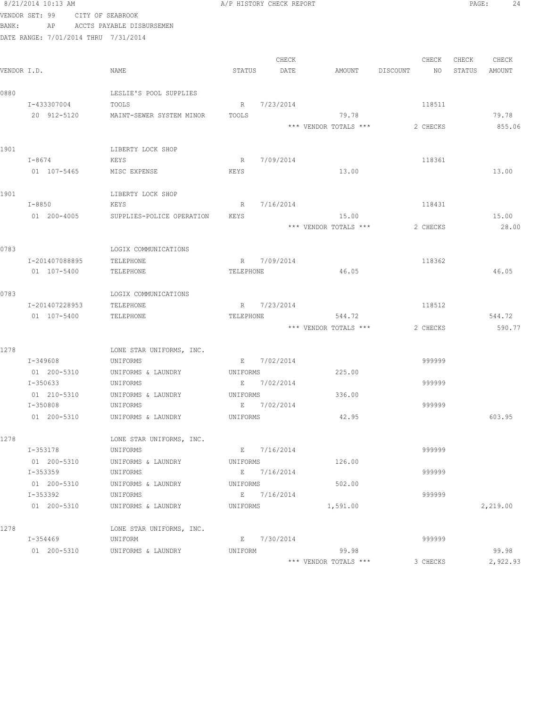|             | 8/21/2014 10:13 AM                   |                           |             | A/P HISTORY CHECK REPORT |                       |                | PAGE:  | 24       |
|-------------|--------------------------------------|---------------------------|-------------|--------------------------|-----------------------|----------------|--------|----------|
|             | VENDOR SET: 99<br>CITY OF SEABROOK   |                           |             |                          |                       |                |        |          |
| BANK:       | AP                                   | ACCTS PAYABLE DISBURSEMEN |             |                          |                       |                |        |          |
|             | DATE RANGE: 7/01/2014 THRU 7/31/2014 |                           |             |                          |                       |                |        |          |
|             |                                      |                           |             |                          |                       |                |        |          |
|             |                                      |                           |             | CHECK                    |                       | CHECK          | CHECK  | CHECK    |
| VENDOR I.D. |                                      | NAME                      | STATUS      | DATE                     | AMOUNT                | DISCOUNT<br>NO | STATUS | AMOUNT   |
|             |                                      |                           |             |                          |                       |                |        |          |
| 0880        |                                      | LESLIE'S POOL SUPPLIES    |             |                          |                       |                |        |          |
|             | I-433307004                          | TOOLS                     |             | R 7/23/2014              |                       | 118511         |        |          |
|             | 20 912-5120                          | MAINT-SEWER SYSTEM MINOR  | TOOLS       |                          | 79.78                 |                |        | 79.78    |
|             |                                      |                           |             |                          | *** VENDOR TOTALS *** | 2 CHECKS       |        | 855.06   |
|             |                                      |                           |             |                          |                       |                |        |          |
| 1901        |                                      | LIBERTY LOCK SHOP         |             |                          |                       |                |        |          |
|             | $I-8674$                             | KEYS                      | $R_{\odot}$ | 7/09/2014                |                       | 118361         |        |          |
|             | 01 107-5465                          | MISC EXPENSE              | KEYS        |                          | 13.00                 |                |        | 13.00    |
|             |                                      |                           |             |                          |                       |                |        |          |
| 1901        |                                      | LIBERTY LOCK SHOP         |             |                          |                       |                |        |          |
|             | I-8850                               | KEYS                      | R           | 7/16/2014                |                       | 118431         |        |          |
|             | 01 200-4005                          | SUPPLIES-POLICE OPERATION | KEYS        |                          | 15.00                 |                |        | 15.00    |
|             |                                      |                           |             |                          | *** VENDOR TOTALS *** | 2 CHECKS       |        | 28.00    |
|             |                                      |                           |             |                          |                       |                |        |          |
| 0783        |                                      | LOGIX COMMUNICATIONS      |             |                          |                       |                |        |          |
|             | I-201407088895                       | TELEPHONE                 | R           | 7/09/2014                |                       | 118362         |        |          |
|             | 01 107-5400                          | TELEPHONE                 | TELEPHONE   |                          | 46.05                 |                |        | 46.05    |
|             |                                      |                           |             |                          |                       |                |        |          |
| 0783        |                                      | LOGIX COMMUNICATIONS      |             |                          |                       |                |        |          |
|             | I-201407228953                       | TELEPHONE                 |             | R 7/23/2014              |                       | 118512         |        |          |
|             | 01 107-5400                          | TELEPHONE                 | TELEPHONE   |                          | 544.72                |                |        | 544.72   |
|             |                                      |                           |             |                          | *** VENDOR TOTALS *** | 2 CHECKS       |        | 590.77   |
| 1278        |                                      | LONE STAR UNIFORMS, INC.  |             |                          |                       |                |        |          |
|             | I-349608                             | UNIFORMS                  |             | E 7/02/2014              |                       | 999999         |        |          |
|             | 01 200-5310                          | UNIFORMS & LAUNDRY        | UNIFORMS    |                          | 225.00                |                |        |          |
|             | I-350633                             | UNIFORMS                  | E           | 7/02/2014                |                       | 999999         |        |          |
|             | 01 210-5310                          | UNIFORMS & LAUNDRY        | UNIFORMS    |                          | 336.00                |                |        |          |
|             | I-350808                             | UNIFORMS                  | Е           | 7/02/2014                |                       | 999999         |        |          |
|             | 01 200-5310                          | UNIFORMS & LAUNDRY        | UNIFORMS    |                          | 42.95                 |                |        | 603.95   |
|             |                                      |                           |             |                          |                       |                |        |          |
| 1278        |                                      | LONE STAR UNIFORMS, INC.  |             |                          |                       |                |        |          |
|             | I-353178                             | UNIFORMS                  |             | E 7/16/2014              |                       | 999999         |        |          |
|             | 01 200-5310                          | UNIFORMS & LAUNDRY        | UNIFORMS    |                          | 126.00                |                |        |          |
|             | I-353359                             | UNIFORMS                  |             | E 7/16/2014              |                       | 999999         |        |          |
|             | 01 200-5310                          | UNIFORMS & LAUNDRY        | UNIFORMS    |                          | 502.00                |                |        |          |
|             | I-353392                             | UNIFORMS                  |             | E 7/16/2014              |                       | 999999         |        |          |
|             | 01 200-5310                          | UNIFORMS & LAUNDRY        | UNIFORMS    |                          | 1,591.00              |                |        | 2,219.00 |
|             |                                      |                           |             |                          |                       |                |        |          |
| 1278        |                                      | LONE STAR UNIFORMS, INC.  |             |                          |                       |                |        |          |
|             | I-354469                             | UNIFORM                   |             | E 7/30/2014              |                       | 999999         |        |          |
|             | 01 200-5310                          | UNIFORMS & LAUNDRY        | UNIFORM     |                          | 99.98                 |                |        | 99.98    |
|             |                                      |                           |             |                          | *** VENDOR TOTALS *** | 3 CHECKS       |        | 2,922.93 |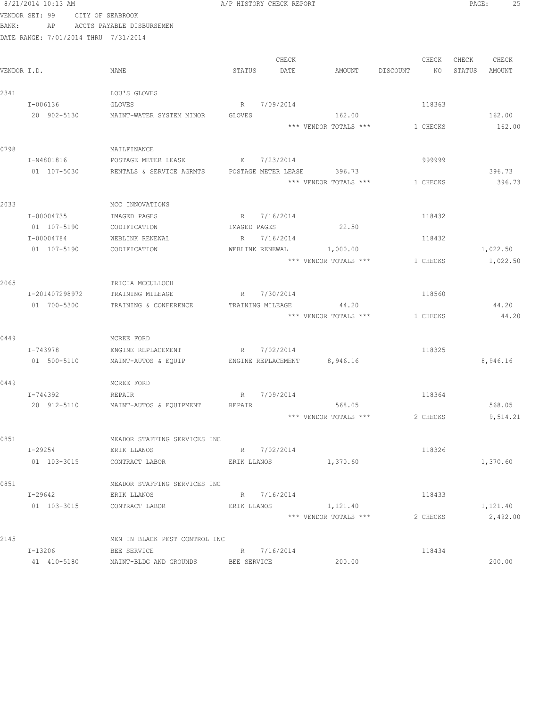|       | 8/21/2014 10:13 AM                   |                                            |               | A/P HISTORY CHECK REPORT |                             |          |    | PAGE:  | 25       |  |
|-------|--------------------------------------|--------------------------------------------|---------------|--------------------------|-----------------------------|----------|----|--------|----------|--|
|       | VENDOR SET: 99                       | CITY OF SEABROOK                           |               |                          |                             |          |    |        |          |  |
| BANK: | AP                                   | ACCTS PAYABLE DISBURSEMEN                  |               |                          |                             |          |    |        |          |  |
|       | DATE RANGE: 7/01/2014 THRU 7/31/2014 |                                            |               |                          |                             |          |    |        |          |  |
|       |                                      |                                            |               |                          |                             |          |    |        |          |  |
|       |                                      |                                            |               | CHECK                    |                             | CHECK    |    | CHECK  | CHECK    |  |
|       | VENDOR I.D.                          | NAME                                       | STATUS        | DATE                     | AMOUNT                      | DISCOUNT | NO | STATUS | AMOUNT   |  |
| 2341  |                                      | LOU'S GLOVES                               |               |                          |                             |          |    |        |          |  |
|       | I-006136                             | GLOVES                                     |               | R 7/09/2014              |                             | 118363   |    |        |          |  |
|       | 20 902-5130                          | MAINT-WATER SYSTEM MINOR                   | <b>GLOVES</b> |                          | 162.00                      |          |    |        | 162.00   |  |
|       |                                      |                                            |               |                          | *** VENDOR TOTALS ***       | 1 CHECKS |    |        | 162.00   |  |
|       |                                      |                                            |               |                          |                             |          |    |        |          |  |
| 0798  |                                      | MAILFINANCE                                |               |                          |                             |          |    |        |          |  |
|       | I-N4801816                           | POSTAGE METER LEASE                        |               | E 7/23/2014              |                             | 999999   |    |        |          |  |
|       | 01 107-5030                          | RENTALS & SERVICE AGRMTS                   |               |                          | POSTAGE METER LEASE 396.73  |          |    |        | 396.73   |  |
|       |                                      |                                            |               |                          | *** VENDOR TOTALS ***       | 1 CHECKS |    |        | 396.73   |  |
|       |                                      |                                            |               |                          |                             |          |    |        |          |  |
| 2033  |                                      | MCC INNOVATIONS                            |               |                          |                             |          |    |        |          |  |
|       | I-00004735                           | IMAGED PAGES                               |               | R 7/16/2014              |                             | 118432   |    |        |          |  |
|       | 01 107-5190                          | CODIFICATION                               |               | IMAGED PAGES             | 22.50                       |          |    |        |          |  |
|       | I-00004784                           | WEBLINK RENEWAL                            |               | R 7/16/2014              |                             | 118432   |    |        |          |  |
|       | 01 107-5190                          | CODIFICATION                               |               |                          | WEBLINK RENEWAL 1,000.00    |          |    |        | 1,022.50 |  |
|       |                                      |                                            |               |                          | *** VENDOR TOTALS ***       | 1 CHECKS |    |        | 1,022.50 |  |
|       |                                      |                                            |               |                          |                             |          |    |        |          |  |
| 2065  | I-201407298972                       | TRICIA MCCULLOCH<br>TRAINING MILEAGE       |               | R 7/30/2014              |                             | 118560   |    |        |          |  |
|       | 01 700-5300                          |                                            |               |                          | 44.20                       |          |    |        | 44.20    |  |
|       |                                      | TRAINING & CONFERENCE                      |               | TRAINING MILEAGE         | *** VENDOR TOTALS ***       | 1 CHECKS |    |        | 44.20    |  |
|       |                                      |                                            |               |                          |                             |          |    |        |          |  |
| 0449  |                                      | MCREE FORD                                 |               |                          |                             |          |    |        |          |  |
|       | I-743978                             | ENGINE REPLACEMENT                         |               | R 7/02/2014              |                             | 118325   |    |        |          |  |
|       | 01 500-5110                          | MAINT-AUTOS & EQUIP                        |               |                          | ENGINE REPLACEMENT 8,946.16 |          |    |        | 8,946.16 |  |
|       |                                      |                                            |               |                          |                             |          |    |        |          |  |
| 0449  |                                      | MCREE FORD                                 |               |                          |                             |          |    |        |          |  |
|       | I-744392                             | REPAIR                                     |               | R 7/09/2014              |                             | 118364   |    |        |          |  |
|       |                                      | 20 912-5110 MAINT-AUTOS & EQUIPMENT REPAIR |               |                          | 568.05                      |          |    |        | 568.05   |  |
|       |                                      |                                            |               |                          | *** VENDOR TOTALS ***       | 2 CHECKS |    |        | 9,514.21 |  |
|       |                                      |                                            |               |                          |                             |          |    |        |          |  |
| 0851  |                                      | MEADOR STAFFING SERVICES INC               |               |                          |                             |          |    |        |          |  |
|       | I-29254                              | ERIK LLANOS                                |               | R 7/02/2014              |                             | 118326   |    |        |          |  |
|       | 01 103-3015                          | CONTRACT LABOR                             | ERIK LLANOS   |                          | 1,370.60                    |          |    |        | 1,370.60 |  |
| 0851  |                                      | MEADOR STAFFING SERVICES INC               |               |                          |                             |          |    |        |          |  |
|       | I-29642                              | ERIK LLANOS                                |               | R 7/16/2014              |                             | 118433   |    |        |          |  |
|       | 01 103-3015                          | CONTRACT LABOR                             | ERIK LLANOS   |                          | 1,121.40                    |          |    |        | 1,121.40 |  |
|       |                                      |                                            |               |                          | *** VENDOR TOTALS ***       | 2 CHECKS |    |        | 2,492.00 |  |
|       |                                      |                                            |               |                          |                             |          |    |        |          |  |
| 2145  |                                      | MEN IN BLACK PEST CONTROL INC              |               |                          |                             |          |    |        |          |  |
|       | I-13206                              | BEE SERVICE                                |               | R 7/16/2014              |                             | 118434   |    |        |          |  |
|       | 41 410-5180                          | MAINT-BLDG AND GROUNDS                     | BEE SERVICE   |                          | 200.00                      |          |    |        | 200.00   |  |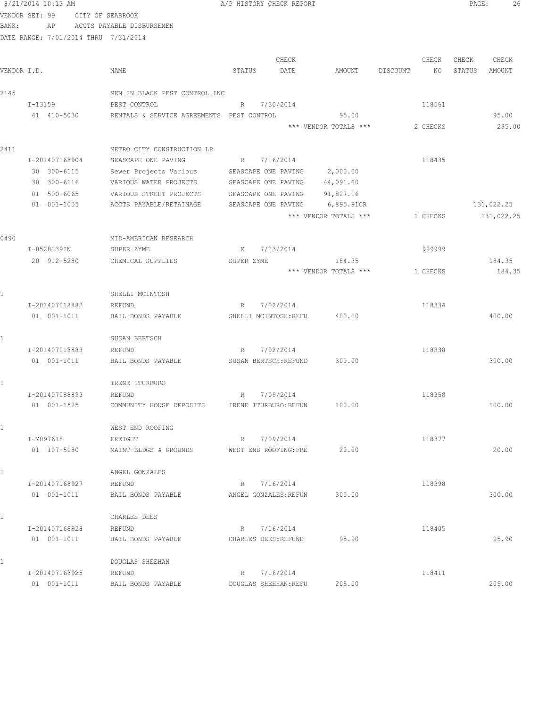|       | 8/21/2014 10:13 AM                   |                                           | A/P HISTORY CHECK REPORT             |                       |                | PAGE:  | 26         |
|-------|--------------------------------------|-------------------------------------------|--------------------------------------|-----------------------|----------------|--------|------------|
|       | VENDOR SET: 99 CITY OF SEABROOK      |                                           |                                      |                       |                |        |            |
| BANK: |                                      | AP ACCTS PAYABLE DISBURSEMEN              |                                      |                       |                |        |            |
|       | DATE RANGE: 7/01/2014 THRU 7/31/2014 |                                           |                                      |                       |                |        |            |
|       |                                      |                                           | CHECK                                |                       | CHECK          | CHECK  | CHECK      |
|       | VENDOR I.D.                          | NAME                                      | STATUS<br>DATE                       | AMOUNT                | DISCOUNT<br>NO | STATUS | AMOUNT     |
|       |                                      |                                           |                                      |                       |                |        |            |
| 2145  |                                      | MEN IN BLACK PEST CONTROL INC             |                                      |                       |                |        |            |
|       | $I-13159$                            | PEST CONTROL                              | R 7/30/2014                          |                       | 118561         |        |            |
|       | 41 410-5030                          | RENTALS & SERVICE AGREEMENTS PEST CONTROL |                                      | 95.00                 |                |        | 95.00      |
|       |                                      |                                           |                                      | *** VENDOR TOTALS *** | 2 CHECKS       |        | 295.00     |
| 2411  |                                      | METRO CITY CONSTRUCTION LP                |                                      |                       |                |        |            |
|       | I-201407168904                       | SEASCAPE ONE PAVING                       | R 7/16/2014                          |                       | 118435         |        |            |
|       | 30 300-6115                          | Sewer Projects Various                    | SEASCAPE ONE PAVING                  | 2,000.00              |                |        |            |
|       | 30 300-6116                          | VARIOUS WATER PROJECTS                    | SEASCAPE ONE PAVING                  | 44,091.00             |                |        |            |
|       | 01 500-6065                          | VARIOUS STREET PROJECTS                   | SEASCAPE ONE PAVING                  | 91,827.16             |                |        |            |
|       | 01 001-1005                          | ACCTS PAYABLE/RETAINAGE                   | SEASCAPE ONE PAVING                  | 6,895.91CR            |                |        | 131,022.25 |
|       |                                      |                                           |                                      | *** VENDOR TOTALS *** | 1 CHECKS       |        | 131,022.25 |
|       |                                      |                                           |                                      |                       |                |        |            |
| 0490  |                                      | MID-AMERICAN RESEARCH                     |                                      |                       |                |        |            |
|       | I-0528139IN                          | SUPER ZYME                                | 7/23/2014<br>E                       |                       | 999999         |        |            |
|       | 20 912-5280                          | CHEMICAL SUPPLIES                         | SUPER ZYME                           | 184.35                |                |        | 184.35     |
|       |                                      |                                           |                                      | *** VENDOR TOTALS *** | 1 CHECKS       |        | 184.35     |
|       |                                      | SHELLI MCINTOSH                           |                                      |                       |                |        |            |
|       |                                      |                                           | 7/02/2014<br>R                       |                       |                |        |            |
|       | I-201407018882<br>01 001-1011        | REFUND<br>BAIL BONDS PAYABLE              | SHELLI MCINTOSH:REFU                 | 400.00                | 118334         |        | 400.00     |
|       |                                      |                                           |                                      |                       |                |        |            |
| 1     |                                      | SUSAN BERTSCH                             |                                      |                       |                |        |            |
|       | I-201407018883                       | REFUND                                    | 7/02/2014<br>R                       |                       | 118338         |        |            |
|       | 01 001-1011                          | BAIL BONDS PAYABLE                        | SUSAN BERTSCH: REFUND                | 300.00                |                |        | 300.00     |
|       |                                      |                                           |                                      |                       |                |        |            |
| 1     |                                      | IRENE ITURBURO                            |                                      |                       |                |        |            |
|       | I-201407088893                       | REFUND                                    | R 7/09/2014                          |                       | 118358         |        |            |
|       | 01 001-1525                          | COMMUNITY HOUSE DEPOSITS                  | IRENE ITURBURO: REFUN                | 100.00                |                |        | 100.00     |
|       |                                      | WEST END ROOFING                          |                                      |                       |                |        |            |
|       | I-M097618                            |                                           | R 7/09/2014                          |                       | 118377         |        |            |
|       | 01 107-5180                          | FREIGHT<br>MAINT-BLDGS & GROUNDS          | WEST END ROOFING: FRE                | 20.00                 |                |        | 20.00      |
|       |                                      |                                           |                                      |                       |                |        |            |
| $1 -$ |                                      | ANGEL GONZALES                            |                                      |                       |                |        |            |
|       | I-201407168927                       | REFUND                                    | R 7/16/2014                          |                       | 118398         |        |            |
|       | 01 001-1011                          | BAIL BONDS PAYABLE                        | ANGEL GONZALES: REFUN                | 300.00                |                |        | 300.00     |
|       |                                      |                                           |                                      |                       |                |        |            |
| $1 -$ |                                      | CHARLES DEES                              |                                      |                       |                |        |            |
|       | I-201407168928                       | REFUND                                    | R 7/16/2014                          |                       | 118405         |        |            |
|       | 01 001-1011                          | BAIL BONDS PAYABLE                        | CHARLES DEES: REFUND                 | 95.90                 |                |        | 95.90      |
|       |                                      |                                           |                                      |                       |                |        |            |
| 1     |                                      | DOUGLAS SHEEHAN                           |                                      |                       |                |        |            |
|       | I-201407168925<br>01 001-1011        | REFUND<br>BAIL BONDS PAYABLE              | R 7/16/2014<br>DOUGLAS SHEEHAN: REFU | 205.00                | 118411         |        | 205.00     |
|       |                                      |                                           |                                      |                       |                |        |            |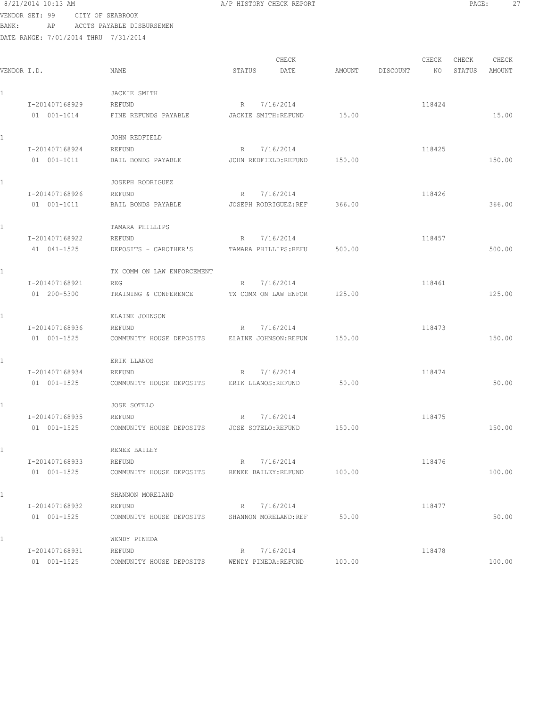8/21/2014 10:13 AM **A/P HISTORY CHECK REPORT PAGE:** 27 VENDOR SET: 99 CITY OF SEABROOK

BANK: AP ACCTS PAYABLE DISBURSEMEN

| VENDOR I.D.    | NAME                       | CHECK<br>STATUS<br>DATE | AMOUNT | CHECK<br>DISCOUNT<br>NO | CHECK<br>CHECK<br>STATUS<br>AMOUNT |
|----------------|----------------------------|-------------------------|--------|-------------------------|------------------------------------|
|                | JACKIE SMITH               |                         |        |                         |                                    |
| I-201407168929 | REFUND                     | 7/16/2014<br>R          |        | 118424                  |                                    |
| 01 001-1014    | FINE REFUNDS PAYABLE       | JACKIE SMITH: REFUND    | 15.00  |                         | 15.00                              |
|                | JOHN REDFIELD              |                         |        |                         |                                    |
| I-201407168924 | REFUND                     | 7/16/2014<br>R          |        | 118425                  |                                    |
| 01 001-1011    | BAIL BONDS PAYABLE         | JOHN REDFIELD: REFUND   | 150.00 |                         | 150.00                             |
|                | JOSEPH RODRIGUEZ           |                         |        |                         |                                    |
| I-201407168926 | REFUND                     | 7/16/2014<br>R          |        | 118426                  |                                    |
| 01 001-1011    | BAIL BONDS PAYABLE         | JOSEPH RODRIGUEZ:REF    | 366.00 |                         | 366.00                             |
|                | TAMARA PHILLIPS            |                         |        |                         |                                    |
| I-201407168922 | REFUND                     | 7/16/2014<br>R          |        | 118457                  |                                    |
| 41 041-1525    | DEPOSITS - CAROTHER'S      | TAMARA PHILLIPS:REFU    | 500.00 |                         | 500.00                             |
|                | TX COMM ON LAW ENFORCEMENT |                         |        |                         |                                    |
| I-201407168921 | REG                        | 7/16/2014<br>R          |        | 118461                  |                                    |
| 01 200-5300    | TRAINING & CONFERENCE      | TX COMM ON LAW ENFOR    | 125.00 |                         | 125.00                             |
|                | ELAINE JOHNSON             |                         |        |                         |                                    |
| I-201407168936 | REFUND                     | 7/16/2014<br>R          |        | 118473                  |                                    |
| 01 001-1525    | COMMUNITY HOUSE DEPOSITS   | ELAINE JOHNSON: REFUN   | 150.00 |                         | 150.00                             |
|                | ERIK LLANOS                |                         |        |                         |                                    |
| I-201407168934 | REFUND                     | 7/16/2014<br>R          |        | 118474                  |                                    |
| 01 001-1525    | COMMUNITY HOUSE DEPOSITS   | ERIK LLANOS: REFUND     | 50.00  |                         | 50.00                              |
|                | JOSE SOTELO                |                         |        |                         |                                    |
| I-201407168935 | REFUND                     | 7/16/2014<br>R          |        | 118475                  |                                    |
| 01 001-1525    | COMMUNITY HOUSE DEPOSITS   | JOSE SOTELO: REFUND     | 150.00 |                         | 150.00                             |
|                | RENEE BAILEY               |                         |        |                         |                                    |
| I-201407168933 | REFUND                     | 7/16/2014<br>R          |        | 118476                  |                                    |
| 01 001-1525    | COMMUNITY HOUSE DEPOSITS   | RENEE BAILEY: REFUND    | 100.00 |                         | 100.00                             |
|                | SHANNON MORELAND           |                         |        |                         |                                    |
| I-201407168932 | REFUND                     | 7/16/2014<br>R          |        | 118477                  |                                    |
| 01 001-1525    | COMMUNITY HOUSE DEPOSITS   | SHANNON MORELAND: REF   | 50.00  |                         | 50.00                              |
|                | WENDY PINEDA               |                         |        |                         |                                    |
| I-201407168931 | REFUND                     | 7/16/2014<br>R          |        | 118478                  |                                    |
| 01 001-1525    | COMMUNITY HOUSE DEPOSITS   | WENDY PINEDA: REFUND    | 100.00 |                         | 100.00                             |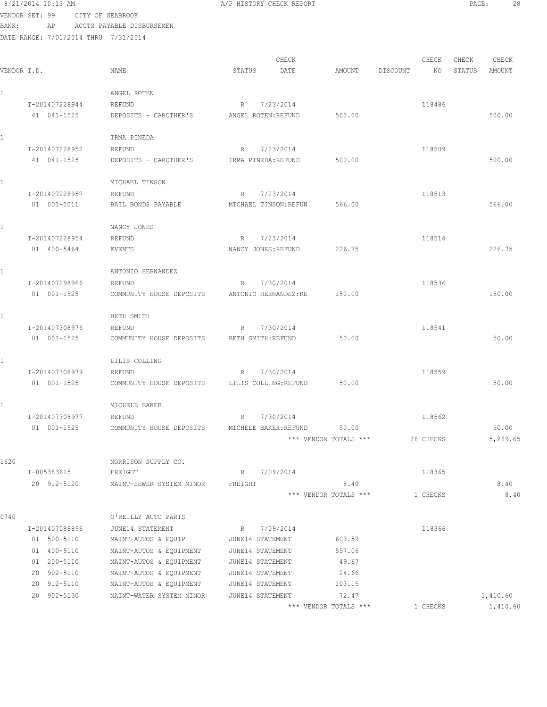| 8/21/2014 10:13 AM |  |  |                  |  |
|--------------------|--|--|------------------|--|
| VENDOR SET: 99     |  |  | CITY OF SEABROOK |  |

BANK: AP ACCTS PAYABLE DISBURSEMEN

| VENDOR I.D. |                | NAME                     | CHECK<br>DATE<br>STATUS  | AMOUNT                | DISCOUNT | CHECK<br>NO. | CHECK<br>STATUS | CHECK<br>AMOUNT |
|-------------|----------------|--------------------------|--------------------------|-----------------------|----------|--------------|-----------------|-----------------|
|             |                |                          |                          |                       |          |              |                 |                 |
| 1           |                | ANGEL ROTEN              |                          |                       |          |              |                 |                 |
|             | I-201407228944 | REFUND                   | 7/23/2014<br>R           |                       |          | 118486       |                 |                 |
|             | 41 041-1525    | DEPOSITS - CAROTHER'S    | ANGEL ROTEN: REFUND      | 500.00                |          |              |                 | 500.00          |
| 1           |                | IRMA PINEDA              |                          |                       |          |              |                 |                 |
|             | I-201407228952 | REFUND                   | 7/23/2014<br>R           |                       |          | 118509       |                 |                 |
|             | 41 041-1525    | DEPOSITS - CAROTHER'S    | IRMA PINEDA: REFUND      | 500.00                |          |              |                 | 500.00          |
| 1.          |                | MICHAEL TINSON           |                          |                       |          |              |                 |                 |
|             | I-201407228957 | REFUND                   | 7/23/2014<br>$R_{\perp}$ |                       |          | 118513       |                 |                 |
|             | 01 001-1011    | BAIL BONDS PAYABLE       | MICHAEL TINSON: REFUN    | 566.00                |          |              |                 | 566.00          |
| 1           |                | NANCY JONES              |                          |                       |          |              |                 |                 |
|             | I-201407228954 | REFUND                   | 7/23/2014<br>R           |                       |          | 118514       |                 |                 |
|             | 01 400-5464    | EVENTS                   | NANCY JONES: REFUND      | 226.75                |          |              |                 | 226.75          |
| 1           |                | ANTONIO HERNANDEZ        |                          |                       |          |              |                 |                 |
|             | I-201407298966 | <b>REFUND</b>            | 7/30/2014<br>R           |                       |          | 118536       |                 |                 |
|             | 01 001-1525    | COMMUNITY HOUSE DEPOSITS | ANTONIO HERNANDEZ:RE     | 150.00                |          |              |                 | 150.00          |
| 1           |                | BETH SMITH               |                          |                       |          |              |                 |                 |
|             | I-201407308976 | REFUND                   | 7/30/2014<br>R           |                       |          | 118541       |                 |                 |
|             | 01 001-1525    | COMMUNITY HOUSE DEPOSITS | BETH SMITH; REFUND       | 50.00                 |          |              |                 | 50.00           |
|             |                | LILIS COLLING            |                          |                       |          |              |                 |                 |
|             | I-201407308979 | REFUND                   | 7/30/2014<br>R           |                       |          | 118559       |                 |                 |
|             | 01 001-1525    | COMMUNITY HOUSE DEPOSITS | LILIS COLLING: REFUND    | 50.00                 |          |              |                 | 50.00           |
| 1           |                | MICHELE BAKER            |                          |                       |          |              |                 |                 |
|             | I-201407308977 | REFUND                   | 7/30/2014<br>R           |                       |          | 118562       |                 |                 |
|             | 01 001-1525    | COMMUNITY HOUSE DEPOSITS | MICHELE BAKER; REFUND    | 50.00                 |          |              |                 | 50.00           |
|             |                |                          |                          | *** VENDOR TOTALS *** |          | 26 CHECKS    |                 | 5,269.65        |
| 1620        |                | MORRISON SUPPLY CO.      |                          |                       |          |              |                 |                 |
|             | I-005383615    | FREIGHT                  | R 7/09/2014              |                       |          | 118365       |                 |                 |
|             | 20 912-5120    | MAINT-SEWER SYSTEM MINOR | FREIGHT                  | 8.40                  |          |              |                 | 8.40            |
|             |                |                          |                          | *** VENDOR TOTALS *** |          | 1 CHECKS     |                 | 8.40            |
| 0740        |                | O'REILLY AUTO PARTS      |                          |                       |          |              |                 |                 |
|             | I-201407088896 | JUNE14 STATEMENT         | R 7/09/2014              |                       |          | 118366       |                 |                 |
|             | 01 500-5110    | MAINT-AUTOS & EQUIP      | JUNE14 STATEMENT         | 603.59                |          |              |                 |                 |
|             | 01 400-5110    | MAINT-AUTOS & EQUIPMENT  | JUNE14 STATEMENT         | 557.06                |          |              |                 |                 |
|             | 01 200-5110    | MAINT-AUTOS & EQUIPMENT  | JUNE14 STATEMENT         | 49.67                 |          |              |                 |                 |
|             | 20 902-5110    | MAINT-AUTOS & EQUIPMENT  | JUNE14 STATEMENT         | 24.66                 |          |              |                 |                 |
|             | 20 912-5110    | MAINT-AUTOS & EQUIPMENT  | JUNE14 STATEMENT         | 103.15                |          |              |                 |                 |
|             | 20 902-5130    | MAINT-WATER SYSTEM MINOR | JUNE14 STATEMENT         | 72.47                 |          |              |                 | 1,410.60        |
|             |                |                          |                          | *** VENDOR TOTALS *** |          | 1 CHECKS     |                 | 1,410.60        |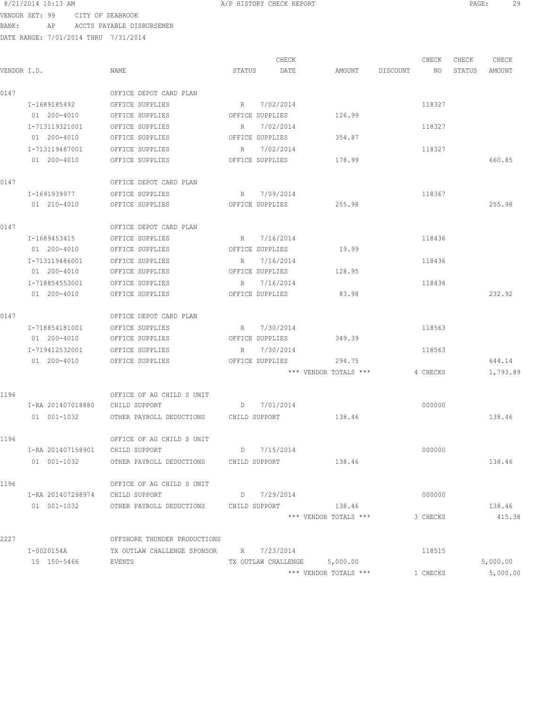## 8/21/2014 10:13 AM **PAGE:** 29

VENDOR SET: 99 CITY OF SEABROOK BANK: AP ACCTS PAYABLE DISBURSEMEN

|             |                                 |                                               |                 | CHECK       |                              |             | CHECK    | CHECK  | CHECK    |
|-------------|---------------------------------|-----------------------------------------------|-----------------|-------------|------------------------------|-------------|----------|--------|----------|
| VENDOR I.D. |                                 | NAME                                          | STATUS          | DATE        | AMOUNT                       | DISCOUNT NO |          | STATUS | AMOUNT   |
| 0147        |                                 | OFFICE DEPOT CARD PLAN                        |                 |             |                              |             |          |        |          |
|             | I-1689185492                    | OFFICE SUPPLIES                               | R 7/02/2014     |             |                              |             | 118327   |        |          |
|             | 01 200-4010                     | OFFICE SUPPLIES                               | OFFICE SUPPLIES |             | 126.99                       |             |          |        |          |
|             | I-713119321001                  | OFFICE SUPPLIES                               | R 7/02/2014     |             |                              |             | 118327   |        |          |
|             | 01 200-4010                     | OFFICE SUPPLIES                               | OFFICE SUPPLIES |             | 354.87                       |             |          |        |          |
|             | I-713119487001                  | OFFICE SUPPLIES                               | R 7/02/2014     |             |                              |             | 118327   |        |          |
|             | 01 200-4010                     | OFFICE SUPPLIES                               | OFFICE SUPPLIES |             | 178.99                       |             |          |        | 660.85   |
| 0147        |                                 | OFFICE DEPOT CARD PLAN                        |                 |             |                              |             |          |        |          |
|             | I-1691939977                    | OFFICE SUPPLIES                               | R 7/09/2014     |             |                              |             | 118367   |        |          |
|             | 01 210-4010                     | OFFICE SUPPLIES                               | OFFICE SUPPLIES |             | 255.98                       |             |          |        | 255.98   |
| 0147        |                                 | OFFICE DEPOT CARD PLAN                        |                 |             |                              |             |          |        |          |
|             | I-1689453415                    | OFFICE SUPPLIES                               | R 7/16/2014     |             |                              |             | 118436   |        |          |
|             | 01 200-4010                     | OFFICE SUPPLIES                               | OFFICE SUPPLIES |             | 19.99                        |             |          |        |          |
|             | I-713119486001                  | OFFICE SUPPLIES                               |                 | R 7/16/2014 |                              |             | 118436   |        |          |
|             | 01 200-4010                     | OFFICE SUPPLIES                               | OFFICE SUPPLIES |             | 128.95                       |             |          |        |          |
|             | I-718854553001                  | OFFICE SUPPLIES                               | R               | 7/16/2014   |                              |             | 118436   |        |          |
|             | 01 200-4010                     | OFFICE SUPPLIES                               | OFFICE SUPPLIES |             | 83.98                        |             |          |        | 232.92   |
| 0147        |                                 | OFFICE DEPOT CARD PLAN                        |                 |             |                              |             |          |        |          |
|             | I-718854181001                  | OFFICE SUPPLIES                               | R 7/30/2014     |             |                              |             | 118563   |        |          |
|             | 01 200-4010                     | OFFICE SUPPLIES                               | OFFICE SUPPLIES |             | 349.39                       |             |          |        |          |
|             | I-719412532001                  | OFFICE SUPPLIES                               | R 7/30/2014     |             |                              |             | 118563   |        |          |
|             | 01 200-4010                     | OFFICE SUPPLIES                               | OFFICE SUPPLIES |             | 294.75                       |             |          |        | 644.14   |
|             |                                 |                                               |                 |             | *** VENDOR TOTALS ***        |             | 4 CHECKS |        | 1,793.89 |
| 1196        |                                 | OFFICE OF AG CHILD S UNIT                     |                 |             |                              |             |          |        |          |
|             | I-RA 201407018880 CHILD SUPPORT |                                               | D 7/01/2014     |             |                              |             | 000000   |        |          |
|             | 01  001-1032                    | OTHER PAYROLL DEDUCTIONS CHILD SUPPORT        |                 |             | 138.46                       |             |          |        | 138.46   |
| 1196        |                                 | OFFICE OF AG CHILD S UNIT                     |                 |             |                              |             |          |        |          |
|             | I-RA 201407158901 CHILD SUPPORT |                                               | D 7/15/2014     |             |                              |             | 000000   |        |          |
|             | 01 001-1032                     | OTHER PAYROLL DEDUCTIONS CHILD SUPPORT        |                 |             | 138.46                       |             |          |        | 138.46   |
| 1196        |                                 | OFFICE OF AG CHILD S UNIT                     |                 |             |                              |             |          |        |          |
|             | I-RA 201407298974 CHILD SUPPORT |                                               | D 7/29/2014     |             |                              |             | 000000   |        |          |
|             | 01 001-1032                     | OTHER PAYROLL DEDUCTIONS CHILD SUPPORT 138.46 |                 |             |                              |             |          |        | 138.46   |
|             |                                 |                                               |                 |             | *** VENDOR TOTALS ***        |             | 3 CHECKS |        | 415.38   |
| 2227        |                                 | OFFSHORE THUNDER PRODUCTIONS                  |                 |             |                              |             |          |        |          |
|             | I-0020154A                      | TX OUTLAW CHALLENGE SPONSOR R 7/23/2014       |                 |             |                              |             | 118515   |        |          |
|             | 15 150-5466                     | EVENTS                                        |                 |             | TX OUTLAW CHALLENGE 5,000.00 |             |          |        | 5,000.00 |
|             |                                 |                                               |                 |             | *** VENDOR TOTALS ***        |             | 1 CHECKS |        | 5,000.00 |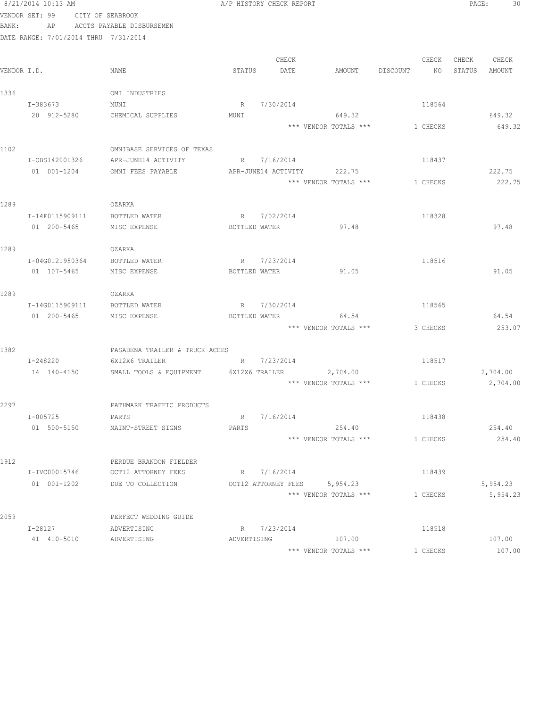|             | 8/21/2014 10:13 AM                   |                                |                    | A/P HISTORY CHECK REPORT     |                       |                | PAGE:  | 30       |
|-------------|--------------------------------------|--------------------------------|--------------------|------------------------------|-----------------------|----------------|--------|----------|
|             | VENDOR SET: 99                       | CITY OF SEABROOK               |                    |                              |                       |                |        |          |
| BANK:       | AP                                   | ACCTS PAYABLE DISBURSEMEN      |                    |                              |                       |                |        |          |
|             | DATE RANGE: 7/01/2014 THRU 7/31/2014 |                                |                    |                              |                       |                |        |          |
|             |                                      |                                |                    |                              |                       |                |        |          |
|             |                                      |                                |                    | CHECK                        |                       | CHECK          | CHECK  | CHECK    |
| VENDOR I.D. |                                      | NAME                           | STATUS             | DATE                         | AMOUNT                | DISCOUNT<br>NO | STATUS | AMOUNT   |
|             |                                      |                                |                    |                              |                       |                |        |          |
| 1336        |                                      | OMI INDUSTRIES                 |                    |                              |                       |                |        |          |
|             | I-383673                             | MUNI                           | R                  | 7/30/2014                    |                       | 118564         |        |          |
|             | 20 912-5280                          | CHEMICAL SUPPLIES              | MUNI               |                              | 649.32                |                |        | 649.32   |
|             |                                      |                                |                    |                              | *** VENDOR TOTALS *** | 1 CHECKS       |        | 649.32   |
|             |                                      |                                |                    |                              |                       |                |        |          |
| 1102        |                                      | OMNIBASE SERVICES OF TEXAS     |                    |                              |                       |                |        |          |
|             | I-0BS142001326                       | APR-JUNE14 ACTIVITY            |                    | R 7/16/2014                  |                       | 118437         |        |          |
|             | 01 001-1204                          | OMNI FEES PAYABLE              |                    | APR-JUNE14 ACTIVITY          | 222.75                |                |        | 222.75   |
|             |                                      |                                |                    |                              | *** VENDOR TOTALS *** | 1 CHECKS       |        | 222.75   |
|             |                                      |                                |                    |                              |                       |                |        |          |
| 1289        |                                      | OZARKA                         |                    |                              |                       |                |        |          |
|             | I-14F0115909111                      | BOTTLED WATER                  | R                  | 7/02/2014                    |                       | 118328         |        |          |
|             | 01 200-5465                          | MISC EXPENSE                   | BOTTLED WATER      |                              | 97.48                 |                |        | 97.48    |
| 1289        |                                      | OZARKA                         |                    |                              |                       |                |        |          |
|             | I-04G0121950364                      |                                |                    | 7/23/2014                    |                       | 118516         |        |          |
|             | 01 107-5465                          | BOTTLED WATER<br>MISC EXPENSE  | R<br>BOTTLED WATER |                              | 91.05                 |                |        | 91.05    |
|             |                                      |                                |                    |                              |                       |                |        |          |
| 1289        |                                      | OZARKA                         |                    |                              |                       |                |        |          |
|             | I-14G0115909111                      | BOTTLED WATER                  |                    | R 7/30/2014                  |                       | 118565         |        |          |
|             | 01 200-5465                          | MISC EXPENSE                   | BOTTLED WATER      |                              | 64.54                 |                |        | 64.54    |
|             |                                      |                                |                    |                              | *** VENDOR TOTALS *** | 3 CHECKS       |        | 253.07   |
|             |                                      |                                |                    |                              |                       |                |        |          |
| 1382        |                                      | PASADENA TRAILER & TRUCK ACCES |                    |                              |                       |                |        |          |
|             | I-248220                             | 6X12X6 TRAILER                 |                    | R 7/23/2014                  |                       | 118517         |        |          |
|             | 14 140-4150                          | SMALL TOOLS & EQUIPMENT        | 6X12X6 TRAILER     |                              | 2,704.00              |                |        | 2,704.00 |
|             |                                      |                                |                    |                              | *** VENDOR TOTALS *** | 1 CHECKS       |        | 2,704.00 |
|             |                                      |                                |                    |                              |                       |                |        |          |
| 2297        |                                      | PATHMARK TRAFFIC PRODUCTS      |                    |                              |                       |                |        |          |
|             | I-005725                             | PARTS                          | $R_{\parallel}$    | 7/16/2014                    |                       | 118438         |        |          |
|             | 01 500-5150                          | MAINT-STREET SIGNS             | PARTS              |                              | 254.40                |                |        | 254.40   |
|             |                                      |                                |                    |                              | *** VENDOR TOTALS *** | 1 CHECKS       |        | 254.40   |
|             |                                      |                                |                    |                              |                       |                |        |          |
| 1912        |                                      | PERDUE BRANDON FIELDER         |                    |                              |                       |                |        |          |
|             | I-IVC00015746                        | OCT12 ATTORNEY FEES            |                    | R 7/16/2014                  |                       | 118439         |        |          |
|             | 01 001-1202                          | DUE TO COLLECTION              |                    | OCT12 ATTORNEY FEES 5,954.23 |                       |                |        | 5,954.23 |
|             |                                      |                                |                    |                              | *** VENDOR TOTALS *** | 1 CHECKS       |        | 5,954.23 |
|             |                                      |                                |                    |                              |                       |                |        |          |
| 2059        |                                      | PERFECT WEDDING GUIDE          |                    |                              |                       |                |        |          |
|             | I-28127                              | ADVERTISING                    |                    | R 7/23/2014                  |                       | 118518         |        |          |
|             | 41 410-5010                          | ADVERTISING                    | ADVERTISING        |                              | 107.00                |                |        | 107.00   |
|             |                                      |                                |                    |                              | *** VENDOR TOTALS *** | 1 CHECKS       |        | 107.00   |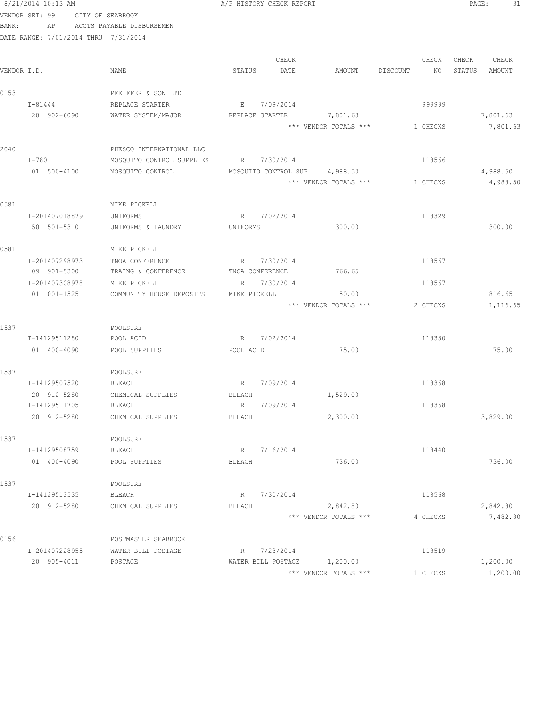|             | 8/21/2014 10:13 AM                   |                                    | A/P HISTORY CHECK REPORT      |                       |                | 31<br>PAGE:      |
|-------------|--------------------------------------|------------------------------------|-------------------------------|-----------------------|----------------|------------------|
|             | VENDOR SET: 99 CITY OF SEABROOK      |                                    |                               |                       |                |                  |
| BANK:       |                                      | AP ACCTS PAYABLE DISBURSEMEN       |                               |                       |                |                  |
|             | DATE RANGE: 7/01/2014 THRU 7/31/2014 |                                    |                               |                       |                |                  |
|             |                                      |                                    |                               |                       |                |                  |
|             |                                      |                                    | CHECK                         |                       | CHECK          | CHECK CHECK      |
| VENDOR I.D. |                                      | NAME                               | STATUS<br>DATE                | AMOUNT                | DISCOUNT<br>NO | STATUS<br>AMOUNT |
| 0153        |                                      | PFEIFFER & SON LTD                 |                               |                       |                |                  |
|             | $I - 81444$                          | REPLACE STARTER                    | E 7/09/2014                   |                       | 999999         |                  |
|             | 20 902-6090                          | WATER SYSTEM/MAJOR                 | REPLACE STARTER               | 7,801.63              |                | 7,801.63         |
|             |                                      |                                    |                               | *** VENDOR TOTALS *** | 1 CHECKS       | 7,801.63         |
|             |                                      |                                    |                               |                       |                |                  |
| 2040        |                                      | PHESCO INTERNATIONAL LLC           |                               |                       |                |                  |
|             | I-780                                | MOSQUITO CONTROL SUPPLIES          | R 7/30/2014                   |                       | 118566         |                  |
|             | 01 500-4100                          | MOSQUITO CONTROL                   | MOSQUITO CONTROL SUP 4,988.50 |                       |                | 4,988.50         |
|             |                                      |                                    |                               | *** VENDOR TOTALS *** | 1 CHECKS       | 4,988.50         |
|             |                                      |                                    |                               |                       |                |                  |
| 0581        |                                      | MIKE PICKELL                       |                               |                       |                |                  |
|             | I-201407018879                       | UNIFORMS                           | 7/02/2014<br>R                |                       | 118329         |                  |
|             | 50 501-5310                          | UNIFORMS & LAUNDRY                 | UNIFORMS                      | 300.00                |                | 300.00           |
|             |                                      |                                    |                               |                       |                |                  |
| 0581        |                                      | MIKE PICKELL                       |                               |                       |                |                  |
|             | I-201407298973                       | TNOA CONFERENCE                    | R 7/30/2014                   |                       | 118567         |                  |
|             | 09 901-5300                          | TRAING & CONFERENCE                | TNOA CONFERENCE               | 766.65                |                |                  |
|             | I-201407308978                       | MIKE PICKELL                       | R 7/30/2014                   |                       | 118567         |                  |
|             | 01 001-1525                          | COMMUNITY HOUSE DEPOSITS           | MIKE PICKELL                  | 50.00                 |                | 816.65           |
|             |                                      |                                    |                               | *** VENDOR TOTALS *** | 2 CHECKS       | 1,116.65         |
|             |                                      |                                    |                               |                       |                |                  |
| 1537        |                                      | POOLSURE                           |                               |                       |                |                  |
|             | I-14129511280                        | POOL ACID                          | R 7/02/2014                   |                       | 118330         |                  |
|             | 01 400-4090                          | POOL SUPPLIES                      | POOL ACID                     | 75.00                 |                | 75.00            |
|             |                                      |                                    |                               |                       |                |                  |
| 1537        |                                      | POOLSURE                           |                               |                       |                |                  |
|             | I-14129507520                        | BLEACH                             | R 7/09/2014                   |                       | 118368         |                  |
|             | 20 912-5280<br>I-14129511705         | CHEMICAL SUPPLIES<br><b>BLEACH</b> | BLEACH<br>7/09/2014<br>R      | 1,529.00              | 118368         |                  |
|             | 20 912-5280                          | CHEMICAL SUPPLIES                  | <b>BLEACH</b>                 | 2,300.00              |                | 3,829.00         |
|             |                                      |                                    |                               |                       |                |                  |
| 1537        |                                      | POOLSURE                           |                               |                       |                |                  |
|             | I-14129508759                        | BLEACH                             | 7/16/2014<br>R                |                       | 118440         |                  |
|             | 01 400-4090                          | POOL SUPPLIES                      | <b>BLEACH</b>                 | 736.00                |                | 736.00           |
|             |                                      |                                    |                               |                       |                |                  |
| 1537        |                                      | POOLSURE                           |                               |                       |                |                  |
|             | I-14129513535                        | <b>BLEACH</b>                      | R<br>7/30/2014                |                       | 118568         |                  |
|             | 20 912-5280                          | CHEMICAL SUPPLIES                  | <b>BLEACH</b>                 | 2,842.80              |                | 2,842.80         |
|             |                                      |                                    |                               | *** VENDOR TOTALS *** | 4 CHECKS       | 7,482.80         |
|             |                                      |                                    |                               |                       |                |                  |
| 0156        |                                      | POSTMASTER SEABROOK                |                               |                       |                |                  |
|             | I-201407228955                       | WATER BILL POSTAGE                 | 7/23/2014<br>R                |                       | 118519         |                  |
|             | 20 905-4011                          | POSTAGE                            | WATER BILL POSTAGE            | 1,200.00              |                | 1,200.00         |
|             |                                      |                                    |                               | *** VENDOR TOTALS *** | 1 CHECKS       | 1,200.00         |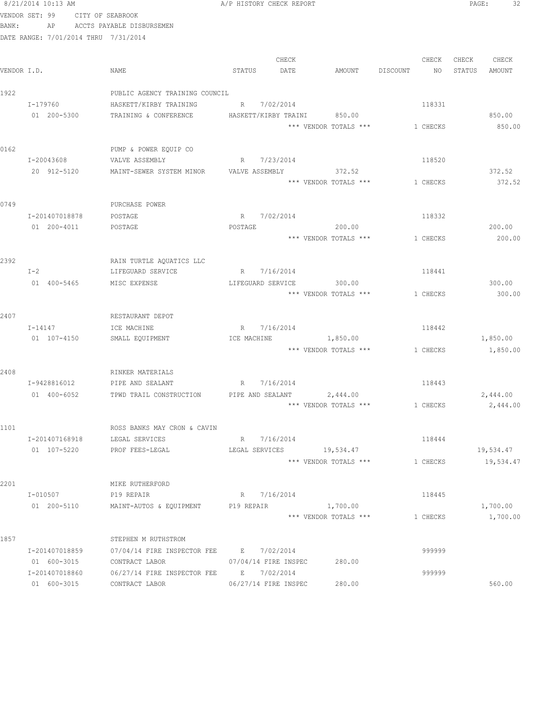|             | 8/21/2014 10:13 AM                   |                                                 | A/P HISTORY CHECK REPORT                             |                | 32<br>PAGE:            |
|-------------|--------------------------------------|-------------------------------------------------|------------------------------------------------------|----------------|------------------------|
|             | VENDOR SET: 99                       | CITY OF SEABROOK                                |                                                      |                |                        |
| BANK:       | AP                                   | ACCTS PAYABLE DISBURSEMEN                       |                                                      |                |                        |
|             | DATE RANGE: 7/01/2014 THRU 7/31/2014 |                                                 |                                                      |                |                        |
|             |                                      |                                                 |                                                      |                |                        |
|             |                                      |                                                 | CHECK                                                | CHECK          | CHECK<br>CHECK         |
| VENDOR I.D. |                                      | NAME                                            | DATE<br>STATUS<br>AMOUNT                             | DISCOUNT<br>NO | STATUS<br>AMOUNT       |
|             |                                      |                                                 |                                                      |                |                        |
| 1922        | $I - 179760$                         | PUBLIC AGENCY TRAINING COUNCIL                  |                                                      |                |                        |
|             | 01 200-5300                          | HASKETT/KIRBY TRAINING<br>TRAINING & CONFERENCE | R 7/02/2014<br>HASKETT/KIRBY TRAINI<br>850.00        | 118331         | 850.00                 |
|             |                                      |                                                 | *** VENDOR TOTALS ***                                | 1 CHECKS       | 850.00                 |
|             |                                      |                                                 |                                                      |                |                        |
| 0162        |                                      | PUMP & POWER EQUIP CO                           |                                                      |                |                        |
|             | I-20043608                           | VALVE ASSEMBLY                                  | R 7/23/2014                                          | 118520         |                        |
|             | 20 912-5120                          | MAINT-SEWER SYSTEM MINOR                        | VALVE ASSEMBLY<br>372.52                             |                | 372.52                 |
|             |                                      |                                                 | *** VENDOR TOTALS ***                                | 1 CHECKS       | 372.52                 |
|             |                                      |                                                 |                                                      |                |                        |
| 0749        |                                      | PURCHASE POWER                                  |                                                      |                |                        |
|             | I-201407018878                       | POSTAGE                                         | R 7/02/2014                                          | 118332         |                        |
|             | 01 200-4011                          | POSTAGE                                         | POSTAGE<br>200.00                                    |                | 200.00                 |
|             |                                      |                                                 | *** VENDOR TOTALS ***                                | 1 CHECKS       | 200.00                 |
|             |                                      |                                                 |                                                      |                |                        |
| 2392        |                                      | RAIN TURTLE AQUATICS LLC                        |                                                      |                |                        |
|             | $I-2$                                | LIFEGUARD SERVICE                               | R 7/16/2014                                          | 118441         |                        |
|             | 01 400-5465                          | MISC EXPENSE                                    | LIFEGUARD SERVICE<br>300.00<br>*** VENDOR TOTALS *** | 1 CHECKS       | 300.00<br>300.00       |
|             |                                      |                                                 |                                                      |                |                        |
| 2407        |                                      | RESTAURANT DEPOT                                |                                                      |                |                        |
|             | $I - 14147$                          | ICE MACHINE                                     | R 7/16/2014                                          | 118442         |                        |
|             | 01 107-4150                          | SMALL EQUIPMENT                                 | ICE MACHINE<br>1,850.00                              |                | 1,850.00               |
|             |                                      |                                                 | *** VENDOR TOTALS *** 1 CHECKS                       |                | 1,850.00               |
|             |                                      |                                                 |                                                      |                |                        |
| 2408        |                                      | RINKER MATERIALS                                |                                                      |                |                        |
|             | I-9428816012                         | PIPE AND SEALANT                                | R 7/16/2014                                          | 118443         |                        |
|             | 01 400-6052                          | TPWD TRAIL CONSTRUCTION                         | PIPE AND SEALANT 2,444.00                            |                | 2,444.00               |
|             |                                      |                                                 | *** VENDOR TOTALS ***                                | 1 CHECKS       | 2,444.00               |
|             |                                      |                                                 |                                                      |                |                        |
| 1101        |                                      | ROSS BANKS MAY CRON & CAVIN                     |                                                      |                |                        |
|             | I-201407168918<br>01 107-5220        | LEGAL SERVICES<br>PROF FEES-LEGAL               | R 7/16/2014                                          | 118444         |                        |
|             |                                      |                                                 | LEGAL SERVICES 19,534.47<br>*** VENDOR TOTALS ***    | 1 CHECKS       | 19,534.47<br>19,534.47 |
|             |                                      |                                                 |                                                      |                |                        |
| 2201        |                                      | MIKE RUTHERFORD                                 |                                                      |                |                        |
|             | I-010507                             | P19 REPAIR                                      | R 7/16/2014                                          | 118445         |                        |
|             | 01 200-5110                          | MAINT-AUTOS & EQUIPMENT P19 REPAIR              | 1,700.00                                             |                | 1,700.00               |
|             |                                      |                                                 | *** VENDOR TOTALS ***                                | 1 CHECKS       | 1,700.00               |
|             |                                      |                                                 |                                                      |                |                        |
| 1857        |                                      | STEPHEN M RUTHSTROM                             |                                                      |                |                        |
|             | I-201407018859                       | 07/04/14 FIRE INSPECTOR FEE B 7/02/2014         |                                                      | 999999         |                        |
|             | 01 600-3015                          | CONTRACT LABOR                                  | 07/04/14 FIRE INSPEC<br>280.00                       |                |                        |
|             | I-201407018860                       | 06/27/14 FIRE INSPECTOR FEE B 7/02/2014         |                                                      | 999999         |                        |
|             | 01 600-3015                          | CONTRACT LABOR                                  | 06/27/14 FIRE INSPEC<br>280.00                       |                | 560.00                 |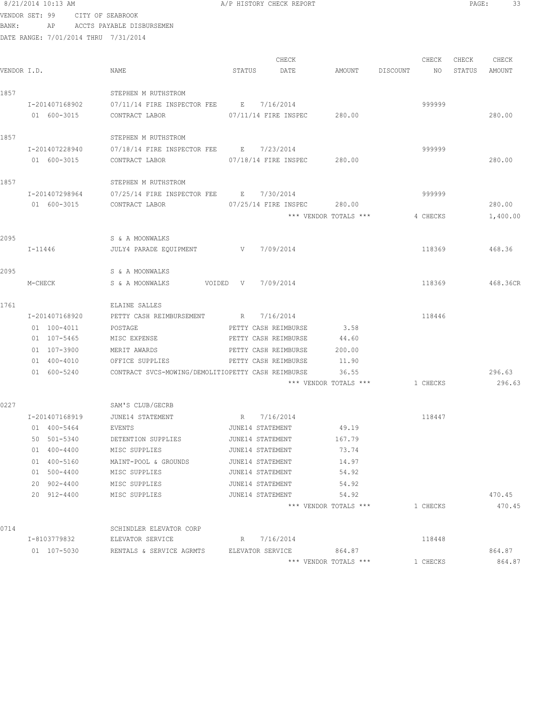|       | 8/21/2014 10:13 AM            |                                                           |                    | A/P HISTORY CHECK REPORT |                                                      |          |             | PAGE:           | 33               |
|-------|-------------------------------|-----------------------------------------------------------|--------------------|--------------------------|------------------------------------------------------|----------|-------------|-----------------|------------------|
|       | VENDOR SET: 99                | CITY OF SEABROOK                                          |                    |                          |                                                      |          |             |                 |                  |
| BANK: | AP                            | ACCTS PAYABLE DISBURSEMEN                                 |                    |                          |                                                      |          |             |                 |                  |
|       |                               | DATE RANGE: 7/01/2014 THRU 7/31/2014                      |                    |                          |                                                      |          |             |                 |                  |
|       |                               |                                                           |                    |                          |                                                      |          |             |                 |                  |
|       | VENDOR I.D.                   | NAME                                                      | STATUS             | CHECK<br>DATE            | AMOUNT                                               | DISCOUNT | CHECK<br>NO | CHECK<br>STATUS | CHECK<br>AMOUNT  |
|       |                               |                                                           |                    |                          |                                                      |          |             |                 |                  |
| 1857  |                               | STEPHEN M RUTHSTROM                                       |                    |                          |                                                      |          |             |                 |                  |
|       | I-201407168902                | 07/11/14 FIRE INSPECTOR FEE B 7/16/2014                   |                    |                          |                                                      |          | 999999      |                 |                  |
|       | 01 600-3015                   | CONTRACT LABOR                                            |                    | 07/11/14 FIRE INSPEC     | 280.00                                               |          |             |                 | 280.00           |
|       |                               |                                                           |                    |                          |                                                      |          |             |                 |                  |
| 1857  |                               | STEPHEN M RUTHSTROM                                       |                    |                          |                                                      |          |             |                 |                  |
|       | I-201407228940                | 07/18/14 FIRE INSPECTOR FEE B 7/23/2014                   |                    |                          |                                                      |          | 999999      |                 |                  |
|       | 01 600-3015                   | CONTRACT LABOR                                            |                    |                          | 07/18/14 FIRE INSPEC 280.00                          |          |             |                 | 280.00           |
|       |                               |                                                           |                    |                          |                                                      |          |             |                 |                  |
| 1857  |                               | STEPHEN M RUTHSTROM                                       |                    |                          |                                                      |          |             |                 |                  |
|       | I-201407298964<br>01 600-3015 | 07/25/14 FIRE INSPECTOR FEE B 7/30/2014<br>CONTRACT LABOR |                    |                          |                                                      |          | 999999      |                 | 280.00           |
|       |                               |                                                           |                    |                          | 07/25/14 FIRE INSPEC 280.00<br>*** VENDOR TOTALS *** |          | 4 CHECKS    |                 | 1,400.00         |
|       |                               |                                                           |                    |                          |                                                      |          |             |                 |                  |
| 2095  |                               | S & A MOONWALKS                                           |                    |                          |                                                      |          |             |                 |                  |
|       | I-11446                       | JULY4 PARADE EQUIPMENT                                    | $V$ and $V$        | 7/09/2014                |                                                      |          | 118369      |                 | 468.36           |
|       |                               |                                                           |                    |                          |                                                      |          |             |                 |                  |
| 2095  |                               | S & A MOONWALKS                                           |                    |                          |                                                      |          |             |                 |                  |
|       | M-CHECK                       | S & A MOONWALKS                                           | VOIDED V 7/09/2014 |                          |                                                      |          | 118369      |                 | 468.36CR         |
|       |                               |                                                           |                    |                          |                                                      |          |             |                 |                  |
| 1761  |                               | ELAINE SALLES                                             |                    |                          |                                                      |          |             |                 |                  |
|       | I-201407168920                | PETTY CASH REIMBURSEMENT                                  |                    | R 7/16/2014              |                                                      |          | 118446      |                 |                  |
|       | 01 100-4011                   | POSTAGE                                                   |                    | PETTY CASH REIMBURSE     | 3.58                                                 |          |             |                 |                  |
|       | 01 107-5465                   | MISC EXPENSE                                              |                    | PETTY CASH REIMBURSE     | 44.60                                                |          |             |                 |                  |
|       | 01 107-3900                   | MERIT AWARDS                                              |                    | PETTY CASH REIMBURSE     | 200.00                                               |          |             |                 |                  |
|       | 01 400-4010                   | OFFICE SUPPLIES                                           |                    | PETTY CASH REIMBURSE     | 11.90                                                |          |             |                 |                  |
|       | 01 600-5240                   | CONTRACT SVCS-MOWING/DEMOLITIOPETTY CASH REIMBURSE        |                    |                          | 36.55<br>*** VENDOR TOTALS ***                       |          | 1 CHECKS    |                 | 296.63<br>296.63 |
|       |                               |                                                           |                    |                          |                                                      |          |             |                 |                  |
| 0227  |                               | SAM'S CLUB/GECRB                                          |                    |                          |                                                      |          |             |                 |                  |
|       | I-201407168919                | JUNE14 STATEMENT                                          | R                  | 7/16/2014                |                                                      |          | 118447      |                 |                  |
|       | 01 400-5464                   | EVENTS                                                    |                    | JUNE14 STATEMENT         | 49.19                                                |          |             |                 |                  |
|       | 50 501-5340                   | DETENTION SUPPLIES                                        |                    | JUNE14 STATEMENT         | 167.79                                               |          |             |                 |                  |
|       | 01 400-4400                   | MISC SUPPLIES                                             |                    | JUNE14 STATEMENT         | 73.74                                                |          |             |                 |                  |
|       | 01 400-5160                   | MAINT-POOL & GROUNDS                                      |                    | JUNE14 STATEMENT         | 14.97                                                |          |             |                 |                  |
|       | 01 500-4400                   | MISC SUPPLIES                                             |                    | JUNE14 STATEMENT         | 54.92                                                |          |             |                 |                  |
|       | 20 902-4400                   | MISC SUPPLIES                                             |                    | JUNE14 STATEMENT         | 54.92                                                |          |             |                 |                  |
|       | 20 912-4400                   | MISC SUPPLIES                                             |                    | JUNE14 STATEMENT         | 54.92                                                |          |             |                 | 470.45           |
|       |                               |                                                           |                    |                          | *** VENDOR TOTALS ***                                |          | 1 CHECKS    |                 | 470.45           |
|       |                               |                                                           |                    |                          |                                                      |          |             |                 |                  |
| 0714  |                               | SCHINDLER ELEVATOR CORP                                   |                    |                          |                                                      |          |             |                 |                  |
|       | I-8103779832                  | ELEVATOR SERVICE                                          | R                  | 7/16/2014                |                                                      |          | 118448      |                 |                  |

 01 107-5030 RENTALS & SERVICE AGRMTS ELEVATOR SERVICE 864.87 864.87 \*\*\* VENDOR TOTALS \*\*\* 1 CHECKS 864.87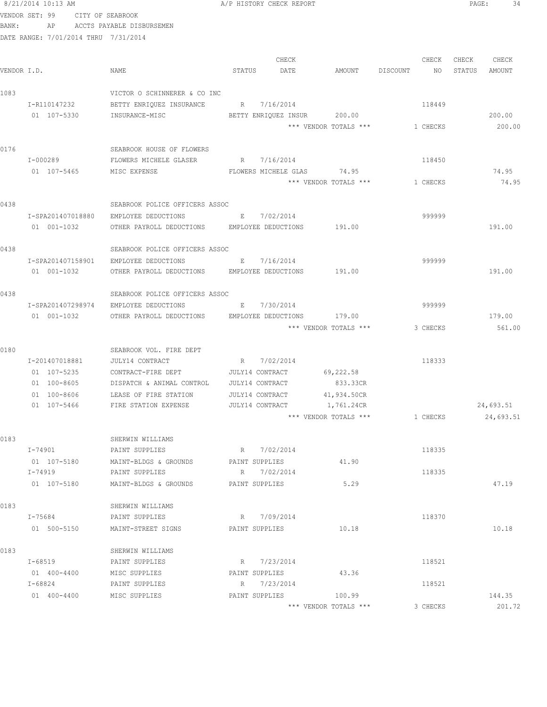|             | VENDOR SET: 99                       | CITY OF SEABROOK |                                                     |              |                      |                                 |          |          |        |                  |
|-------------|--------------------------------------|------------------|-----------------------------------------------------|--------------|----------------------|---------------------------------|----------|----------|--------|------------------|
| BANK:       | AP                                   |                  | ACCTS PAYABLE DISBURSEMEN                           |              |                      |                                 |          |          |        |                  |
|             | DATE RANGE: 7/01/2014 THRU 7/31/2014 |                  |                                                     |              |                      |                                 |          |          |        |                  |
|             |                                      |                  |                                                     |              |                      |                                 |          |          |        |                  |
|             |                                      |                  |                                                     |              | CHECK                |                                 |          | CHECK    | CHECK  | CHECK            |
| VENDOR I.D. |                                      |                  | NAME                                                | STATUS       | DATE                 | AMOUNT                          | DISCOUNT | NO       | STATUS | AMOUNT           |
| 1083        |                                      |                  | VICTOR O SCHINNERER & CO INC                        |              |                      |                                 |          |          |        |                  |
|             | I-R110147232                         |                  | BETTY ENRIOUEZ INSURANCE                            |              | R 7/16/2014          |                                 |          | 118449   |        |                  |
|             | 01 107-5330                          |                  | INSURANCE-MISC                                      |              | BETTY ENRIQUEZ INSUR | 200.00                          |          |          |        | 200.00           |
|             |                                      |                  |                                                     |              |                      | *** VENDOR TOTALS ***           |          | 1 CHECKS |        | 200.00           |
|             |                                      |                  |                                                     |              |                      |                                 |          |          |        |                  |
| 0176        |                                      |                  | SEABROOK HOUSE OF FLOWERS                           |              |                      |                                 |          |          |        |                  |
|             | I-000289                             |                  | FLOWERS MICHELE GLASER                              |              | R 7/16/2014          |                                 |          | 118450   |        |                  |
|             | 01 107-5465                          |                  | MISC EXPENSE                                        |              | FLOWERS MICHELE GLAS | 74.95                           |          |          |        | 74.95            |
|             |                                      |                  |                                                     |              |                      | *** VENDOR TOTALS ***           |          | 1 CHECKS |        | 74.95            |
| 0438        |                                      |                  | SEABROOK POLICE OFFICERS ASSOC                      |              |                      |                                 |          |          |        |                  |
|             | I-SPA201407018880                    |                  | EMPLOYEE DEDUCTIONS                                 |              | E 7/02/2014          |                                 |          | 999999   |        |                  |
|             | 01 001-1032                          |                  | OTHER PAYROLL DEDUCTIONS EMPLOYEE DEDUCTIONS 191.00 |              |                      |                                 |          |          |        | 191.00           |
|             |                                      |                  |                                                     |              |                      |                                 |          |          |        |                  |
| 0438        |                                      |                  | SEABROOK POLICE OFFICERS ASSOC                      |              |                      |                                 |          |          |        |                  |
|             | I-SPA201407158901                    |                  | EMPLOYEE DEDUCTIONS                                 | E            | 7/16/2014            |                                 |          | 999999   |        |                  |
|             | 01 001-1032                          |                  | OTHER PAYROLL DEDUCTIONS EMPLOYEE DEDUCTIONS        |              |                      | 191.00                          |          |          |        | 191.00           |
| 0438        |                                      |                  | SEABROOK POLICE OFFICERS ASSOC                      |              |                      |                                 |          |          |        |                  |
|             | I-SPA201407298974                    |                  | EMPLOYEE DEDUCTIONS                                 | $\mathbf{E}$ | 7/30/2014            |                                 |          | 999999   |        |                  |
|             | 01 001-1032                          |                  | OTHER PAYROLL DEDUCTIONS                            |              | EMPLOYEE DEDUCTIONS  | 179.00                          |          |          |        | 179.00           |
|             |                                      |                  |                                                     |              |                      | *** VENDOR TOTALS ***           |          | 3 CHECKS |        | 561.00           |
|             |                                      |                  |                                                     |              |                      |                                 |          |          |        |                  |
| 0180        |                                      |                  | SEABROOK VOL. FIRE DEPT                             |              |                      |                                 |          |          |        |                  |
|             | I-201407018881                       |                  | JULY14 CONTRACT                                     |              | R 7/02/2014          |                                 |          | 118333   |        |                  |
|             | 01 107-5235                          |                  | CONTRACT-FIRE DEPT                                  |              | JULY14 CONTRACT      | 69,222.58                       |          |          |        |                  |
|             | 01 100-8605                          |                  | DISPATCH & ANIMAL CONTROL                           |              | JULY14 CONTRACT      | 833.33CR                        |          |          |        |                  |
|             | 01 100-8606                          |                  | LEASE OF FIRE STATION                               |              | JULY14 CONTRACT      | 41,934.50CR                     |          |          |        |                  |
|             | 01 107-5466                          |                  | FIRE STATION EXPENSE                                |              | JULY14 CONTRACT      | 1,761.24CR                      |          |          |        | 24,693.51        |
|             |                                      |                  |                                                     |              |                      | *** VENDOR TOTALS ***           |          | 1 CHECKS |        | 24,693.51        |
|             |                                      |                  |                                                     |              |                      |                                 |          |          |        |                  |
| 0183        |                                      |                  | SHERWIN WILLIAMS                                    |              | R 7/02/2014          |                                 |          |          |        |                  |
|             | I-74901                              |                  | PAINT SUPPLIES                                      |              |                      |                                 |          | 118335   |        |                  |
|             | 01 107-5180                          |                  | MAINT-BLDGS & GROUNDS                               |              | PAINT SUPPLIES       | 41.90                           |          |          |        |                  |
|             | I-74919                              |                  | PAINT SUPPLIES                                      |              | R 7/02/2014          |                                 |          | 118335   |        |                  |
|             | 01 107-5180                          |                  | MAINT-BLDGS & GROUNDS                               |              | PAINT SUPPLIES       | 5.29                            |          |          |        | 47.19            |
| 0183        |                                      |                  | SHERWIN WILLIAMS                                    |              |                      |                                 |          |          |        |                  |
|             | I-75684                              |                  | PAINT SUPPLIES                                      |              | R 7/09/2014          |                                 |          | 118370   |        |                  |
|             | 01 500-5150                          |                  | MAINT-STREET SIGNS                                  |              | PAINT SUPPLIES       | 10.18                           |          |          |        | 10.18            |
| 0183        |                                      |                  |                                                     |              |                      |                                 |          |          |        |                  |
|             | I-68519                              |                  | SHERWIN WILLIAMS<br>PAINT SUPPLIES                  |              | R 7/23/2014          |                                 |          | 118521   |        |                  |
|             | 01 400-4400                          |                  |                                                     |              | PAINT SUPPLIES       | 43.36                           |          |          |        |                  |
|             | I-68824                              |                  | MISC SUPPLIES<br>PAINT SUPPLIES                     |              | R 7/23/2014          |                                 |          | 118521   |        |                  |
|             |                                      |                  |                                                     |              |                      |                                 |          |          |        |                  |
|             | 01 400-4400                          |                  | MISC SUPPLIES                                       |              | PAINT SUPPLIES       | 100.99<br>*** VENDOR TOTALS *** |          | 3 CHECKS |        | 144.35<br>201.72 |
|             |                                      |                  |                                                     |              |                      |                                 |          |          |        |                  |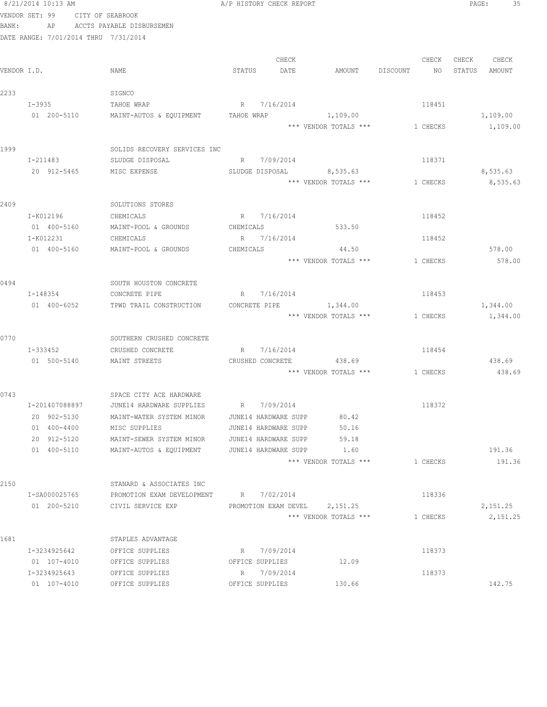|             |        | 8/21/2014 10:13 AM            |                                                                   | A/P HISTORY CHECK REPORT |                                   |       |                                       |          |                   | PAGE:<br>35   |  |
|-------------|--------|-------------------------------|-------------------------------------------------------------------|--------------------------|-----------------------------------|-------|---------------------------------------|----------|-------------------|---------------|--|
|             |        |                               | VENDOR SET: 99 CITY OF SEABROOK                                   |                          |                                   |       |                                       |          |                   |               |  |
| BANK:       |        |                               | AP ACCTS PAYABLE DISBURSEMEN                                      |                          |                                   |       |                                       |          |                   |               |  |
|             |        |                               | DATE RANGE: 7/01/2014 THRU 7/31/2014                              |                          |                                   |       |                                       |          |                   |               |  |
|             |        |                               |                                                                   |                          |                                   |       |                                       |          |                   |               |  |
|             |        |                               |                                                                   |                          |                                   | CHECK |                                       |          | CHECK CHECK CHECK |               |  |
| VENDOR I.D. |        |                               | NAME                                                              |                          | STATUS DATE                       |       | AMOUNT DISCOUNT NO                    |          |                   | STATUS AMOUNT |  |
|             |        |                               |                                                                   |                          |                                   |       |                                       |          |                   |               |  |
| 2233        |        |                               | SIGNCO<br>R 7/16/2014                                             |                          |                                   |       |                                       |          |                   |               |  |
|             | I-3935 |                               | TAHOE WRAP<br>01  200-5110   MAINT-AUTOS & EQUIPMENT   TAHOE WRAP |                          |                                   |       | 1,109.00                              | 118451   |                   | 1,109.00      |  |
|             |        |                               |                                                                   |                          |                                   |       | *** VENDOR TOTALS *** 1 CHECKS        |          |                   | 1,109.00      |  |
|             |        |                               |                                                                   |                          |                                   |       |                                       |          |                   |               |  |
| 1999        |        |                               | SOLIDS RECOVERY SERVICES INC                                      |                          |                                   |       |                                       |          |                   |               |  |
|             |        | I-211483                      | SLUDGE DISPOSAL                                                   |                          | R 7/09/2014                       |       |                                       | 118371   |                   |               |  |
|             |        |                               | 20 912-5465 MISC EXPENSE                                          |                          |                                   |       | SLUDGE DISPOSAL 8,535.63              |          |                   | 8,535.63      |  |
|             |        |                               |                                                                   |                          |                                   |       | *** VENDOR TOTALS ***                 | 1 CHECKS |                   | 8,535.63      |  |
|             |        |                               |                                                                   |                          |                                   |       |                                       |          |                   |               |  |
| 2409        |        |                               | SOLUTIONS STORES                                                  |                          |                                   |       |                                       |          |                   |               |  |
|             |        | I-K012196                     | CHEMICALS                                                         |                          | R 7/16/2014                       |       |                                       | 118452   |                   |               |  |
|             |        |                               | 01 400-5160 MAINT-POOL & GROUNDS                                  |                          |                                   |       | CHEMICALS 533.50                      |          |                   |               |  |
|             |        | I-K012231                     | CHEMICALS                                                         |                          | R 7/16/2014                       |       |                                       | 118452   |                   |               |  |
|             |        | 01 400-5160                   | MAINT-POOL & GROUNDS                                              | CHEMICALS                |                                   |       | 44.50                                 |          |                   | 578.00        |  |
|             |        |                               |                                                                   |                          |                                   |       | *** VENDOR TOTALS ***                 | 1 CHECKS |                   | 578.00        |  |
| 0494        |        |                               | SOUTH HOUSTON CONCRETE                                            |                          |                                   |       |                                       |          |                   |               |  |
|             |        | I-148354                      | CONCRETE PIPE                                                     |                          | R 7/16/2014                       |       |                                       | 118453   |                   |               |  |
|             |        | 01 400-6052                   | TPWD TRAIL CONSTRUCTION                                           | CONCRETE PIPE            |                                   |       | 1,344.00                              |          |                   | 1,344.00      |  |
|             |        |                               |                                                                   |                          |                                   |       | *** VENDOR TOTALS ***                 | 1 CHECKS |                   | 1,344.00      |  |
|             |        |                               |                                                                   |                          |                                   |       |                                       |          |                   |               |  |
| 0770        |        |                               | SOUTHERN CRUSHED CONCRETE                                         |                          |                                   |       |                                       |          |                   |               |  |
|             |        | I-333452                      | CRUSHED CONCRETE                                                  |                          | R 7/16/2014                       |       |                                       | 118454   |                   |               |  |
|             |        |                               | 01 500-5140 MAINT STREETS                                         |                          |                                   |       | CRUSHED CONCRETE 438.69               |          |                   | 438.69        |  |
|             |        |                               |                                                                   |                          |                                   |       | *** VENDOR TOTALS *** 1 CHECKS 438.69 |          |                   |               |  |
|             |        |                               |                                                                   |                          |                                   |       |                                       |          |                   |               |  |
| 0743        |        |                               | SPACE CITY ACE HARDWARE                                           |                          |                                   |       |                                       |          |                   |               |  |
|             |        | I-201407088897<br>20 902-5130 | JUNE14 HARDWARE SUPPLIES<br>MAINT-WATER SYSTEM MINOR              | R                        | 7/09/2014<br>JUNE14 HARDWARE SUPP |       | 80.42                                 | 118372   |                   |               |  |
|             |        | 01 400-4400                   | MISC SUPPLIES                                                     |                          | JUNE14 HARDWARE SUPP              |       | 50.16                                 |          |                   |               |  |
|             |        | 20 912-5120                   | MAINT-SEWER SYSTEM MINOR                                          |                          | JUNE14 HARDWARE SUPP              |       | 59.18                                 |          |                   |               |  |
|             |        | 01 400-5110                   | MAINT-AUTOS & EQUIPMENT                                           |                          | JUNE14 HARDWARE SUPP              |       | 1.60                                  |          |                   | 191.36        |  |
|             |        |                               |                                                                   |                          |                                   |       | *** VENDOR TOTALS ***                 | 1 CHECKS |                   | 191.36        |  |
|             |        |                               |                                                                   |                          |                                   |       |                                       |          |                   |               |  |
| 2150        |        |                               | STANARD & ASSOCIATES INC                                          |                          |                                   |       |                                       |          |                   |               |  |
|             |        | I-SA000025765                 | PROMOTION EXAM DEVELOPMENT                                        |                          | R 7/02/2014                       |       |                                       | 118336   |                   |               |  |
|             |        | 01 200-5210                   | CIVIL SERVICE EXP                                                 |                          |                                   |       | PROMOTION EXAM DEVEL 2,151.25         |          |                   | 2,151.25      |  |
|             |        |                               |                                                                   |                          |                                   |       | *** VENDOR TOTALS ***                 | 1 CHECKS |                   | 2, 151.25     |  |
|             |        |                               |                                                                   |                          |                                   |       |                                       |          |                   |               |  |
| 1681        |        |                               | STAPLES ADVANTAGE                                                 |                          |                                   |       |                                       |          |                   |               |  |
|             |        | I-3234925642<br>01 107-4010   | OFFICE SUPPLIES<br>OFFICE SUPPLIES                                |                          | R 7/09/2014<br>OFFICE SUPPLIES    |       | 12.09                                 | 118373   |                   |               |  |
|             |        | I-3234925643                  | OFFICE SUPPLIES                                                   |                          | R 7/09/2014                       |       |                                       | 118373   |                   |               |  |
|             |        | 01 107-4010                   | OFFICE SUPPLIES                                                   |                          | OFFICE SUPPLIES                   |       | 130.66                                |          |                   | 142.75        |  |
|             |        |                               |                                                                   |                          |                                   |       |                                       |          |                   |               |  |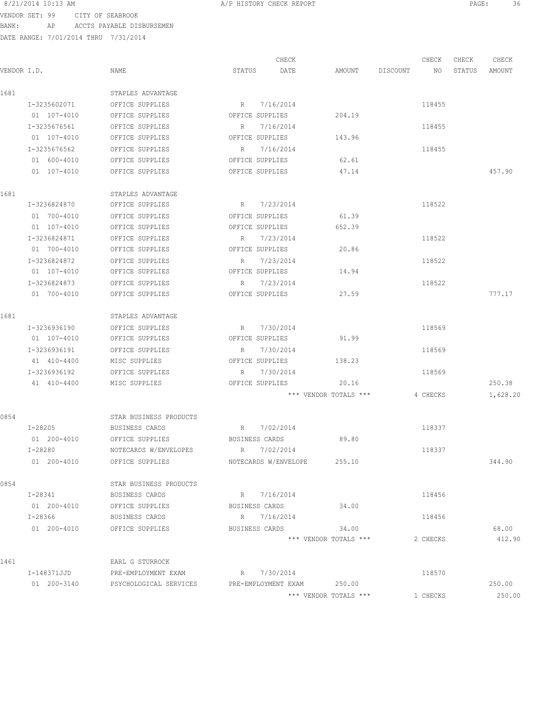VENDOR SET: 99 CITY OF SEABROOK BANK: AP ACCTS PAYABLE DISBURSEMEN

|             |              |                             | CHECK                |                             | CHECK          | CHECK  | CHECK    |
|-------------|--------------|-----------------------------|----------------------|-----------------------------|----------------|--------|----------|
| VENDOR I.D. |              | NAME                        | STATUS<br>DATE       | AMOUNT                      | DISCOUNT<br>NO | STATUS | AMOUNT   |
| 1681        |              | STAPLES ADVANTAGE           |                      |                             |                |        |          |
|             | I-3235602071 | OFFICE SUPPLIES             | R 7/16/2014          |                             | 118455         |        |          |
|             | 01 107-4010  | OFFICE SUPPLIES             | OFFICE SUPPLIES      | 204.19                      |                |        |          |
|             | I-3235676561 | OFFICE SUPPLIES             | R 7/16/2014          |                             | 118455         |        |          |
|             | 01 107-4010  | OFFICE SUPPLIES             | OFFICE SUPPLIES      | 143.96                      |                |        |          |
|             | I-3235676562 | OFFICE SUPPLIES             | R 7/16/2014          |                             | 118455         |        |          |
|             | 01 600-4010  | OFFICE SUPPLIES             | OFFICE SUPPLIES      | 62.61                       |                |        |          |
|             | 01 107-4010  | OFFICE SUPPLIES             | OFFICE SUPPLIES      | 47.14                       |                |        | 457.90   |
| 1681        |              | STAPLES ADVANTAGE           |                      |                             |                |        |          |
|             | I-3236824870 | OFFICE SUPPLIES             | R 7/23/2014          |                             | 118522         |        |          |
|             | 01 700-4010  | OFFICE SUPPLIES             | OFFICE SUPPLIES      | 61.39                       |                |        |          |
|             | 01 107-4010  | OFFICE SUPPLIES             | OFFICE SUPPLIES      | 652.39                      |                |        |          |
|             | I-3236824871 | OFFICE SUPPLIES             | 7/23/2014<br>R       |                             | 118522         |        |          |
|             | 01 700-4010  | OFFICE SUPPLIES             | OFFICE SUPPLIES      | 20.86                       |                |        |          |
|             | I-3236824872 | OFFICE SUPPLIES             | 7/23/2014<br>R       |                             | 118522         |        |          |
|             | 01 107-4010  | OFFICE SUPPLIES             | OFFICE SUPPLIES      | 14.94                       |                |        |          |
|             | I-3236824873 | OFFICE SUPPLIES             | 7/23/2014<br>R       |                             | 118522         |        |          |
|             | 01 700-4010  | OFFICE SUPPLIES             | OFFICE SUPPLIES      | 27.59                       |                |        | 777.17   |
| 1681        |              | STAPLES ADVANTAGE           |                      |                             |                |        |          |
|             | I-3236936190 | OFFICE SUPPLIES             | R 7/30/2014          |                             | 118569         |        |          |
|             | 01 107-4010  | OFFICE SUPPLIES             | OFFICE SUPPLIES      | 91.99                       |                |        |          |
|             | I-3236936191 | OFFICE SUPPLIES             | R 7/30/2014          |                             | 118569         |        |          |
|             | 41 410-4400  | MISC SUPPLIES               | OFFICE SUPPLIES      | 138.23                      |                |        |          |
|             | I-3236936192 | OFFICE SUPPLIES             | R 7/30/2014          |                             | 118569         |        |          |
|             | 41 410-4400  | MISC SUPPLIES               | OFFICE SUPPLIES      | 20.16                       |                |        | 250.38   |
|             |              |                             |                      | *** VENDOR TOTALS ***       | 4 CHECKS       |        | 1,628.20 |
| 0854        |              | STAR BUSINESS PRODUCTS      |                      |                             |                |        |          |
|             | I-28205      | BUSINESS CARDS              | R 7/02/2014          |                             | 118337         |        |          |
|             | 01 200-4010  | OFFICE SUPPLIES             | BUSINESS CARDS       | 89.80                       |                |        |          |
|             | I-28280      | NOTECARDS W/ENVELOPES       | R 7/02/2014          |                             | 118337         |        |          |
|             | 01 200-4010  | OFFICE SUPPLIES             |                      | NOTECARDS W/ENVELOPE 255.10 |                |        | 344.90   |
| 0854        |              | STAR BUSINESS PRODUCTS      |                      |                             |                |        |          |
|             | I-28341      | BUSINESS CARDS              | R 7/16/2014          |                             | 118456         |        |          |
|             | 01 200-4010  | OFFICE SUPPLIES             | BUSINESS CARDS 34.00 |                             |                |        |          |
|             | I-28366      | BUSINESS CARDS              | R 7/16/2014          |                             | 118456         |        |          |
|             |              | 01 200-4010 OFFICE SUPPLIES | BUSINESS CARDS 34.00 |                             |                |        | 68.00    |
|             |              |                             |                      | *** VENDOR TOTALS ***       | 2 CHECKS       |        | 412.90   |
| 1461        |              | EARL G STURROCK             |                      |                             |                |        |          |
|             | I-148371JJD  | PRE-EMPLOYMENT EXAM         | R 7/30/2014          |                             | 118570         |        |          |
|             | 01 200-3140  | PSYCHOLOGICAL SERVICES      |                      | PRE-EMPLOYMENT EXAM 250.00  |                |        | 250.00   |
|             |              |                             |                      | *** VENDOR TOTALS ***       | 1 CHECKS       |        | 250.00   |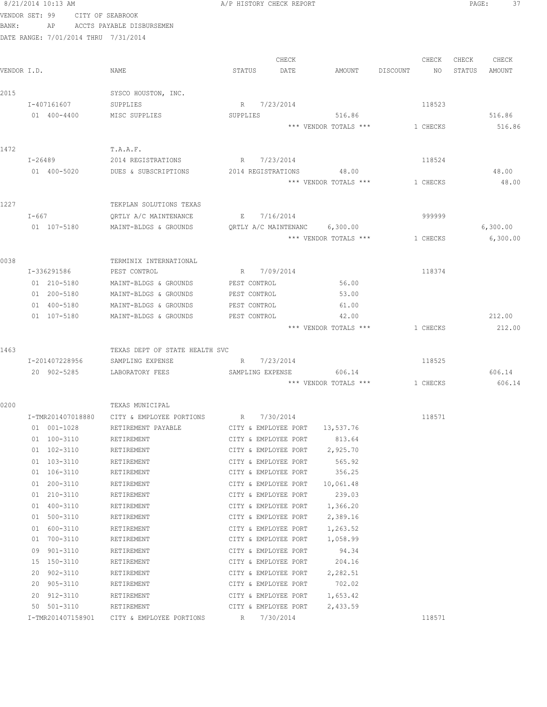|             | 8/21/2014 10:13 AM                   |                                                | A/P HISTORY CHECK REPORT                     |                       |                | PAGE:<br>37      |
|-------------|--------------------------------------|------------------------------------------------|----------------------------------------------|-----------------------|----------------|------------------|
|             | VENDOR SET: 99                       | CITY OF SEABROOK                               |                                              |                       |                |                  |
| BANK:       | AP                                   | ACCTS PAYABLE DISBURSEMEN                      |                                              |                       |                |                  |
|             | DATE RANGE: 7/01/2014 THRU 7/31/2014 |                                                |                                              |                       |                |                  |
|             |                                      |                                                | CHECK                                        |                       | CHECK          | CHECK<br>CHECK   |
| VENDOR I.D. |                                      | NAME                                           | STATUS<br>DATE                               | AMOUNT                | DISCOUNT<br>NO | STATUS<br>AMOUNT |
|             |                                      |                                                |                                              |                       |                |                  |
| 2015        |                                      | SYSCO HOUSTON, INC.                            |                                              |                       |                |                  |
|             | I-407161607                          | SUPPLIES                                       | R 7/23/2014                                  |                       | 118523         |                  |
|             | 01 400-4400                          | MISC SUPPLIES                                  | SUPPLIES                                     | 516.86                |                | 516.86           |
|             |                                      |                                                |                                              | *** VENDOR TOTALS *** | 1 CHECKS       | 516.86           |
| 1472        |                                      | T.A.A.F.                                       |                                              |                       |                |                  |
|             | I-26489                              | 2014 REGISTRATIONS                             | R 7/23/2014                                  |                       | 118524         |                  |
|             | 01 400-5020                          | DUES & SUBSCRIPTIONS                           | 2014 REGISTRATIONS                           | 48.00                 |                | 48.00            |
|             |                                      |                                                |                                              | *** VENDOR TOTALS *** | 1 CHECKS       | 48.00            |
|             |                                      |                                                |                                              |                       |                |                  |
| 1227        |                                      | TEKPLAN SOLUTIONS TEXAS                        |                                              |                       |                |                  |
|             | I-667                                | QRTLY A/C MAINTENANCE                          | E 7/16/2014                                  |                       | 999999         |                  |
|             | 01 107-5180                          | MAINT-BLDGS & GROUNDS                          | QRTLY A/C MAINTENANC 6,300.00                |                       |                | 6,300.00         |
|             |                                      |                                                |                                              | *** VENDOR TOTALS *** | 1 CHECKS       | 6,300.00         |
|             |                                      |                                                |                                              |                       |                |                  |
| 0038        |                                      | TERMINIX INTERNATIONAL                         |                                              |                       |                |                  |
|             | I-336291586                          | PEST CONTROL                                   | R 7/09/2014                                  |                       | 118374         |                  |
|             | 01 210-5180<br>01 200-5180           | MAINT-BLDGS & GROUNDS<br>MAINT-BLDGS & GROUNDS | PEST CONTROL<br>PEST CONTROL                 | 56.00<br>53.00        |                |                  |
|             | 01 400-5180                          | MAINT-BLDGS & GROUNDS                          | PEST CONTROL                                 | 61.00                 |                |                  |
|             | 01 107-5180                          | MAINT-BLDGS & GROUNDS                          | PEST CONTROL                                 | 42.00                 |                | 212.00           |
|             |                                      |                                                |                                              | *** VENDOR TOTALS *** | 1 CHECKS       | 212.00           |
|             |                                      |                                                |                                              |                       |                |                  |
| 1463        |                                      | TEXAS DEPT OF STATE HEALTH SVC                 |                                              |                       |                |                  |
|             | I-201407228956                       | SAMPLING EXPENSE                               | R 7/23/2014                                  |                       | 118525         |                  |
|             | 20 902-5285                          | LABORATORY FEES                                | SAMPLING EXPENSE                             | 606.14                |                | 606.14           |
|             |                                      |                                                |                                              | *** VENDOR TOTALS *** | 1 CHECKS       | 606.14           |
|             |                                      |                                                |                                              |                       |                |                  |
| 0200        | I-TMR201407018880                    | TEXAS MUNICIPAL<br>CITY & EMPLOYEE PORTIONS    | 7/30/2014<br>R                               |                       | 118571         |                  |
|             | 01 001-1028                          | RETIREMENT PAYABLE                             | CITY & EMPLOYEE PORT                         | 13,537.76             |                |                  |
|             | 01 100-3110                          | RETIREMENT                                     | CITY & EMPLOYEE PORT                         | 813.64                |                |                  |
|             | 01 102-3110                          | RETIREMENT                                     | CITY & EMPLOYEE PORT                         | 2,925.70              |                |                  |
|             | 01 103-3110                          | RETIREMENT                                     | CITY & EMPLOYEE PORT                         | 565.92                |                |                  |
|             | 01 106-3110                          | RETIREMENT                                     | CITY & EMPLOYEE PORT                         | 356.25                |                |                  |
|             | 01 200-3110                          | RETIREMENT                                     | CITY & EMPLOYEE PORT                         | 10,061.48             |                |                  |
|             | 01 210-3110                          | RETIREMENT                                     | CITY & EMPLOYEE PORT                         | 239.03                |                |                  |
|             | 01 400-3110                          | RETIREMENT                                     | CITY & EMPLOYEE PORT                         | 1,366.20              |                |                  |
|             | 01<br>500-3110                       | RETIREMENT                                     | CITY & EMPLOYEE PORT                         | 2,389.16              |                |                  |
|             | 600-3110<br>01                       | RETIREMENT                                     | CITY & EMPLOYEE PORT                         | 1,263.52              |                |                  |
|             | 700-3110<br>01                       | RETIREMENT                                     | CITY & EMPLOYEE PORT                         | 1,058.99              |                |                  |
|             | $901 - 3110$<br>09<br>15 150-3110    | RETIREMENT                                     | CITY & EMPLOYEE PORT                         | 94.34<br>204.16       |                |                  |
|             | 20 902-3110                          | RETIREMENT<br>RETIREMENT                       | CITY & EMPLOYEE PORT<br>CITY & EMPLOYEE PORT | 2,282.51              |                |                  |
|             | 20 905-3110                          | RETIREMENT                                     | CITY & EMPLOYEE PORT                         | 702.02                |                |                  |
|             | 912-3110<br>20                       | RETIREMENT                                     | CITY & EMPLOYEE PORT                         | 1,653.42              |                |                  |
|             | 50<br>501-3110                       | RETIREMENT                                     | CITY & EMPLOYEE PORT                         | 2,433.59              |                |                  |
|             | I-TMR201407158901                    | CITY & EMPLOYEE PORTIONS                       | R 7/30/2014                                  |                       | 118571         |                  |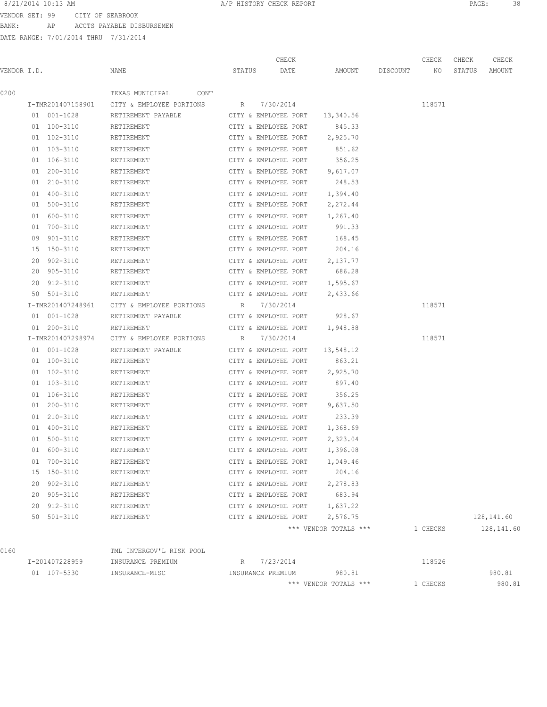8/21/2014 10:13 AM **PAGE:** 38

VENDOR SET: 99 CITY OF SEABROOK BANK: AP ACCTS PAYABLE DISBURSEMEN

|             |                   |                                                        |             | CHECK                          |                       |          | CHECK    | CHECK  | CHECK      |
|-------------|-------------------|--------------------------------------------------------|-------------|--------------------------------|-----------------------|----------|----------|--------|------------|
| VENDOR I.D. |                   | NAME                                                   | STATUS      | DATE                           | AMOUNT                | DISCOUNT | NO       | STATUS | AMOUNT     |
| 0200        |                   | TEXAS MUNICIPAL<br>CONT                                |             |                                |                       |          |          |        |            |
|             |                   | I-TMR201407158901 CITY & EMPLOYEE PORTIONS R 7/30/2014 |             |                                |                       |          | 118571   |        |            |
|             | 01 001-1028       | RETIREMENT PAYABLE                                     |             | CITY & EMPLOYEE PORT 13,340.56 |                       |          |          |        |            |
|             | 01 100-3110       | RETIREMENT                                             |             | CITY & EMPLOYEE PORT           | 845.33                |          |          |        |            |
|             | 01 102-3110       | RETIREMENT                                             |             | CITY & EMPLOYEE PORT 2,925.70  |                       |          |          |        |            |
|             | 01 103-3110       | RETIREMENT                                             |             | CITY & EMPLOYEE PORT           | 851.62                |          |          |        |            |
|             | 01 106-3110       | RETIREMENT                                             |             | CITY & EMPLOYEE PORT 356.25    |                       |          |          |        |            |
|             | 01 200-3110       | RETIREMENT                                             |             | CITY & EMPLOYEE PORT           | 9,617.07              |          |          |        |            |
|             | 01 210-3110       | RETIREMENT                                             |             | CITY & EMPLOYEE PORT 248.53    |                       |          |          |        |            |
|             | 01 400-3110       | RETIREMENT                                             |             | CITY & EMPLOYEE PORT           | 1,394.40              |          |          |        |            |
|             | 01 500-3110       | RETIREMENT                                             |             | CITY & EMPLOYEE PORT           | 2,272.44              |          |          |        |            |
|             | 01 600-3110       | RETIREMENT                                             |             | CITY & EMPLOYEE PORT           | 1,267.40              |          |          |        |            |
|             | 01 700-3110       | RETIREMENT                                             |             | CITY & EMPLOYEE PORT           | 991.33                |          |          |        |            |
|             | 09 901-3110       | RETIREMENT                                             |             | CITY & EMPLOYEE PORT           | 168.45                |          |          |        |            |
|             | 15 150-3110       | RETIREMENT                                             |             | CITY & EMPLOYEE PORT           | 204.16                |          |          |        |            |
|             | 20 902-3110       | RETIREMENT                                             |             | CITY & EMPLOYEE PORT           | 2,137.77              |          |          |        |            |
|             | 20 905-3110       | RETIREMENT                                             |             | CITY & EMPLOYEE PORT           | 686.28                |          |          |        |            |
|             | 20 912-3110       | RETIREMENT                                             |             | CITY & EMPLOYEE PORT 1,595.67  |                       |          |          |        |            |
|             | 50 501-3110       | RETIREMENT                                             |             | CITY & EMPLOYEE PORT           | 2,433.66              |          |          |        |            |
|             | I-TMR201407248961 | CITY & EMPLOYEE PORTIONS                               | R           | 7/30/2014                      |                       |          | 118571   |        |            |
|             | 01 001-1028       | RETIREMENT PAYABLE                                     |             | CITY & EMPLOYEE PORT           | 928.67                |          |          |        |            |
|             |                   |                                                        |             |                                |                       |          |          |        |            |
|             | 01 200-3110       | RETIREMENT                                             |             | CITY & EMPLOYEE PORT 1,948.88  |                       |          |          |        |            |
|             | I-TMR201407298974 | CITY & EMPLOYEE PORTIONS                               | R 7/30/2014 |                                |                       |          | 118571   |        |            |
|             | 01 001-1028       | RETIREMENT PAYABLE                                     |             | CITY & EMPLOYEE PORT 13,548.12 |                       |          |          |        |            |
|             | 01 100-3110       | RETIREMENT                                             |             | CITY & EMPLOYEE PORT           | 863.21                |          |          |        |            |
|             | 01 102-3110       | RETIREMENT                                             |             | CITY & EMPLOYEE PORT           | 2,925.70              |          |          |        |            |
|             | 01 103-3110       | RETIREMENT                                             |             | CITY & EMPLOYEE PORT           | 897.40                |          |          |        |            |
|             | 01 106-3110       | RETIREMENT                                             |             | CITY & EMPLOYEE PORT 356.25    |                       |          |          |        |            |
|             | 01 200-3110       | RETIREMENT                                             |             | CITY & EMPLOYEE PORT 9,637.50  |                       |          |          |        |            |
|             | 01 210-3110       | RETIREMENT                                             |             | CITY & EMPLOYEE PORT 233.39    |                       |          |          |        |            |
|             | 01 400-3110       | RETIREMENT                                             |             | CITY & EMPLOYEE PORT 1,368.69  |                       |          |          |        |            |
|             | 01 500-3110       | RETIREMENT                                             |             | CITY & EMPLOYEE PORT           | 2,323.04              |          |          |        |            |
|             | 01 600-3110       | RETIREMENT                                             |             | CITY & EMPLOYEE PORT           | 1,396.08              |          |          |        |            |
|             | 01 700-3110       | RETIREMENT                                             |             | CITY & EMPLOYEE PORT           | 1,049.46              |          |          |        |            |
|             | 15 150-3110       | RETIREMENT                                             |             | CITY & EMPLOYEE PORT           | 204.16                |          |          |        |            |
|             | 20 902-3110       | RETIREMENT                                             |             | CITY & EMPLOYEE PORT           | 2,278.83              |          |          |        |            |
|             | 20 905-3110       | RETIREMENT                                             |             | CITY & EMPLOYEE PORT           | 683.94                |          |          |        |            |
|             | 20 912-3110       | RETIREMENT                                             |             | CITY & EMPLOYEE PORT 1,637.22  |                       |          |          |        |            |
|             | 50 501-3110       | RETIREMENT                                             |             | CITY & EMPLOYEE PORT 2,576.75  |                       |          |          |        | 128,141.60 |
|             |                   |                                                        |             |                                | *** VENDOR TOTALS *** |          | 1 CHECKS |        | 128,141.60 |
| 0160        |                   | TML INTERGOV'L RISK POOL                               |             |                                |                       |          |          |        |            |
|             | I-201407228959    | INSURANCE PREMIUM                                      |             | R 7/23/2014                    |                       |          | 118526   |        |            |
|             | 01 107-5330       | INSURANCE-MISC                                         |             | INSURANCE PREMIUM 980.81       |                       |          |          |        | 980.81     |
|             |                   |                                                        |             |                                | *** VENDOR TOTALS *** |          | 1 CHECKS |        | 980.81     |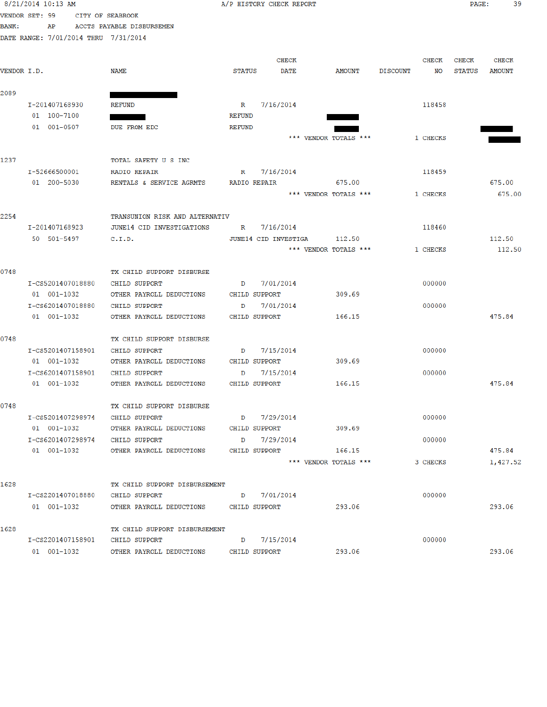|                | 8/21/2014 10:13 AM |             |                                        |                | A/P HISTORY CHECK REPORT |                       |                 |        | $\mathtt{PAGE}$ : | 39            |
|----------------|--------------------|-------------|----------------------------------------|----------------|--------------------------|-----------------------|-----------------|--------|-------------------|---------------|
| VENDOR SET: 99 |                    |             | CITY OF SEABROOK                       |                |                          |                       |                 |        |                   |               |
| <b>BANK:</b>   | AP                 |             | ACCTS PAYABLE DISBURSEMEN              |                |                          |                       |                 |        |                   |               |
|                |                    |             | DATE RANGE: 7/01/2014 THRU 7/31/2014   |                |                          |                       |                 |        |                   |               |
|                |                    |             |                                        |                | <b>CHECK</b>             |                       | CHECK           |        | CHECK             | <b>CHECK</b>  |
| VENDOR I.D.    |                    |             | NAME                                   | <b>STATUS</b>  | DATE                     | AMOUNT                | <b>DISCOUNT</b> | NO     | <b>STATUS</b>     | <b>AMOUNT</b> |
| 2089           |                    |             |                                        |                |                          |                       |                 |        |                   |               |
|                | I-201407168930     |             | <b>REFUND</b>                          | $\mathbb R$    | 7/16/2014                |                       |                 | 118458 |                   |               |
|                | 01 100-7100        |             |                                        | <b>REFUND</b>  |                          |                       |                 |        |                   |               |
|                | 01 001-0507        |             | DUE FROM EDC                           | REFUND         |                          | *** VENDOR TOTALS *** | 1 CHECKS        |        |                   |               |
|                |                    |             |                                        |                |                          |                       |                 |        |                   |               |
| 1237           |                    |             | TOTAL SAFETY U S INC                   |                |                          |                       |                 |        |                   |               |
|                | I-52666500001      |             | <b>RADIO REPAIR</b>                    | $\mathbb R$    | 7/16/2014                |                       |                 | 118459 |                   |               |
|                | 01 200-5030        |             | RENTALS & SERVICE AGRMTS               |                | RADIO REPAIR 675.00      |                       |                 |        |                   | 675.00        |
|                |                    |             |                                        |                |                          | *** VENDOR TOTALS *** | 1 CHECKS        |        |                   | 675.00        |
| 2254           |                    |             | TRANSUNION RISK AND ALTERNATIV         |                |                          |                       |                 |        |                   |               |
|                | I-201407168923     |             | JUNE14 CID INVESTIGATIONS              | $\mathbb R$    | 7/16/2014                |                       | 118460          |        |                   |               |
|                | 50 501-5497        |             | C.I.D.                                 |                | JUNE14 CID INVESTIGA     | 112.50                |                 |        |                   | 112.50        |
|                |                    |             |                                        |                |                          | *** VENDOR TOTALS *** | 1 CHECKS        |        |                   | 112.50        |
| 0748           |                    |             | TX CHILD SUPPORT DISBURSE              |                |                          |                       |                 |        |                   |               |
|                | I-CS5201407018880  |             | CHILD SUPPORT                          | D              | 7/01/2014                |                       |                 | 000000 |                   |               |
|                | 01 001-1032        |             | OTHER PAYROLL DEDUCTIONS               |                | CHILD SUPPORT            | 309.69                |                 |        |                   |               |
|                | I-CS6201407018880  |             | <b>CHILD SUPPORT</b>                   | D              | 7/01/2014                |                       |                 | 000000 |                   |               |
|                | 01 001-1032        |             | OTHER PAYROLL DEDUCTIONS               | CHILD SUPPORT  |                          | 166.15                |                 |        |                   | 475.84        |
| 0748           |                    |             | TX CHILD SUPPORT DISBURSE              |                |                          |                       |                 |        |                   |               |
|                | I-CS5201407158901  |             | CHILD SUPPORT                          | $\Box$         | 7/15/2014                |                       |                 | 000000 |                   |               |
|                | 01 001-1032        |             | OTHER PAYROLL DEDUCTIONS               |                | CHILD SUPPORT            | 309.69                |                 |        |                   |               |
|                | I-CS6201407158901  |             | CHILD SUPPORT                          | D              | 7/15/2014                |                       |                 | 000000 |                   |               |
|                | 01 001-1032        |             | OTHER PAYROLL DEDUCTIONS               |                | CHILD SUPPORT            | 166.15                |                 |        |                   | 475.84        |
| 0748           |                    |             | TX CHILD SUPPORT DISBURSE              |                |                          |                       |                 |        |                   |               |
|                |                    |             | I-CS5201407298974 CHILD SUPPORT        |                | D 7/29/2014              |                       |                 | 000000 |                   |               |
|                | 01 001-1032        |             | OTHER PAYROLL DEDUCTIONS CHILD SUPPORT |                |                          | 309.69                |                 |        |                   |               |
|                |                    |             | I-CS6201407298974 CHILD SUPPORT        | D <sub>D</sub> | 7/29/2014                |                       |                 | 000000 |                   |               |
|                | 01 001-1032        |             | OTHER PAYROLL DEDUCTIONS CHILD SUPPORT |                |                          | 166.15                |                 |        |                   | 475.84        |
|                |                    |             |                                        |                |                          | *** VENDOR TOTALS *** | 3 CHECKS        |        |                   | 1,427.52      |
| 1628           |                    |             | TX CHILD SUPPORT DISBURSEMENT          |                |                          |                       |                 |        |                   |               |
|                |                    |             | I-CS2201407018880 CHILD SUPPORT        |                | D 7/01/2014              |                       |                 | 000000 |                   |               |
|                |                    | 01 001-1032 | OTHER PAYROLL DEDUCTIONS CHILD SUPPORT |                |                          | 293.06                |                 |        |                   | 293.06        |
| 1628           |                    |             | TX CHILD SUPPORT DISBURSEMENT          |                |                          |                       |                 |        |                   |               |
|                |                    |             | I-CS2201407158901 CHILD SUPPORT        |                | D 7/15/2014              |                       |                 | 000000 |                   |               |
|                | 01 001-1032        |             | OTHER PAYROLL DEDUCTIONS CHILD SUPPORT |                |                          | 293.06                |                 |        |                   | 293.06        |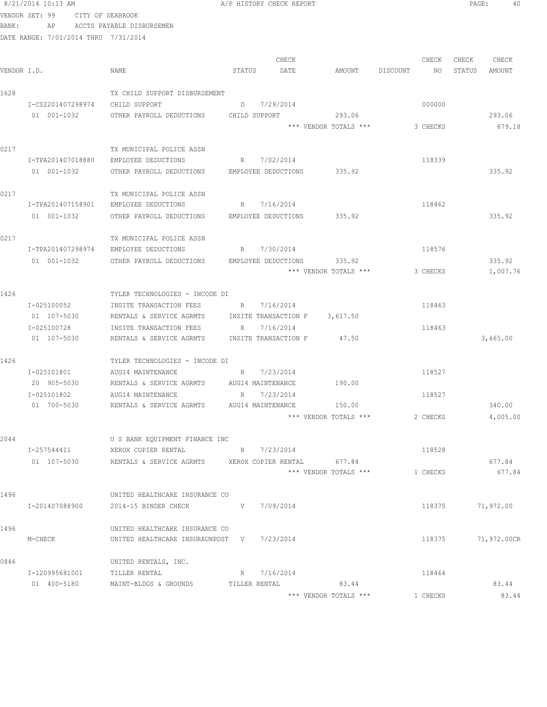VENDOR SET: 99 CITY OF SEABROOK BANK: AP ACCTS PAYABLE DISBURSEMEN DATE RANGE: 7/01/2014 THRU 7/31/2014 CHECK CHECK CHECK CHECK .<br>In the other weakstates when the status of the contract of the extendio of the Status amount of the Mount of t<br>In the Status of the Status of the Status amount of the Status amount of the Status amount of the Status amou 1628 TX CHILD SUPPORT DISBURSEMENT I-CS2201407298974 CHILD SUPPORT D 7/29/2014 000000 01 001-1032 OTHER PAYROLL DEDUCTIONS CHILD SUPPORT 293.06 293.06 293.06 \*\*\* VENDOR TOTALS \*\*\* 3 CHECKS 879.18 0217 TX MUNICIPAL POLICE ASSN I-TPA201407018880 EMPLOYEE DEDUCTIONS R 7/02/2014 118339 01 001-1032 OTHER PAYROLL DEDUCTIONS EMPLOYEE DEDUCTIONS 335.92 335.92 0217 TX MUNICIPAL POLICE ASSN I-TPA201407158901 EMPLOYEE DEDUCTIONS R 7/16/2014 118462 01 001-1032 OTHER PAYROLL DEDUCTIONS EMPLOYEE DEDUCTIONS 335.92 335.92 0217 TX MUNICIPAL POLICE ASSN I-TPA201407298974 EMPLOYEE DEDUCTIONS R 7/30/2014 118576 01 001-1032 OTHER PAYROLL DEDUCTIONS EMPLOYEE DEDUCTIONS 335.92 335.92 \*\*\* VENDOR TOTALS \*\*\* 3 CHECKS 1,007.76 1426 TYLER TECHNOLOGIES - INCODE DI I-025100052 INSITE TRANSACTION FEES R 7/16/2014 2118463 01 107-5030 RENTALS & SERVICE AGRMTS INSITE TRANSACTION F 3,617.50 I-025100728 INSITE TRANSACTION FEES R 7/16/2014 118463 01 107-5030 RENTALS & SERVICE AGRMTS INSITE TRANSACTION F 47.50 47.50 1426 TYLER TECHNOLOGIES - INCODE DI<br>I-025101801 AUG14 MAINTENANCE AUG14 MAINTENANCE R 7/23/2014 R 118527 20 905-5030 RENTALS & SERVICE AGRMTS AUG14 MAINTENANCE 190.00 I-025101802 AUG14 MAINTENANCE R 7/23/2014 118527 01 700-5030 RENTALS & SERVICE AGRMTS AUG14 MAINTENANCE 150.00 340.00 \*\*\* VENDOR TOTALS \*\*\* 2 CHECKS 4,005.00 2044 U S BANK EQUIPMENT FINANCE INC I-257544411 XEROX COPIER RENTAL R 7/23/2014 118528 01 107-5030 RENTALS & SERVICE AGRMTS XEROX COPIER RENTAL 677.84 677.84 677.84 \*\*\* VENDOR TOTALS \*\*\* 1 CHECKS 677.84 1496 UNITED HEALTHCARE INSURANCE CO I-201407088900 2014-15 BINDER CHECK V 7/09/2014 118375 71,972.00 1496 UNITED HEALTHCARE INSURANCE CO M-CHECK UNITED HEALTHCARE INSURAUNPOST V 7/23/2014 118375 71,972.00CR 0846 UNITED RENTALS, INC. I-120995681001 TILLER RENTAL R 7/16/2014 118464 01 400-5180 MAINT-BLDGS & GROUNDS TILLER RENTAL 83.44 83.44 \*\*\* VENDOR TOTALS \*\*\* 1 CHECKS 83.44

8/21/2014 10:13 AM **A/P HISTORY CHECK REPORT PAGE:** 40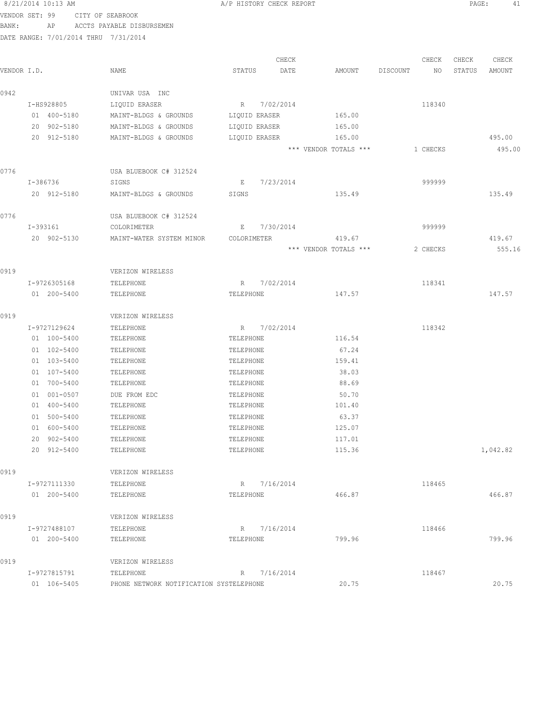|             | 8/21/2014 10:13 AM                   |                                                      | A/P HISTORY CHECK REPORT     |           |                       |          |          | PAGE:  | 41       |
|-------------|--------------------------------------|------------------------------------------------------|------------------------------|-----------|-----------------------|----------|----------|--------|----------|
|             | VENDOR SET: 99                       | CITY OF SEABROOK                                     |                              |           |                       |          |          |        |          |
| BANK:       | AP                                   | ACCTS PAYABLE DISBURSEMEN                            |                              |           |                       |          |          |        |          |
|             | DATE RANGE: 7/01/2014 THRU 7/31/2014 |                                                      |                              |           |                       |          |          |        |          |
|             |                                      |                                                      |                              |           |                       |          |          |        |          |
|             |                                      |                                                      |                              | CHECK     |                       |          | CHECK    | CHECK  | CHECK    |
| VENDOR I.D. |                                      | NAME                                                 | STATUS                       | DATE      | AMOUNT                | DISCOUNT | NO.      | STATUS | AMOUNT   |
|             |                                      |                                                      |                              |           |                       |          |          |        |          |
| 0942        |                                      | UNIVAR USA INC                                       |                              |           |                       |          |          |        |          |
|             | I-HS928805<br>01 400-5180            | LIQUID ERASER<br>MAINT-BLDGS & GROUNDS               | R 7/02/2014<br>LIQUID ERASER |           | 165.00                |          | 118340   |        |          |
|             | 20 902-5180                          | MAINT-BLDGS & GROUNDS                                | LIQUID ERASER                |           | 165.00                |          |          |        |          |
|             | 20 912-5180                          | MAINT-BLDGS & GROUNDS                                | LIQUID ERASER                |           | 165.00                |          |          |        | 495.00   |
|             |                                      |                                                      |                              |           | *** VENDOR TOTALS *** |          | 1 CHECKS |        | 495.00   |
|             |                                      |                                                      |                              |           |                       |          |          |        |          |
| 0776        |                                      | USA BLUEBOOK C# 312524                               |                              |           |                       |          |          |        |          |
|             | I-386736                             | SIGNS                                                | E                            | 7/23/2014 |                       |          | 999999   |        |          |
|             | 20 912-5180                          | MAINT-BLDGS & GROUNDS                                | SIGNS                        |           | 135.49                |          |          |        | 135.49   |
|             |                                      |                                                      |                              |           |                       |          |          |        |          |
| 0776        |                                      | USA BLUEBOOK C# 312524                               |                              |           |                       |          |          |        |          |
|             | I-393161                             | COLORIMETER                                          | E                            | 7/30/2014 |                       |          | 999999   |        |          |
|             | 20 902-5130                          | MAINT-WATER SYSTEM MINOR                             | COLORIMETER                  |           | 419.67                |          |          |        | 419.67   |
|             |                                      |                                                      |                              |           | *** VENDOR TOTALS *** |          | 2 CHECKS |        | 555.16   |
|             |                                      |                                                      |                              |           |                       |          |          |        |          |
| 0919        |                                      | VERIZON WIRELESS                                     |                              |           |                       |          |          |        |          |
|             | I-9726305168                         | TELEPHONE                                            | R 7/02/2014                  |           |                       |          | 118341   |        |          |
|             | 01 200-5400                          | TELEPHONE                                            | TELEPHONE                    |           | 147.57                |          |          |        | 147.57   |
|             |                                      |                                                      |                              |           |                       |          |          |        |          |
| 0919        |                                      | VERIZON WIRELESS                                     |                              |           |                       |          |          |        |          |
|             | I-9727129624                         | TELEPHONE                                            | R 7/02/2014                  |           |                       |          | 118342   |        |          |
|             | 01 100-5400                          | TELEPHONE                                            | TELEPHONE                    |           | 116.54                |          |          |        |          |
|             | 01 102-5400<br>01 103-5400           | TELEPHONE<br>TELEPHONE                               | TELEPHONE<br>TELEPHONE       |           | 67.24<br>159.41       |          |          |        |          |
|             | 01 107-5400                          | TELEPHONE                                            | TELEPHONE                    |           | 38.03                 |          |          |        |          |
|             | 01 700-5400                          | TELEPHONE                                            | TELEPHONE                    |           | 88.69                 |          |          |        |          |
|             | 01 001-0507                          | DUE FROM EDC                                         | TELEPHONE                    |           | 50.70                 |          |          |        |          |
|             | 01 400-5400                          | TELEPHONE                                            | TELEPHONE                    |           | 101.40                |          |          |        |          |
|             | 01 500-5400                          | TELEPHONE                                            | TELEPHONE                    |           | 63.37                 |          |          |        |          |
|             | 01 600-5400                          | TELEPHONE                                            | TELEPHONE                    |           | 125.07                |          |          |        |          |
|             | 20 902-5400                          | TELEPHONE                                            | TELEPHONE                    |           | 117.01                |          |          |        |          |
|             | 20 912-5400                          | TELEPHONE                                            | TELEPHONE                    |           | 115.36                |          |          |        | 1,042.82 |
|             |                                      |                                                      |                              |           |                       |          |          |        |          |
| 0919        |                                      | VERIZON WIRELESS                                     |                              |           |                       |          |          |        |          |
|             | I-9727111330                         | TELEPHONE                                            | R 7/16/2014                  |           |                       |          | 118465   |        |          |
|             | 01 200-5400                          | TELEPHONE                                            | TELEPHONE                    |           | 466.87                |          |          |        | 466.87   |
|             |                                      |                                                      |                              |           |                       |          |          |        |          |
| 0919        |                                      | VERIZON WIRELESS                                     |                              |           |                       |          |          |        |          |
|             | I-9727488107                         | TELEPHONE                                            | R                            | 7/16/2014 |                       |          | 118466   |        |          |
|             | 01 200-5400                          | TELEPHONE                                            | TELEPHONE                    |           | 799.96                |          |          |        | 799.96   |
|             |                                      |                                                      |                              |           |                       |          |          |        |          |
| 0919        |                                      | VERIZON WIRELESS                                     |                              |           |                       |          |          |        |          |
|             | I-9727815791<br>01 106-5405          | TELEPHONE<br>PHONE NETWORK NOTIFICATION SYSTELEPHONE | R                            | 7/16/2014 | 20.75                 |          | 118467   |        | 20.75    |
|             |                                      |                                                      |                              |           |                       |          |          |        |          |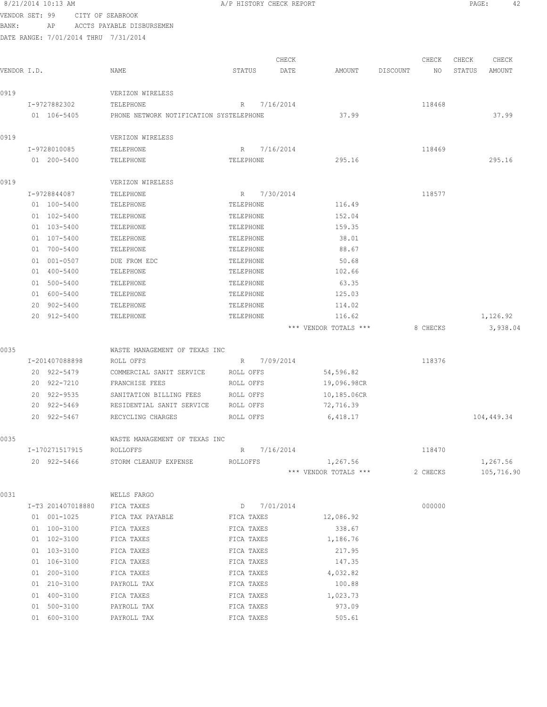|                | 8/21/2014 10:13 AM |                                         | A/P HISTORY CHECK REPORT |               |                       |          |             | PAGE:           | 42              |
|----------------|--------------------|-----------------------------------------|--------------------------|---------------|-----------------------|----------|-------------|-----------------|-----------------|
| VENDOR SET: 99 |                    | CITY OF SEABROOK                        |                          |               |                       |          |             |                 |                 |
| BANK:          | ΑP                 | ACCTS PAYABLE DISBURSEMEN               |                          |               |                       |          |             |                 |                 |
|                |                    | DATE RANGE: 7/01/2014 THRU 7/31/2014    |                          |               |                       |          |             |                 |                 |
|                |                    |                                         |                          |               |                       |          |             |                 |                 |
| VENDOR I.D.    |                    | NAME                                    | STATUS                   | CHECK<br>DATE | AMOUNT                | DISCOUNT | CHECK<br>NO | CHECK<br>STATUS | CHECK<br>AMOUNT |
|                |                    |                                         |                          |               |                       |          |             |                 |                 |
| 0919           |                    | VERIZON WIRELESS                        |                          |               |                       |          |             |                 |                 |
|                | I-9727882302       | TELEPHONE                               | $R_{\parallel}$          | 7/16/2014     |                       |          | 118468      |                 |                 |
|                | 01 106-5405        | PHONE NETWORK NOTIFICATION SYSTELEPHONE |                          |               | 37.99                 |          |             |                 | 37.99           |
|                |                    |                                         |                          |               |                       |          |             |                 |                 |
| 0919           |                    | VERIZON WIRELESS                        |                          |               |                       |          |             |                 |                 |
|                | I-9728010085       | TELEPHONE                               | R                        | 7/16/2014     |                       |          | 118469      |                 |                 |
|                | 01 200-5400        | TELEPHONE                               | TELEPHONE                |               | 295.16                |          |             |                 | 295.16          |
|                |                    |                                         |                          |               |                       |          |             |                 |                 |
| 0919           |                    | VERIZON WIRELESS                        |                          |               |                       |          |             |                 |                 |
|                | I-9728844087       | TELEPHONE                               | R                        | 7/30/2014     |                       |          | 118577      |                 |                 |
|                | 01 100-5400        | TELEPHONE                               | TELEPHONE                |               | 116.49                |          |             |                 |                 |
|                | 01 102-5400        | TELEPHONE                               | TELEPHONE                |               | 152.04                |          |             |                 |                 |
|                | 01 103-5400        | TELEPHONE                               | TELEPHONE                |               | 159.35                |          |             |                 |                 |
|                | 01 107-5400        | TELEPHONE                               | TELEPHONE                |               | 38.01                 |          |             |                 |                 |
|                | 01 700-5400        | TELEPHONE                               | TELEPHONE                |               | 88.67                 |          |             |                 |                 |
|                | 01 001-0507        | DUE FROM EDC                            | TELEPHONE                |               | 50.68                 |          |             |                 |                 |
|                | 01 400-5400        | TELEPHONE                               | TELEPHONE                |               | 102.66                |          |             |                 |                 |
|                | 01 500-5400        | TELEPHONE                               | TELEPHONE                |               | 63.35                 |          |             |                 |                 |
|                | 01 600-5400        | TELEPHONE                               | TELEPHONE                |               | 125.03                |          |             |                 |                 |
|                | 20 902-5400        | TELEPHONE                               | TELEPHONE                |               | 114.02                |          |             |                 |                 |
|                | 20 912-5400        | TELEPHONE                               | TELEPHONE                |               | 116.62                |          |             |                 | 1,126.92        |
|                |                    |                                         |                          |               | *** VENDOR TOTALS *** |          | 8 CHECKS    |                 | 3,938.04        |
|                |                    |                                         |                          |               |                       |          |             |                 |                 |
| 0035           |                    | WASTE MANAGEMENT OF TEXAS INC           |                          |               |                       |          |             |                 |                 |
|                | I-201407088898     | ROLL OFFS                               | R                        | 7/09/2014     |                       |          | 118376      |                 |                 |
|                | 20 922-5479        | COMMERCIAL SANIT SERVICE                | ROLL OFFS                |               | 54,596.82             |          |             |                 |                 |
|                | 20 922-7210        | FRANCHISE FEES                          | ROLL OFFS                |               | 19,096.98CR           |          |             |                 |                 |
|                | 20 922-9535        | SANITATION BILLING FEES                 | ROLL OFFS                |               | 10,185.06CR           |          |             |                 |                 |
|                | 20 922-5469        | RESIDENTIAL SANIT SERVICE               | ROLL OFFS                |               | 72,716.39             |          |             |                 |                 |
|                | 20 922-5467        | RECYCLING CHARGES                       | ROLL OFFS                |               | 6,418.17              |          |             |                 | 104,449.34      |
| 0035           |                    | WASTE MANAGEMENT OF TEXAS INC           |                          |               |                       |          |             |                 |                 |
|                | I-170271517915     | ROLLOFFS                                | R 7/16/2014              |               |                       |          | 118470      |                 |                 |
|                | 20 922-5466        | STORM CLEANUP EXPENSE                   | ROLLOFFS                 |               | 1,267.56              |          |             |                 | 1,267.56        |
|                |                    |                                         |                          |               | *** VENDOR TOTALS *** |          | 2 CHECKS    |                 | 105,716.90      |
|                |                    |                                         |                          |               |                       |          |             |                 |                 |
| 0031           |                    | WELLS FARGO                             |                          |               |                       |          |             |                 |                 |
|                | I-T3 201407018880  | FICA TAXES                              | D 7/01/2014              |               |                       |          | 000000      |                 |                 |
|                | 01 001-1025        | FICA TAX PAYABLE                        | FICA TAXES               |               | 12,086.92             |          |             |                 |                 |
|                | 01 100-3100        | FICA TAXES                              | FICA TAXES               |               | 338.67                |          |             |                 |                 |
|                | 01 102-3100        | FICA TAXES                              | FICA TAXES               |               | 1,186.76              |          |             |                 |                 |
|                | 01 103-3100        | FICA TAXES                              | FICA TAXES               |               | 217.95                |          |             |                 |                 |
|                | 01 106-3100        | FICA TAXES                              | FICA TAXES               |               | 147.35                |          |             |                 |                 |
|                | 01 200-3100        | FICA TAXES                              | FICA TAXES               |               | 4,032.82              |          |             |                 |                 |
|                | 01 210-3100        | PAYROLL TAX                             | FICA TAXES               |               | 100.88                |          |             |                 |                 |
|                | 01 400-3100        | FICA TAXES                              | FICA TAXES               |               | 1,023.73              |          |             |                 |                 |
|                | 01 500-3100        | PAYROLL TAX                             | FICA TAXES               |               | 973.09                |          |             |                 |                 |
|                | 01 600-3100        | PAYROLL TAX                             | FICA TAXES               |               | 505.61                |          |             |                 |                 |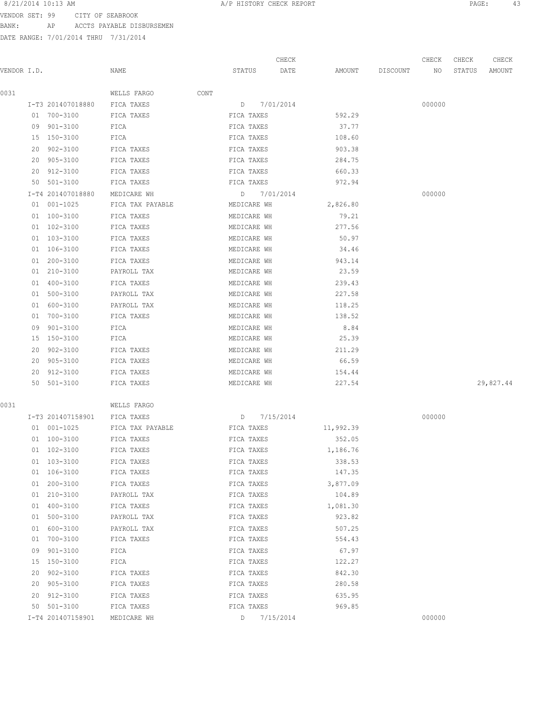VENDOR SET: 99 CITY OF SEABROOK BANK: AP ACCTS PAYABLE DISBURSEMEN

|             |    |                   |                  |        |             | CHECK     |           |          | CHECK  | CHECK  | CHECK     |
|-------------|----|-------------------|------------------|--------|-------------|-----------|-----------|----------|--------|--------|-----------|
| VENDOR I.D. |    |                   | NAME             | STATUS |             | DATE      | AMOUNT    | DISCOUNT | NO     | STATUS | AMOUNT    |
| 0031        |    |                   | WELLS FARGO      | CONT   |             |           |           |          |        |        |           |
|             |    | I-T3 201407018880 | FICA TAXES       |        | D 7/01/2014 |           |           |          | 000000 |        |           |
|             |    | 01 700-3100       | FICA TAXES       |        | FICA TAXES  |           | 592.29    |          |        |        |           |
|             |    | 09 901-3100       | FICA             |        | FICA TAXES  |           | 37.77     |          |        |        |           |
|             |    | 15 150-3100       | FICA             |        | FICA TAXES  |           | 108.60    |          |        |        |           |
|             |    | 20 902-3100       | FICA TAXES       |        | FICA TAXES  |           | 903.38    |          |        |        |           |
|             |    | 20 905-3100       | FICA TAXES       |        | FICA TAXES  |           | 284.75    |          |        |        |           |
|             |    | 20 912-3100       | FICA TAXES       |        | FICA TAXES  |           | 660.33    |          |        |        |           |
|             |    | 50 501-3100       | FICA TAXES       |        | FICA TAXES  |           | 972.94    |          |        |        |           |
|             |    | I-T4 201407018880 | MEDICARE WH      |        | D 7/01/2014 |           |           |          | 000000 |        |           |
|             |    | 01 001-1025       | FICA TAX PAYABLE |        | MEDICARE WH |           | 2,826.80  |          |        |        |           |
|             |    | 01 100-3100       | FICA TAXES       |        | MEDICARE WH |           | 79.21     |          |        |        |           |
|             |    | 01 102-3100       | FICA TAXES       |        | MEDICARE WH |           | 277.56    |          |        |        |           |
|             |    | 01 103-3100       | FICA TAXES       |        | MEDICARE WH |           | 50.97     |          |        |        |           |
|             |    | 01 106-3100       | FICA TAXES       |        | MEDICARE WH |           | 34.46     |          |        |        |           |
|             | 01 | 200-3100          | FICA TAXES       |        | MEDICARE WH |           | 943.14    |          |        |        |           |
|             |    | 01 210-3100       | PAYROLL TAX      |        | MEDICARE WH |           | 23.59     |          |        |        |           |
|             |    | 01 400-3100       | FICA TAXES       |        | MEDICARE WH |           | 239.43    |          |        |        |           |
|             |    | 01 500-3100       | PAYROLL TAX      |        | MEDICARE WH |           | 227.58    |          |        |        |           |
|             |    | 01 600-3100       | PAYROLL TAX      |        | MEDICARE WH |           | 118.25    |          |        |        |           |
|             |    | 01 700-3100       | FICA TAXES       |        | MEDICARE WH |           | 138.52    |          |        |        |           |
|             | 09 | 901-3100          | FICA             |        | MEDICARE WH |           | 8.84      |          |        |        |           |
|             |    | 15 150-3100       | FICA             |        | MEDICARE WH |           | 25.39     |          |        |        |           |
|             | 20 | 902-3100          | FICA TAXES       |        | MEDICARE WH |           | 211.29    |          |        |        |           |
|             |    | 20 905-3100       | FICA TAXES       |        | MEDICARE WH |           | 66.59     |          |        |        |           |
|             |    | 20 912-3100       | FICA TAXES       |        | MEDICARE WH |           | 154.44    |          |        |        |           |
|             |    | 50 501-3100       | FICA TAXES       |        | MEDICARE WH |           | 227.54    |          |        |        | 29,827.44 |
|             |    |                   |                  |        |             |           |           |          |        |        |           |
| 0031        |    |                   | WELLS FARGO      |        |             |           |           |          |        |        |           |
|             |    | I-T3 201407158901 | FICA TAXES       | D      |             | 7/15/2014 |           |          | 000000 |        |           |
|             |    | 01 001-1025       | FICA TAX PAYABLE |        | FICA TAXES  |           | 11,992.39 |          |        |        |           |
|             |    | 01 100-3100       | FICA TAXES       |        | FICA TAXES  |           | 352.05    |          |        |        |           |
|             |    | 01 102-3100       | FICA TAXES       |        | FICA TAXES  |           | 1,186.76  |          |        |        |           |
|             |    | 01 103-3100       | FICA TAXES       |        | FICA TAXES  |           | 338.53    |          |        |        |           |
|             |    | 01 106-3100       | FICA TAXES       |        | FICA TAXES  |           | 147.35    |          |        |        |           |
|             |    | 01 200-3100       | FICA TAXES       |        | FICA TAXES  |           | 3,877.09  |          |        |        |           |
|             | 01 | 210-3100          | PAYROLL TAX      |        | FICA TAXES  |           | 104.89    |          |        |        |           |
|             | 01 | 400-3100          | FICA TAXES       |        | FICA TAXES  |           | 1,081.30  |          |        |        |           |
|             | 01 | 500-3100          | PAYROLL TAX      |        | FICA TAXES  |           | 923.82    |          |        |        |           |
|             | 01 | 600-3100          | PAYROLL TAX      |        | FICA TAXES  |           | 507.25    |          |        |        |           |
|             | 01 | 700-3100          | FICA TAXES       |        | FICA TAXES  |           | 554.43    |          |        |        |           |
|             | 09 | $901 - 3100$      | FICA             |        | FICA TAXES  |           | 67.97     |          |        |        |           |
|             | 15 | 150-3100          | FICA             |        | FICA TAXES  |           | 122.27    |          |        |        |           |
|             | 20 | 902-3100          | FICA TAXES       |        | FICA TAXES  |           | 842.30    |          |        |        |           |
|             | 20 | 905-3100          | FICA TAXES       |        | FICA TAXES  |           | 280.58    |          |        |        |           |
|             | 20 | 912-3100          | FICA TAXES       |        | FICA TAXES  |           | 635.95    |          |        |        |           |
|             | 50 | 501-3100          | FICA TAXES       |        | FICA TAXES  |           | 969.85    |          |        |        |           |
|             |    | I-T4 201407158901 | MEDICARE WH      | D      |             | 7/15/2014 |           |          | 000000 |        |           |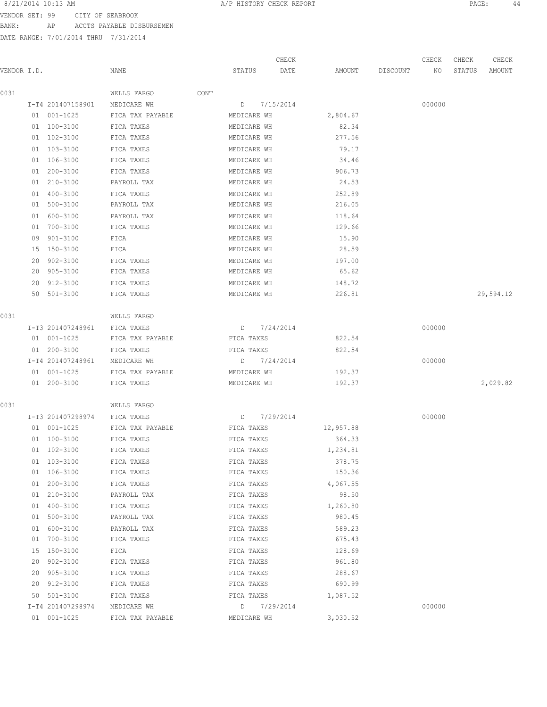8/21/2014 10:13 AM **BEREMIN A** A REPORT A BERORT **PAGE:** 44

VENDOR SET: 99 CITY OF SEABROOK BANK: AP ACCTS PAYABLE DISBURSEMEN

|             |    |                   |                  |      |             | CHECK     |           |          | CHECK  | CHECK  | CHECK     |
|-------------|----|-------------------|------------------|------|-------------|-----------|-----------|----------|--------|--------|-----------|
| VENDOR I.D. |    |                   | NAME             |      | STATUS      | DATE      | AMOUNT    | DISCOUNT | NO     | STATUS | AMOUNT    |
| 0031        |    |                   | WELLS FARGO      | CONT |             |           |           |          |        |        |           |
|             |    | I-T4 201407158901 | MEDICARE WH      |      | D           | 7/15/2014 |           |          | 000000 |        |           |
|             |    | 01 001-1025       | FICA TAX PAYABLE |      | MEDICARE WH |           | 2,804.67  |          |        |        |           |
|             |    | 01 100-3100       | FICA TAXES       |      | MEDICARE WH |           | 82.34     |          |        |        |           |
|             |    | 01 102-3100       | FICA TAXES       |      | MEDICARE WH |           | 277.56    |          |        |        |           |
|             |    | 01 103-3100       | FICA TAXES       |      | MEDICARE WH |           | 79.17     |          |        |        |           |
|             |    | 01 106-3100       | FICA TAXES       |      | MEDICARE WH |           | 34.46     |          |        |        |           |
|             |    | 01 200-3100       | FICA TAXES       |      | MEDICARE WH |           | 906.73    |          |        |        |           |
|             |    | 01 210-3100       | PAYROLL TAX      |      | MEDICARE WH |           | 24.53     |          |        |        |           |
|             |    | 01 400-3100       | FICA TAXES       |      | MEDICARE WH |           | 252.89    |          |        |        |           |
|             |    | 01 500-3100       | PAYROLL TAX      |      | MEDICARE WH |           | 216.05    |          |        |        |           |
|             |    | 01 600-3100       | PAYROLL TAX      |      | MEDICARE WH |           | 118.64    |          |        |        |           |
|             |    | 01 700-3100       | FICA TAXES       |      | MEDICARE WH |           | 129.66    |          |        |        |           |
|             |    | 09 901-3100       | FICA             |      | MEDICARE WH |           | 15.90     |          |        |        |           |
|             |    | 15 150-3100       | FICA             |      | MEDICARE WH |           | 28.59     |          |        |        |           |
|             | 20 | 902-3100          | FICA TAXES       |      | MEDICARE WH |           | 197.00    |          |        |        |           |
|             |    | 20 905-3100       | FICA TAXES       |      | MEDICARE WH |           | 65.62     |          |        |        |           |
|             |    | 20 912-3100       | FICA TAXES       |      | MEDICARE WH |           | 148.72    |          |        |        |           |
|             |    | 50 501-3100       | FICA TAXES       |      | MEDICARE WH |           | 226.81    |          |        |        | 29,594.12 |
| 0031        |    |                   | WELLS FARGO      |      |             |           |           |          |        |        |           |
|             |    | I-T3 201407248961 | FICA TAXES       |      | D 7/24/2014 |           |           |          | 000000 |        |           |
|             |    | 01 001-1025       | FICA TAX PAYABLE |      | FICA TAXES  |           | 822.54    |          |        |        |           |
|             |    | 01 200-3100       | FICA TAXES       |      | FICA TAXES  |           | 822.54    |          |        |        |           |
|             |    | I-T4 201407248961 | MEDICARE WH      |      | D 7/24/2014 |           |           |          | 000000 |        |           |
|             |    | 01 001-1025       | FICA TAX PAYABLE |      | MEDICARE WH |           | 192.37    |          |        |        |           |
|             |    | 01 200-3100       | FICA TAXES       |      | MEDICARE WH |           | 192.37    |          |        |        | 2,029.82  |
| 0031        |    |                   | WELLS FARGO      |      |             |           |           |          |        |        |           |
|             |    | I-T3 201407298974 | FICA TAXES       |      | D           | 7/29/2014 |           |          | 000000 |        |           |
|             |    | 01 001-1025       | FICA TAX PAYABLE |      | FICA TAXES  |           | 12,957.88 |          |        |        |           |
|             |    | 01 100-3100       | FICA TAXES       |      | FICA TAXES  |           | 364.33    |          |        |        |           |
|             |    | 01 102-3100       | FICA TAXES       |      | FICA TAXES  |           | 1,234.81  |          |        |        |           |
|             |    | 01 103-3100       | FICA TAXES       |      | FICA TAXES  |           | 378.75    |          |        |        |           |
|             |    | 01 106-3100       | FICA TAXES       |      | FICA TAXES  |           | 150.36    |          |        |        |           |
|             |    | 01 200-3100       | FICA TAXES       |      | FICA TAXES  |           | 4,067.55  |          |        |        |           |
|             |    | 01 210-3100       | PAYROLL TAX      |      | FICA TAXES  |           | 98.50     |          |        |        |           |
|             |    | 01 400-3100       | FICA TAXES       |      | FICA TAXES  |           | 1,260.80  |          |        |        |           |
|             |    | 01 500-3100       | PAYROLL TAX      |      | FICA TAXES  |           | 980.45    |          |        |        |           |
|             |    | 01 600-3100       | PAYROLL TAX      |      | FICA TAXES  |           | 589.23    |          |        |        |           |
|             |    | 01 700-3100       | FICA TAXES       |      | FICA TAXES  |           | 675.43    |          |        |        |           |
|             |    | 15 150-3100       | FICA             |      | FICA TAXES  |           | 128.69    |          |        |        |           |
|             |    | 20 902-3100       | FICA TAXES       |      | FICA TAXES  |           | 961.80    |          |        |        |           |
|             |    | 20 905-3100       | FICA TAXES       |      | FICA TAXES  |           | 288.67    |          |        |        |           |
|             |    | 20 912-3100       | FICA TAXES       |      | FICA TAXES  |           | 690.99    |          |        |        |           |
|             |    | 50 501-3100       | FICA TAXES       |      | FICA TAXES  |           | 1,087.52  |          |        |        |           |
|             |    | I-T4 201407298974 | MEDICARE WH      |      | D 7/29/2014 |           |           |          | 000000 |        |           |
|             |    | 01 001-1025       | FICA TAX PAYABLE |      | MEDICARE WH |           | 3,030.52  |          |        |        |           |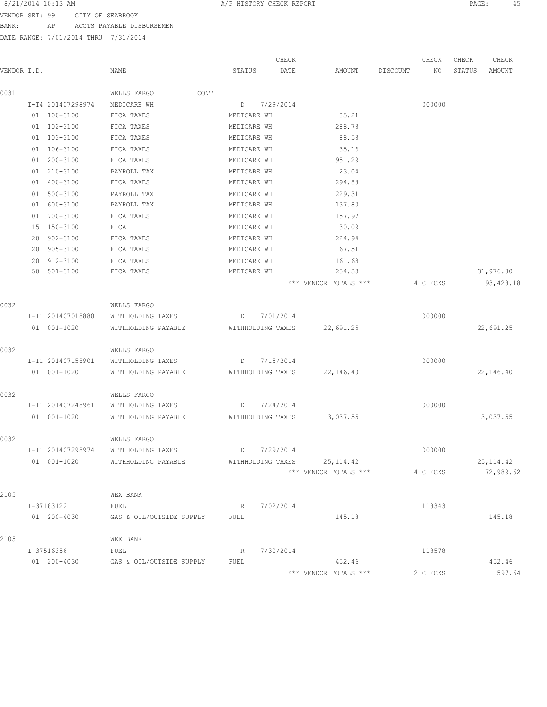8/21/2014 10:13 AM **BERE:** 45

VENDOR SET: 99 CITY OF SEABROOK BANK: AP ACCTS PAYABLE DISBURSEMEN

|             |                    |                                  |      |                   | CHECK             |                              |          | CHECK    | CHECK  | CHECK      |
|-------------|--------------------|----------------------------------|------|-------------------|-------------------|------------------------------|----------|----------|--------|------------|
| VENDOR I.D. |                    | NAME                             |      | STATUS            | DATE              | AMOUNT                       | DISCOUNT | ΝO       | STATUS | AMOUNT     |
| 0031        |                    | WELLS FARGO                      | CONT |                   |                   |                              |          |          |        |            |
|             | I-T4 201407298974  | MEDICARE WH                      |      | D                 | 7/29/2014         |                              |          | 000000   |        |            |
|             | 01 100-3100        | FICA TAXES                       |      | MEDICARE WH       |                   | 85.21                        |          |          |        |            |
|             | 01 102-3100        | FICA TAXES                       |      | MEDICARE WH       |                   | 288.78                       |          |          |        |            |
|             | 01 103-3100        | FICA TAXES                       |      | MEDICARE WH       |                   | 88.58                        |          |          |        |            |
|             | 01 106-3100        | FICA TAXES                       |      | MEDICARE WH       |                   | 35.16                        |          |          |        |            |
|             | 01 200-3100        | FICA TAXES                       |      | MEDICARE WH       |                   | 951.29                       |          |          |        |            |
|             | 01 210-3100        | PAYROLL TAX                      |      | MEDICARE WH       |                   | 23.04                        |          |          |        |            |
|             | 01 400-3100        | FICA TAXES                       |      | MEDICARE WH       |                   | 294.88                       |          |          |        |            |
|             | 01 500-3100        | PAYROLL TAX                      |      | MEDICARE WH       |                   | 229.31                       |          |          |        |            |
|             | 600-3100<br>01     | PAYROLL TAX                      |      | MEDICARE WH       |                   | 137.80                       |          |          |        |            |
|             | 700-3100<br>01     | FICA TAXES                       |      | MEDICARE WH       |                   | 157.97                       |          |          |        |            |
|             | 15 150-3100        | FICA                             |      | MEDICARE WH       |                   | 30.09                        |          |          |        |            |
|             | $902 - 3100$<br>20 | FICA TAXES                       |      | MEDICARE WH       |                   | 224.94                       |          |          |        |            |
|             | 905-3100<br>20     | FICA TAXES                       |      | MEDICARE WH       |                   | 67.51                        |          |          |        |            |
|             | 912-3100<br>20     | FICA TAXES                       |      | MEDICARE WH       |                   | 161.63                       |          |          |        |            |
|             | 501-3100<br>50     | FICA TAXES                       |      | MEDICARE WH       |                   | 254.33                       |          |          |        | 31,976.80  |
|             |                    |                                  |      |                   |                   | *** VENDOR TOTALS ***        |          | 4 CHECKS |        | 93, 428.18 |
| 0032        |                    | WELLS FARGO                      |      |                   |                   |                              |          |          |        |            |
|             | I-T1 201407018880  | WITHHOLDING TAXES                |      | D                 | 7/01/2014         |                              |          | 000000   |        |            |
|             | 01 001-1020        | WITHHOLDING PAYABLE              |      |                   | WITHHOLDING TAXES | 22,691.25                    |          |          |        | 22,691.25  |
| 0032        |                    |                                  |      |                   |                   |                              |          |          |        |            |
|             | I-T1 201407158901  | WELLS FARGO<br>WITHHOLDING TAXES |      | $D \qquad \qquad$ | 7/15/2014         |                              |          | 000000   |        |            |
|             | 01 001-1020        | WITHHOLDING PAYABLE              |      |                   |                   | 22,146.40                    |          |          |        |            |
|             |                    |                                  |      |                   | WITHHOLDING TAXES |                              |          |          |        | 22,146.40  |
| 0032        |                    | WELLS FARGO                      |      |                   |                   |                              |          |          |        |            |
|             | I-T1 201407248961  | WITHHOLDING TAXES                |      | D                 | 7/24/2014         |                              |          | 000000   |        |            |
|             | 01 001-1020        | WITHHOLDING PAYABLE              |      |                   | WITHHOLDING TAXES | 3,037.55                     |          |          |        | 3,037.55   |
| 0032        |                    | WELLS FARGO                      |      |                   |                   |                              |          |          |        |            |
|             | I-T1 201407298974  | WITHHOLDING TAXES                |      | D                 | 7/29/2014         |                              |          | 000000   |        |            |
|             | 01 001-1020        | WITHHOLDING PAYABLE              |      |                   |                   | WITHHOLDING TAXES 25, 114.42 |          |          |        | 25, 114.42 |
|             |                    |                                  |      |                   |                   | *** VENDOR TOTALS ***        |          | 4 CHECKS |        | 72,989.62  |
| 2105        |                    | WEX BANK                         |      |                   |                   |                              |          |          |        |            |
|             | I-37183122         | FUEL                             |      | $R_{\parallel}$   | 7/02/2014         |                              |          | 118343   |        |            |
|             | 01 200-4030        | GAS & OIL/OUTSIDE SUPPLY         |      | FUEL              |                   | 145.18                       |          |          |        | 145.18     |
| 2105        |                    | WEX BANK                         |      |                   |                   |                              |          |          |        |            |
|             | I-37516356         | FUEL                             |      | $R_{\parallel}$   | 7/30/2014         |                              |          | 118578   |        |            |
|             | 01 200-4030        | GAS & OIL/OUTSIDE SUPPLY         |      | FUEL              |                   | 452.46                       |          |          |        | 452.46     |
|             |                    |                                  |      |                   |                   | *** VENDOR TOTALS ***        |          | 2 CHECKS |        | 597.64     |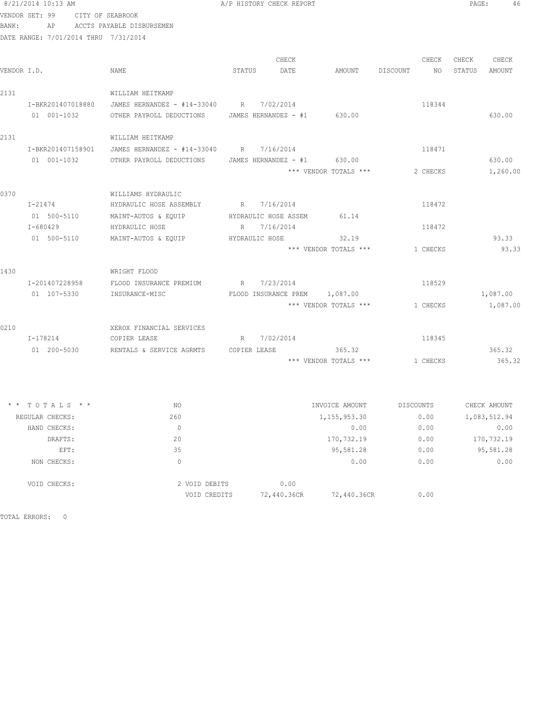# 8/21/2014 10:13 AM **PAGE:** 46 VENDOR SET: 99 CITY OF SEABROOK

BANK: AP ACCTS PAYABLE DISBURSEMEN

DATE RANGE: 7/01/2014 THRU 7/31/2014

| VENDOR I.D. |                   | NAME                                                 | STATUS       | CHECK<br>DATE        | AMOUNT                        | DISCOUNT  | CHECK<br>NO 11 | CHECK<br>STATUS | CHECK<br>AMOUNT |
|-------------|-------------------|------------------------------------------------------|--------------|----------------------|-------------------------------|-----------|----------------|-----------------|-----------------|
| 2131        |                   | WILLIAM HEITKAMP                                     |              |                      |                               |           |                |                 |                 |
|             | I-BKR201407018880 | JAMES HERNANDEZ - #14-33040 R 7/02/2014              |              |                      |                               |           | 118344         |                 |                 |
|             | 01 001-1032       | OTHER PAYROLL DEDUCTIONS JAMES HERNANDEZ - #1 630.00 |              |                      |                               |           |                |                 | 630.00          |
| 2131        |                   | WILLIAM HEITKAMP                                     |              |                      |                               |           |                |                 |                 |
|             | I-BKR201407158901 | JAMES HERNANDEZ - #14-33040 R 7/16/2014              |              |                      |                               |           | 118471         |                 |                 |
|             | 01 001-1032       | OTHER PAYROLL DEDUCTIONS                             |              | JAMES HERNANDEZ - #1 | 630.00                        |           |                |                 | 630.00          |
|             |                   |                                                      |              |                      | *** VENDOR TOTALS ***         |           | 2 CHECKS       |                 | 1,260.00        |
| 0370        |                   | WILLIAMS HYDRAULIC                                   |              |                      |                               |           |                |                 |                 |
|             | $I - 21474$       | HYDRAULIC HOSE ASSEMBLY                              |              | R 7/16/2014          |                               |           | 118472         |                 |                 |
|             |                   | 01 500-5110 MAINT-AUTOS & EQUIP                      |              | HYDRAULIC HOSE ASSEM | 61.14                         |           |                |                 |                 |
|             | I-680429          | HYDRAULIC HOSE                                       |              | R 7/16/2014          |                               |           | 118472         |                 |                 |
|             | 01 500-5110       | MAINT-AUTOS & EQUIP                                  |              | HYDRAULIC HOSE       | 32.19                         |           |                |                 | 93.33           |
|             |                   |                                                      |              |                      | *** VENDOR TOTALS ***         |           | 1 CHECKS       |                 | 93.33           |
| 1430        |                   | WRIGHT FLOOD                                         |              |                      |                               |           |                |                 |                 |
|             | I-201407228958    | FLOOD INSURANCE PREMIUM                              |              | R 7/23/2014          |                               |           | 118529         |                 |                 |
|             | 01 107-5330       | INSURANCE-MISC                                       |              |                      | FLOOD INSURANCE PREM 1,087.00 |           |                |                 | 1,087.00        |
|             |                   |                                                      |              |                      | *** VENDOR TOTALS ***         |           | 1 CHECKS       |                 | 1,087.00        |
| 0210        |                   | XEROX FINANCIAL SERVICES                             |              |                      |                               |           |                |                 |                 |
|             | I-178214          | COPIER LEASE                                         |              | R 7/02/2014          |                               |           | 118345         |                 |                 |
|             | 01 200-5030       | RENTALS & SERVICE AGRMTS                             | COPIER LEASE |                      | 365.32                        |           |                |                 | 365.32          |
|             |                   |                                                      |              |                      | *** VENDOR TOTALS ***         |           | 1 CHECKS       |                 | 365.32          |
|             |                   |                                                      |              |                      |                               |           |                |                 |                 |
|             | $*$ * TOTALS * *  | NO                                                   |              |                      | INVOICE AMOUNT                | DISCOUNTS |                |                 | CHECK AMOUNT    |
|             | REGULAR CHECKS:   | 260                                                  |              |                      | 1, 155, 953.30                |           | 0.00           |                 | 1,083,512.94    |
|             | HAND CHECKS:      | $\overline{0}$                                       |              |                      | 0.00                          |           | 0.00           |                 | 0.00            |
|             | DRAFTS:           | 20                                                   |              |                      | 170,732.19                    |           | 0.00           |                 | 170,732.19      |
|             | EFT:              | 35                                                   |              |                      | 95,581.28                     |           | 0.00           |                 | 95,581.28       |
|             | NON CHECKS:       | $\bigcap$                                            |              |                      | 0.00                          |           | 0.00           |                 | 0.00            |
|             | VOID CHECKS:      | 2 VOID DEBITS                                        |              | 0.00                 |                               |           |                |                 |                 |

VOID CREDITS 72,440.36CR 72,440.36CR 0.00

TOTAL ERRORS: 0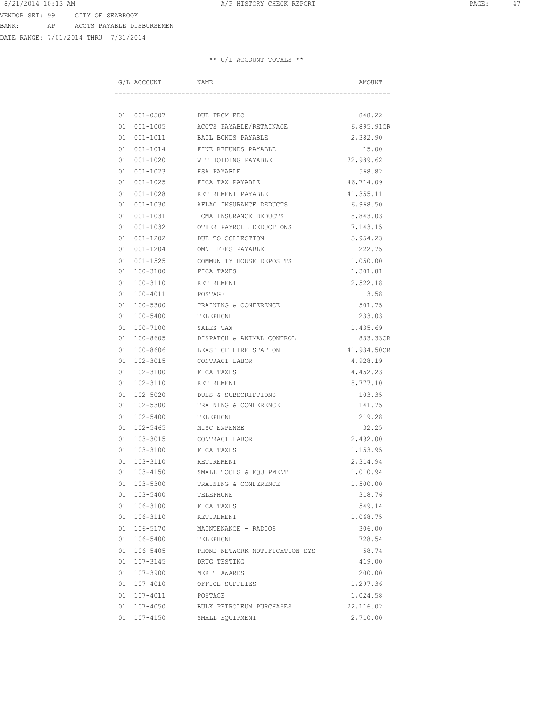DATE RANGE: 7/01/2014 THRU 7/31/2014

| G/L ACCOUNT     | NAME                           | AMOUNT      |
|-----------------|--------------------------------|-------------|
|                 |                                |             |
| 01 001-0507     | DUE FROM EDC                   | 848.22      |
| 01 001-1005     | ACCTS PAYABLE/RETAINAGE        | 6,895.91CR  |
| 01 001-1011     | BAIL BONDS PAYABLE             | 2,382.90    |
| 01 001-1014     | FINE REFUNDS PAYABLE           | 15.00       |
| 01 001-1020     | WITHHOLDING PAYABLE            | 72,989.62   |
| 01 001-1023     | HSA PAYABLE                    | 568.82      |
| 01 001-1025     | FICA TAX PAYABLE               | 46,714.09   |
| 01 001-1028     | RETIREMENT PAYABLE             | 41, 355.11  |
| 01 001-1030     | AFLAC INSURANCE DEDUCTS        | 6,968.50    |
| 01 001-1031     | ICMA INSURANCE DEDUCTS         | 8,843.03    |
| 01 001-1032     | OTHER PAYROLL DEDUCTIONS       | 7,143.15    |
| 01 001-1202     | DUE TO COLLECTION              | 5,954.23    |
| 01 001-1204     | OMNI FEES PAYABLE              | 222.75      |
| $01001 - 1525$  | COMMUNITY HOUSE DEPOSITS       | 1,050.00    |
| 01 100-3100     | FICA TAXES                     | 1,301.81    |
| 01 100-3110     | RETIREMENT                     | 2,522.18    |
| 01 100-4011     | POSTAGE                        | 3.58        |
| 01 100-5300     | TRAINING & CONFERENCE          | 501.75      |
| 01 100-5400     | TELEPHONE                      | 233.03      |
| 01 100-7100     | SALES TAX                      | 1,435.69    |
| 01 100-8605     | DISPATCH & ANIMAL CONTROL      | 833.33CR    |
| 01 100-8606     | LEASE OF FIRE STATION          | 41,934.50CR |
| 01 102-3015     | CONTRACT LABOR                 | 4,928.19    |
| 01 102-3100     | FICA TAXES                     | 4,452.23    |
| 01 102-3110     | RETIREMENT                     | 8,777.10    |
| 01 102-5020     | DUES & SUBSCRIPTIONS           | 103.35      |
| 01 102-5300     | TRAINING & CONFERENCE          | 141.75      |
| 01 102-5400     | TELEPHONE                      | 219.28      |
| 01 102-5465     | MISC EXPENSE                   | 32.25       |
| 01 103-3015     | CONTRACT LABOR                 | 2,492.00    |
| 01 103-3100     | FICA TAXES                     | 1,153.95    |
| 01 103-3110     | RETIREMENT                     | 2,314.94    |
| 01 103-4150     | SMALL TOOLS & EQUIPMENT        | 1,010.94    |
| 01 103-5300     | TRAINING & CONFERENCE          | 1,500.00    |
| 01 103-5400     | TELEPHONE                      | 318.76      |
| 01 106-3100     | FICA TAXES                     | 549.14      |
| 01 106-3110     | RETIREMENT                     | 1,068.75    |
| 01 106-5170     | MAINTENANCE - RADIOS           | 306.00      |
| 01 106-5400     | TELEPHONE                      | 728.54      |
| 01 106-5405     | PHONE NETWORK NOTIFICATION SYS | 58.74       |
| 01 107-3145     | DRUG TESTING                   | 419.00      |
| 01 107-3900     | MERIT AWARDS                   | 200.00      |
| $01 107 - 4010$ | OFFICE SUPPLIES                | 1,297.36    |
| 01 107-4011     | POSTAGE                        | 1,024.58    |
| 01 107-4050     | BULK PETROLEUM PURCHASES       | 22,116.02   |
| 01 107-4150     | SMALL EQUIPMENT                | 2,710.00    |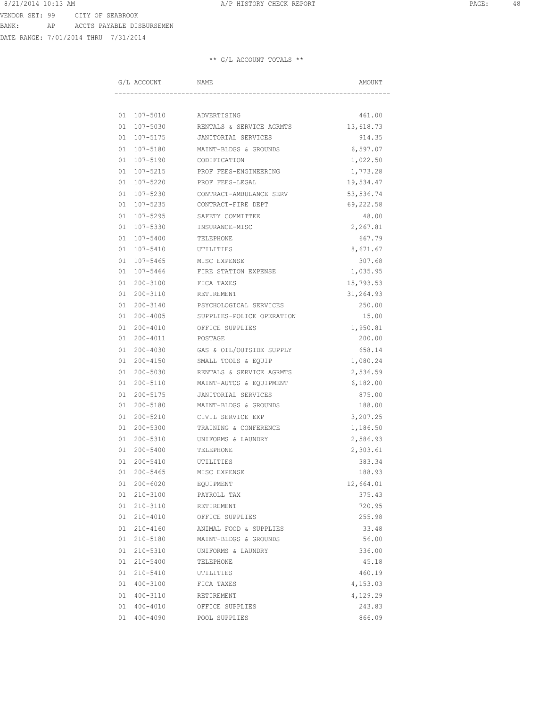DATE RANGE: 7/01/2014 THRU 7/31/2014

|  | G/L ACCOUNT | NAME                      | AMOUNT     |
|--|-------------|---------------------------|------------|
|  |             |                           |            |
|  | 01 107-5010 | ADVERTISING               | 461.00     |
|  | 01 107-5030 | RENTALS & SERVICE AGRMTS  | 13,618.73  |
|  | 01 107-5175 | JANITORIAL SERVICES       | 914.35     |
|  | 01 107-5180 | MAINT-BLDGS & GROUNDS     | 6,597.07   |
|  | 01 107-5190 | CODIFICATION              | 1,022.50   |
|  | 01 107-5215 | PROF FEES-ENGINEERING     | 1,773.28   |
|  | 01 107-5220 | PROF FEES-LEGAL           | 19,534.47  |
|  | 01 107-5230 | CONTRACT-AMBULANCE SERV   | 53, 536.74 |
|  | 01 107-5235 | CONTRACT-FIRE DEPT        | 69,222.58  |
|  | 01 107-5295 | SAFETY COMMITTEE          | 48.00      |
|  | 01 107-5330 | INSURANCE-MISC            | 2,267.81   |
|  | 01 107-5400 | TELEPHONE                 | 667.79     |
|  | 01 107-5410 | UTILITIES                 | 8,671.67   |
|  | 01 107-5465 | MISC EXPENSE              | 307.68     |
|  | 01 107-5466 | FIRE STATION EXPENSE      | 1,035.95   |
|  | 01 200-3100 | FICA TAXES                | 15,793.53  |
|  | 01 200-3110 | RETIREMENT                | 31,264.93  |
|  | 01 200-3140 | PSYCHOLOGICAL SERVICES    | 250.00     |
|  | 01 200-4005 | SUPPLIES-POLICE OPERATION | 15.00      |
|  | 01 200-4010 | OFFICE SUPPLIES           | 1,950.81   |
|  | 01 200-4011 | POSTAGE                   | 200.00     |
|  | 01 200-4030 | GAS & OIL/OUTSIDE SUPPLY  | 658.14     |
|  | 01 200-4150 | SMALL TOOLS & EQUIP       | 1,080.24   |
|  | 01 200-5030 | RENTALS & SERVICE AGRMTS  | 2,536.59   |
|  | 01 200-5110 | MAINT-AUTOS & EQUIPMENT   | 6,182.00   |
|  | 01 200-5175 | JANITORIAL SERVICES       | 875.00     |
|  | 01 200-5180 | MAINT-BLDGS & GROUNDS     | 188.00     |
|  | 01 200-5210 | CIVIL SERVICE EXP         | 3,207.25   |
|  | 01 200-5300 | TRAINING & CONFERENCE     | 1,186.50   |
|  | 01 200-5310 | UNIFORMS & LAUNDRY        | 2,586.93   |
|  | 01 200-5400 | TELEPHONE                 | 2,303.61   |
|  | 01 200-5410 | UTILITIES                 | 383.34     |
|  | 01 200-5465 | MISC EXPENSE              | 188.93     |
|  | 01 200-6020 | EQUIPMENT                 | 12,664.01  |
|  | 01 210-3100 | PAYROLL TAX               | 375.43     |
|  | 01 210-3110 | RETIREMENT                | 720.95     |
|  | 01 210-4010 | OFFICE SUPPLIES           | 255.98     |
|  | 01 210-4160 | ANIMAL FOOD & SUPPLIES    | 33.48      |
|  | 01 210-5180 | MAINT-BLDGS & GROUNDS     | 56.00      |
|  | 01 210-5310 | UNIFORMS & LAUNDRY        | 336.00     |
|  | 01 210-5400 | TELEPHONE                 | 45.18      |
|  | 01 210-5410 | UTILITIES                 | 460.19     |
|  | 01 400-3100 | FICA TAXES                | 4,153.03   |
|  | 01 400-3110 | RETIREMENT                | 4,129.29   |
|  | 01 400-4010 | OFFICE SUPPLIES           | 243.83     |
|  | 01 400-4090 | POOL SUPPLIES             | 866.09     |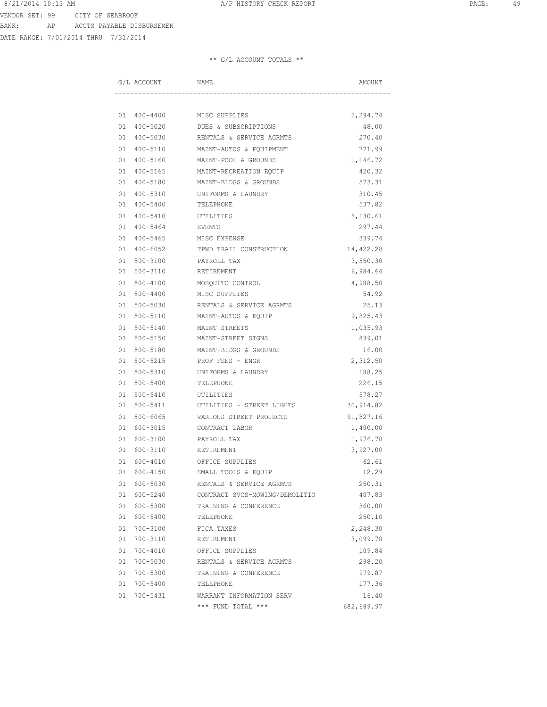DATE RANGE: 7/01/2014 THRU 7/31/2014

|  | G/L ACCOUNT                | NAME                             | AMOUNT           |  |
|--|----------------------------|----------------------------------|------------------|--|
|  |                            |                                  |                  |  |
|  |                            |                                  | 2,294.74         |  |
|  |                            | 01 400-5020 DUES & SUBSCRIPTIONS | 48.00            |  |
|  | 01 400-5030                | RENTALS & SERVICE AGRMTS         | 270.40           |  |
|  | 01 400-5110                | MAINT-AUTOS & EQUIPMENT          | 771.99           |  |
|  | 01 400-5160                | MAINT-POOL & GROUNDS             | 1,146.72         |  |
|  | 01 400-5165                | MAINT-RECREATION EQUIP           | 420.32           |  |
|  | 01 400-5180                | MAINT-BLDGS & GROUNDS            | 573.31           |  |
|  | 01 400-5310                | UNIFORMS & LAUNDRY               | 310.45           |  |
|  | 01 400-5400                | TELEPHONE                        | 537.82           |  |
|  | 01 400-5410                | UTILITIES                        | 8,130.61         |  |
|  | 01 400-5464                | EVENTS                           | 297.44           |  |
|  | 01 400-5465                | MISC EXPENSE                     | 339.74           |  |
|  | 01 400-6052                | TPWD TRAIL CONSTRUCTION          | 14,422.28        |  |
|  | 01 500-3100                | PAYROLL TAX                      | 3,550.30         |  |
|  | 01 500-3110                | RETIREMENT                       | 6,984.64         |  |
|  | 01 500-4100                | MOSQUITO CONTROL                 | 4,988.50         |  |
|  | 01 500-4400                | MISC SUPPLIES                    | 54.92            |  |
|  | 01 500-5030                | RENTALS & SERVICE AGRMTS         | 25.13            |  |
|  | 01 500-5110                | MAINT-AUTOS & EQUIP              | 9,825.43         |  |
|  | 01 500-5140                | MAINT STREETS                    | 1,035.93         |  |
|  | 01 500-5150                | MAINT-STREET SIGNS               | 839.01           |  |
|  | 01 500-5180                | MAINT-BLDGS & GROUNDS            | 16.00            |  |
|  | 01 500-5215                | PROF FEES - ENGR                 | 2,312.50         |  |
|  |                            |                                  |                  |  |
|  | 01 500-5310<br>01 500-5400 | UNIFORMS & LAUNDRY<br>TELEPHONE  | 188.25<br>226.15 |  |
|  |                            |                                  |                  |  |
|  | 01 500-5410<br>01 500-5411 | UTILITIES                        | 578.27           |  |
|  |                            | UTILITIES - STREET LIGHTS        | 30,914.82        |  |
|  | 01 500-6065                | VARIOUS STREET PROJECTS          | 91,827.16        |  |
|  | 01 600-3015                | CONTRACT LABOR                   | 1,400.00         |  |
|  | 01 600-3100                | PAYROLL TAX                      | 1,976.78         |  |
|  | 01 600-3110                | RETIREMENT                       | 3,927.00         |  |
|  | 01 600-4010                | OFFICE SUPPLIES                  | 62.61            |  |
|  | 01 600-4150                | SMALL TOOLS & EQUIP              | 12.29            |  |
|  | 01 600-5030                | RENTALS & SERVICE AGRMTS         | 250.31           |  |
|  | 01 600-5240                | CONTRACT SVCS-MOWING/DEMOLITIO   | 407.83           |  |
|  | 01 600-5300                | TRAINING & CONFERENCE            | 360.00           |  |
|  | 01 600-5400                | TELEPHONE                        | 250.10           |  |
|  | 01 700-3100                | FICA TAXES                       | 2,248.30         |  |
|  | 01 700-3110                | RETIREMENT                       | 3,099.78         |  |
|  | 01 700-4010                | OFFICE SUPPLIES                  | 109.84           |  |
|  | 01 700-5030                | RENTALS & SERVICE AGRMTS         | 298.20           |  |
|  | 01 700-5300                | TRAINING & CONFERENCE            | 979.87           |  |
|  | 01 700-5400                | TELEPHONE                        | 177.36           |  |
|  | 01 700-5431                | WARRANT INFORMATION SERV         | 16.40            |  |
|  |                            | *** FUND TOTAL ***               | 682,689.97       |  |
|  |                            |                                  |                  |  |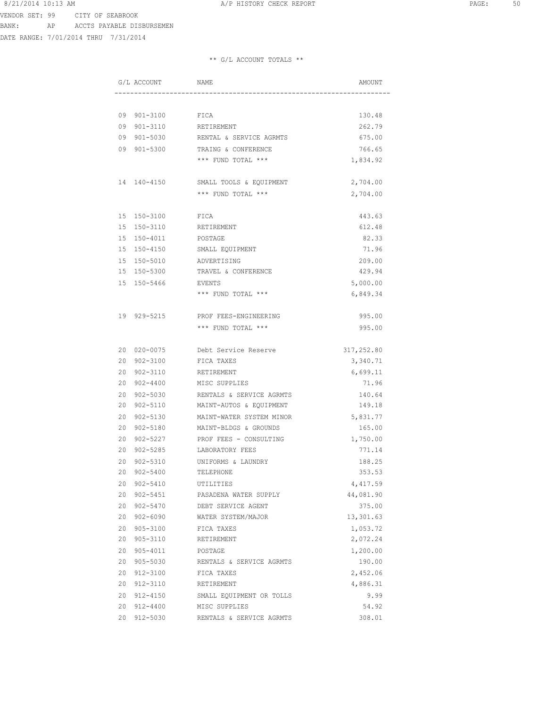DATE RANGE: 7/01/2014 THRU 7/31/2014

| G/L ACCOUNT             | NAME                                | AMOUNT     |
|-------------------------|-------------------------------------|------------|
|                         |                                     |            |
| 09 901-3100 FICA        |                                     | 130.48     |
| 09 901-3110 RETIREMENT  |                                     | 262.79     |
|                         | 09 901-5030 RENTAL & SERVICE AGRMTS | 675.00     |
|                         | 09 901-5300 TRAING & CONFERENCE     | 766.65     |
|                         | *** FUND TOTAL ***                  | 1,834.92   |
| 14 140-4150             | SMALL TOOLS & EQUIPMENT             | 2,704.00   |
|                         | *** FUND TOTAL ***                  | 2,704.00   |
| 15 150-3100             | FICA                                | 443.63     |
| 15 150-3110             | RETIREMENT                          | 612.48     |
| 15 150-4011             | POSTAGE                             | 82.33      |
|                         | 15 150-4150 SMALL EQUIPMENT         | 71.96      |
| 15 150-5010 ADVERTISING |                                     | 209.00     |
|                         | 15 150-5300 TRAVEL & CONFERENCE     | 429.94     |
| 15 150-5466 EVENTS      |                                     | 5,000.00   |
|                         | *** FUND TOTAL ***                  | 6,849.34   |
|                         |                                     |            |
| 19 929-5215             | PROF FEES-ENGINEERING               | 995.00     |
|                         | *** FUND TOTAL ***                  | 995.00     |
|                         |                                     |            |
| 20 020-0075             | Debt Service Reserve                | 317,252.80 |
| 20 902-3100             | FICA TAXES                          | 3,340.71   |
| 20 902-3110             | RETIREMENT                          | 6,699.11   |
| 20 902-4400             | MISC SUPPLIES                       | 71.96      |
| 20 902-5030             | RENTALS & SERVICE AGRMTS            | 140.64     |
| 20 902-5110             | MAINT-AUTOS & EQUIPMENT             | 149.18     |
| $902 - 5130$<br>20      | MAINT-WATER SYSTEM MINOR            | 5,831.77   |
| 902-5180<br>20          | MAINT-BLDGS & GROUNDS               | 165.00     |
| 20<br>$902 - 5227$      | PROF FEES - CONSULTING              | 1,750.00   |
| 20<br>902-5285          | LABORATORY FEES                     | 771.14     |
| 20<br>902-5310          | UNIFORMS & LAUNDRY                  | 188.25     |
| 20 902-5400             | TELEPHONE                           | 353.53     |
| 20 902-5410             | UTILITIES                           | 4,417.59   |
| 20 902-5451             | PASADENA WATER SUPPLY               | 44,081.90  |
| 20 902-5470             | DEBT SERVICE AGENT                  | 375.00     |
| 20 902-6090             | WATER SYSTEM/MAJOR                  | 13,301.63  |
| 20 905-3100             | FICA TAXES                          | 1,053.72   |
| 20 905-3110             | RETIREMENT                          | 2,072.24   |
| 20 905-4011             | POSTAGE                             | 1,200.00   |
| 20 905-5030             | RENTALS & SERVICE AGRMTS            | 190.00     |
| 20 912-3100             | FICA TAXES                          | 2,452.06   |
| 20 912-3110             | RETIREMENT                          | 4,886.31   |
| 20 912-4150             | SMALL EQUIPMENT OR TOLLS            | 9.99       |
| 20 912-4400             | MISC SUPPLIES                       | 54.92      |
| 20 912-5030             | RENTALS & SERVICE AGRMTS            | 308.01     |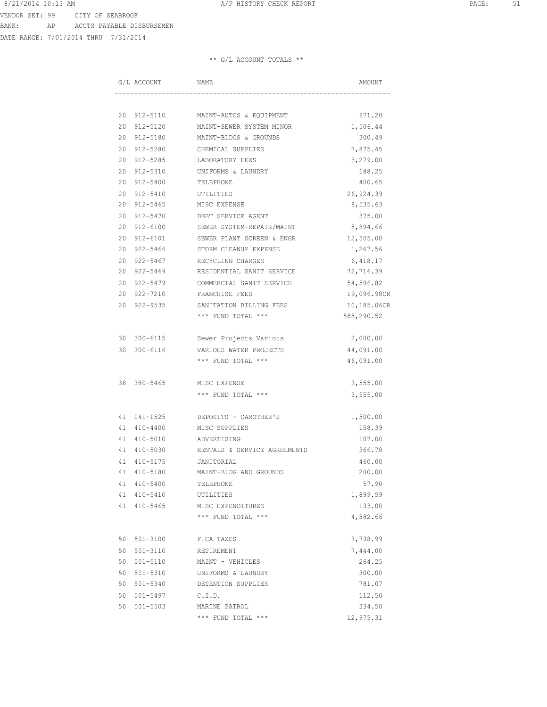DATE RANGE: 7/01/2014 THRU 7/31/2014

| G/L ACCOUNT    | NAME                                  | AMOUNT      |
|----------------|---------------------------------------|-------------|
|                |                                       |             |
|                | 20 912-5110 MAINT-AUTOS & EQUIPMENT   | 671.20      |
| 20 912-5120    | MAINT-SEWER SYSTEM MINOR              | 1,506.44    |
| 20 912-5180    | MAINT-BLDGS & GROUNDS                 | 300.49      |
| 20 912-5280    | CHEMICAL SUPPLIES                     | 7,875.45    |
| 20 912-5285    | LABORATORY FEES                       | 3,279.00    |
| 20 912-5310    | UNIFORMS & LAUNDRY                    | 188.25      |
| 20 912-5400    | TELEPHONE                             | 400.65      |
|                | 20 912-5410 UTILITIES                 | 26,924.39   |
|                | 20 912-5465 MISC EXPENSE              | 8,535.63    |
|                | 20 912-5470 DEBT SERVICE AGENT        | 375.00      |
|                | 20 912-6100 SEWER SYSTEM-REPAIR/MAINT | 5,894.66    |
|                | 20 912-6101 SEWER PLANT SCREEN & ENGR | 12,505.00   |
| 20 922-5466    | STORM CLEANUP EXPENSE                 | 1,267.56    |
| 20 922-5467    | RECYCLING CHARGES                     | 6,418.17    |
| 20 922-5469    | RESIDENTIAL SANIT SERVICE             | 72,716.39   |
| 20 922-5479    | COMMERCIAL SANIT SERVICE              | 54,596.82   |
| 20 922-7210    | FRANCHISE FEES                        | 19,096.98CR |
| 20 922-9535    | SANITATION BILLING FEES               | 10,185.06CR |
|                | *** FUND TOTAL ***                    | 585,290.52  |
|                | 30 300-6115 Sewer Projects Various    | 2,000.00    |
|                | 30 300-6116 VARIOUS WATER PROJECTS    | 44,091.00   |
|                | *** FUND TOTAL ***                    | 46,091.00   |
| 38 380-5465    | MISC EXPENSE                          | 3,555.00    |
|                | *** FUND TOTAL ***                    | 3,555.00    |
| 41 041-1525    | DEPOSITS - CAROTHER'S                 | 1,500.00    |
| 41 410-4400    | MISC SUPPLIES                         | 158.39      |
| 41 410-5010    | ADVERTISING                           | 107.00      |
| 41 410-5030    | RENTALS & SERVICE AGREEMENTS          | 366.78      |
|                | 41 410-5175 JANITORIAL                | 460.00      |
| 41 410-5180    | MAINT-BLDG AND GROUNDS                | 200.00      |
| 41 410-5400    | TELEPHONE                             | 57.90       |
| 41 410-5410    | UTILITIES                             | 1,899.59    |
| 41 410-5465    | MISC EXPENDITURES                     | 133.00      |
|                | *** FUND TOTAL ***                    | 4,882.66    |
|                |                                       |             |
| 50 501-3100    | FICA TAXES                            | 3,738.99    |
| 50 501-3110    | RETIREMENT                            | 7,444.00    |
| 50 501-5110    | MAINT - VEHICLES                      | 264.25      |
| 50 501-5310    | UNIFORMS & LAUNDRY                    | 300.00      |
| 50 501-5340    | DETENTION SUPPLIES                    | 781.07      |
| 50 501-5497    | C.I.D.                                | 112.50      |
| 501-5503<br>50 | MARINE PATROL                         | 334.50      |
|                | *** FUND TOTAL ***                    | 12,975.31   |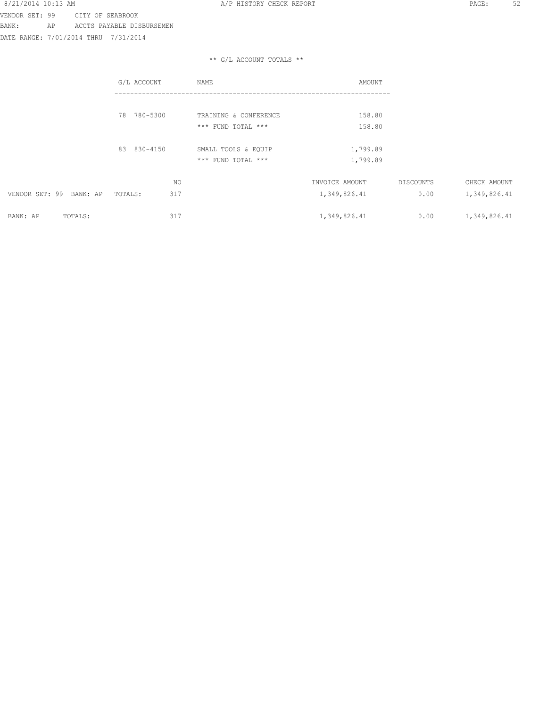VENDOR SET: 99 CITY OF SEABROOK

BANK: AP ACCTS PAYABLE DISBURSEMEN

DATE RANGE: 7/01/2014 THRU 7/31/2014

### 8/21/2014 10:13 AM **A/P HISTORY CHECK REPORT PAGE:** 52

|                            | G/L ACCOUNT    | NAME                                      | AMOUNT               |                  |              |
|----------------------------|----------------|-------------------------------------------|----------------------|------------------|--------------|
|                            | 78 780-5300    | TRAINING & CONFERENCE                     | 158.80               |                  |              |
|                            |                | *** FUND TOTAL ***                        | 158.80               |                  |              |
|                            | 83 830-4150    | SMALL TOOLS & EQUIP<br>*** FUND TOTAL *** | 1,799.89<br>1,799.89 |                  |              |
|                            | ΝO             |                                           | INVOICE AMOUNT       | <b>DISCOUNTS</b> | CHECK AMOUNT |
| VENDOR SET: 99<br>BANK: AP | 317<br>TOTALS: |                                           | 1,349,826.41         | 0.00             | 1,349,826.41 |
| TOTALS:<br>BANK: AP        | 317            |                                           | 1,349,826.41         | 0.00             | 1,349,826.41 |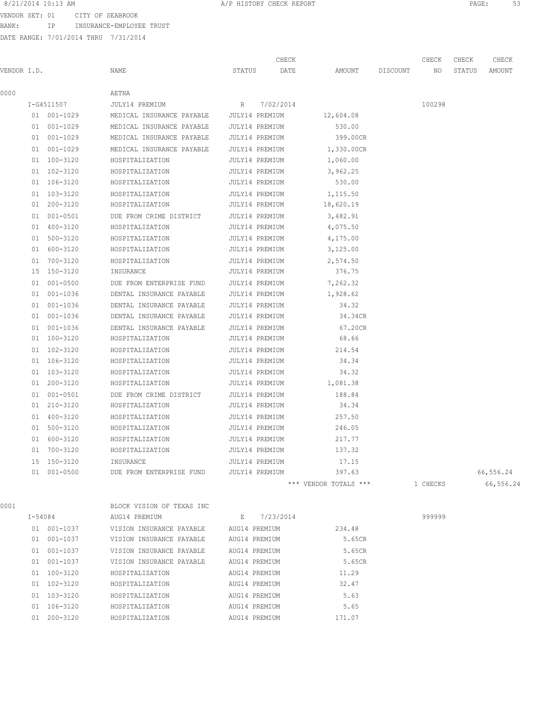VENDOR SET: 01 CITY OF SEABROOK

BANK: IP INSURANCE-EMPLOYEE TRUST

|             |             |                                          |                | CHECK          |                       |          | CHECK    | CHECK  | CHECK     |
|-------------|-------------|------------------------------------------|----------------|----------------|-----------------------|----------|----------|--------|-----------|
| VENDOR I.D. |             | NAME                                     | STATUS         | DATE           | AMOUNT                | DISCOUNT | NO.      | STATUS | AMOUNT    |
| 0000        |             | AETNA                                    |                |                |                       |          |          |        |           |
|             | I-G4511507  | JULY14 PREMIUM                           | R              | 7/02/2014      |                       |          | 100298   |        |           |
|             | 01 001-1029 | MEDICAL INSURANCE PAYABLE JULY14 PREMIUM |                |                | 12,604.08             |          |          |        |           |
|             | 01 001-1029 | MEDICAL INSURANCE PAYABLE                | JULY14 PREMIUM |                | 530.00                |          |          |        |           |
|             | 01 001-1029 | MEDICAL INSURANCE PAYABLE JULY14 PREMIUM |                |                | 399.00CR              |          |          |        |           |
|             | 01 001-1029 | MEDICAL INSURANCE PAYABLE                | JULY14 PREMIUM |                | 1,330.00CR            |          |          |        |           |
|             | 01 100-3120 | HOSPITALIZATION                          | JULY14 PREMIUM |                | 1,060.00              |          |          |        |           |
|             | 01 102-3120 | HOSPITALIZATION                          | JULY14 PREMIUM |                | 3,962.25              |          |          |        |           |
|             | 01 106-3120 | HOSPITALIZATION                          | JULY14 PREMIUM |                | 530.00                |          |          |        |           |
|             | 01 103-3120 | HOSPITALIZATION                          | JULY14 PREMIUM |                | 1,115.50              |          |          |        |           |
|             | 01 200-3120 | HOSPITALIZATION                          | JULY14 PREMIUM |                | 18,620.19             |          |          |        |           |
|             | 01 001-0501 | DUE FROM CRIME DISTRICT                  | JULY14 PREMIUM |                | 3,482.91              |          |          |        |           |
|             | 01 400-3120 | HOSPITALIZATION                          | JULY14 PREMIUM |                | 4,075.50              |          |          |        |           |
|             | 01 500-3120 | HOSPITALIZATION                          | JULY14 PREMIUM |                | 4,175.00              |          |          |        |           |
|             | 01 600-3120 | HOSPITALIZATION                          | JULY14 PREMIUM |                | 3,125.00              |          |          |        |           |
|             | 01 700-3120 | HOSPITALIZATION                          | JULY14 PREMIUM |                | 2,574.50              |          |          |        |           |
|             | 15 150-3120 | INSURANCE                                | JULY14 PREMIUM |                | 376.75                |          |          |        |           |
|             | 01 001-0500 | DUE FROM ENTERPRISE FUND                 | JULY14 PREMIUM |                | 7,262.32              |          |          |        |           |
|             | 01 001-1036 | DENTAL INSURANCE PAYABLE                 | JULY14 PREMIUM |                | 1,928.62              |          |          |        |           |
|             | 01 001-1036 | DENTAL INSURANCE PAYABLE                 | JULY14 PREMIUM |                | 34.32                 |          |          |        |           |
|             | 01 001-1036 | DENTAL INSURANCE PAYABLE                 | JULY14 PREMIUM |                | 34.34CR               |          |          |        |           |
|             | 01 001-1036 | DENTAL INSURANCE PAYABLE                 | JULY14 PREMIUM |                | 67.20CR               |          |          |        |           |
|             | 01 100-3120 | HOSPITALIZATION                          | JULY14 PREMIUM |                | 68.66                 |          |          |        |           |
|             | 01 102-3120 | HOSPITALIZATION                          | JULY14 PREMIUM |                | 214.54                |          |          |        |           |
|             | 01 106-3120 | HOSPITALIZATION                          | JULY14 PREMIUM |                | 34.34                 |          |          |        |           |
|             | 01 103-3120 | HOSPITALIZATION                          | JULY14 PREMIUM |                | 34.32                 |          |          |        |           |
|             | 01 200-3120 | HOSPITALIZATION                          | JULY14 PREMIUM |                | 1,081.38              |          |          |        |           |
|             | 01 001-0501 | DUE FROM CRIME DISTRICT                  | JULY14 PREMIUM |                | 188.84                |          |          |        |           |
|             | 01 210-3120 | HOSPITALIZATION                          | JULY14 PREMIUM |                | 34.34                 |          |          |        |           |
|             | 01 400-3120 | HOSPITALIZATION                          | JULY14 PREMIUM |                | 257.50                |          |          |        |           |
|             | 01 500-3120 | HOSPITALIZATION                          | JULY14 PREMIUM |                | 246.05                |          |          |        |           |
|             | 01 600-3120 | HOSPITALIZATION                          | JULY14 PREMIUM |                | 217.77                |          |          |        |           |
|             | 01 700-3120 | HOSPITALIZATION                          |                | JULY14 PREMIUM | 137.32                |          |          |        |           |
|             | 15 150-3120 | INSURANCE                                | JULY14 PREMIUM |                | 17.15                 |          |          |        |           |
|             | 01 001-0500 | DUE FROM ENTERPRISE FUND                 | JULY14 PREMIUM |                | 397.63                |          |          |        | 66,556.24 |
|             |             |                                          |                |                | *** VENDOR TOTALS *** |          | 1 CHECKS |        | 66,556.24 |
| 0001        |             | BLOCK VISION OF TEXAS INC                |                |                |                       |          |          |        |           |
|             | I-54084     | AUG14 PREMIUM                            |                | E 7/23/2014    |                       |          | 999999   |        |           |
|             | 01 001-1037 | VISION INSURANCE PAYABLE AUG14 PREMIUM   |                |                | 234.48                |          |          |        |           |

|    | $T - 54084$  | AUG14 PREMIUM            | F. | 7/23/2014     |        |
|----|--------------|--------------------------|----|---------------|--------|
| 01 | $001 - 1037$ | VISION INSURANCE PAYABLE |    | AUG14 PREMIUM | 234.48 |
| 01 | $001 - 1037$ | VISION INSURANCE PAYABLE |    | AUG14 PREMIUM | 5.65CR |
| 01 | $001 - 1037$ | VISION INSURANCE PAYABLE |    | AUG14 PREMIUM | 5.65CR |
| 01 | $001 - 1037$ | VISION INSURANCE PAYABLE |    | AUG14 PREMIUM | 5.65CR |
| 01 | $100 - 3120$ | HOSPITALIZATION          |    | AUG14 PREMIUM | 11.29  |
| 01 | $102 - 3120$ | HOSPITALIZATION          |    | AUG14 PREMIUM | 32.47  |
| 01 | $103 - 3120$ | HOSPITALIZATION          |    | AUG14 PREMIUM | 5.63   |
| 01 | $106 - 3120$ | HOSPITALIZATION          |    | AUG14 PREMIUM | 5.65   |
| 01 | $200 - 3120$ | HOSPITALIZATION          |    | AUG14 PREMIUM | 171.07 |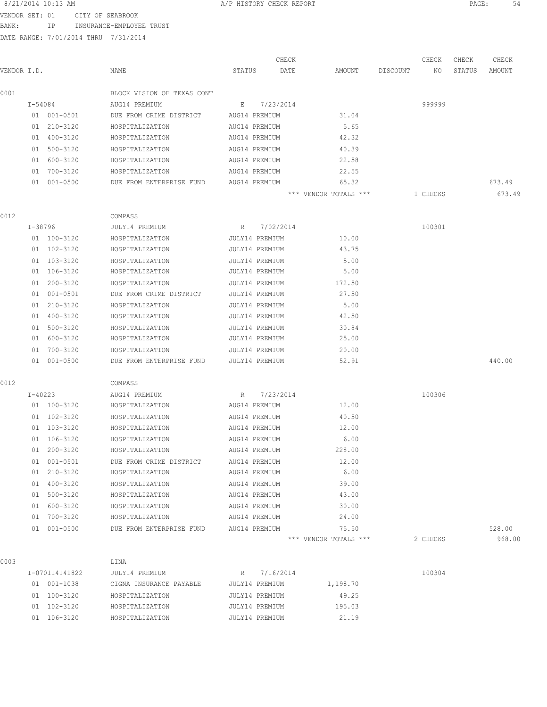VENDOR SET: 01 CITY OF SEABROOK

BANK: IP INSURANCE-EMPLOYEE TRUST

|      |             |             |                            |                | CHECK     |                       |          | CHECK    | CHECK  | CHECK  |
|------|-------------|-------------|----------------------------|----------------|-----------|-----------------------|----------|----------|--------|--------|
|      | VENDOR I.D. |             | NAME                       | STATUS         | DATE      | AMOUNT                | DISCOUNT | NO       | STATUS | AMOUNT |
| 0001 |             |             | BLOCK VISION OF TEXAS CONT |                |           |                       |          |          |        |        |
|      |             | I-54084     | AUG14 PREMIUM              | E              | 7/23/2014 |                       |          | 999999   |        |        |
|      |             | 01 001-0501 | DUE FROM CRIME DISTRICT    | AUG14 PREMIUM  |           | 31.04                 |          |          |        |        |
|      |             | 01 210-3120 | HOSPITALIZATION            | AUG14 PREMIUM  |           | 5.65                  |          |          |        |        |
|      |             | 01 400-3120 | HOSPITALIZATION            | AUG14 PREMIUM  |           | 42.32                 |          |          |        |        |
|      |             | 01 500-3120 | HOSPITALIZATION            | AUG14 PREMIUM  |           | 40.39                 |          |          |        |        |
|      |             | 01 600-3120 | HOSPITALIZATION            | AUG14 PREMIUM  |           | 22.58                 |          |          |        |        |
|      |             | 01 700-3120 | HOSPITALIZATION            | AUG14 PREMIUM  |           | 22.55                 |          |          |        |        |
|      |             | 01 001-0500 | DUE FROM ENTERPRISE FUND   | AUG14 PREMIUM  |           | 65.32                 |          |          |        | 673.49 |
|      |             |             |                            |                |           | *** VENDOR TOTALS *** |          | 1 CHECKS |        | 673.49 |
| 0012 |             |             | COMPASS                    |                |           |                       |          |          |        |        |
|      |             | I-38796     | JULY14 PREMIUM             | R              | 7/02/2014 |                       |          | 100301   |        |        |
|      |             | 01 100-3120 | HOSPITALIZATION            | JULY14 PREMIUM |           | 10.00                 |          |          |        |        |
|      |             | 01 102-3120 | HOSPITALIZATION            | JULY14 PREMIUM |           | 43.75                 |          |          |        |        |
|      |             | 01 103-3120 | HOSPITALIZATION            | JULY14 PREMIUM |           | 5.00                  |          |          |        |        |
|      |             | 01 106-3120 | HOSPITALIZATION            | JULY14 PREMIUM |           | 5.00                  |          |          |        |        |
|      |             | 01 200-3120 | HOSPITALIZATION            | JULY14 PREMIUM |           | 172.50                |          |          |        |        |
|      |             | 01 001-0501 | DUE FROM CRIME DISTRICT    | JULY14 PREMIUM |           | 27.50                 |          |          |        |        |
|      |             | 01 210-3120 | HOSPITALIZATION            | JULY14 PREMIUM |           | 5.00                  |          |          |        |        |
|      |             | 01 400-3120 | HOSPITALIZATION            | JULY14 PREMIUM |           | 42.50                 |          |          |        |        |
|      |             | 01 500-3120 | HOSPITALIZATION            | JULY14 PREMIUM |           | 30.84                 |          |          |        |        |
|      |             | 01 600-3120 | HOSPITALIZATION            | JULY14 PREMIUM |           | 25.00                 |          |          |        |        |
|      |             | 01 700-3120 | HOSPITALIZATION            | JULY14 PREMIUM |           | 20.00                 |          |          |        |        |
|      |             | 01 001-0500 | DUE FROM ENTERPRISE FUND   | JULY14 PREMIUM |           | 52.91                 |          |          |        | 440.00 |
| 0012 |             |             | COMPASS                    |                |           |                       |          |          |        |        |
|      |             | I-40223     | AUG14 PREMIUM              | R              | 7/23/2014 |                       |          | 100306   |        |        |
|      |             | 01 100-3120 | HOSPITALIZATION            | AUG14 PREMIUM  |           | 12.00                 |          |          |        |        |
|      |             | 01 102-3120 | HOSPITALIZATION            | AUG14 PREMIUM  |           | 40.50                 |          |          |        |        |
|      |             | 01 103-3120 | HOSPITALIZATION            | AUG14 PREMIUM  |           | 12.00                 |          |          |        |        |
|      |             | 01 106-3120 | HOSPITALIZATION            | AUG14 PREMIUM  |           | 6.00                  |          |          |        |        |
|      |             | 01 200-3120 | HOSPITALIZATION            | AUG14 PREMIUM  |           | 228.00                |          |          |        |        |
|      |             | 01 001-0501 | DUE FROM CRIME DISTRICT    | AUG14 PREMIUM  |           | 12.00                 |          |          |        |        |
|      |             | 01 210-3120 | HOSPITALIZATION            | AUG14 PREMIUM  |           | 6.00                  |          |          |        |        |
|      |             | 01 400-3120 | HOSPITALIZATION            | AUG14 PREMIUM  |           | 39.00                 |          |          |        |        |
|      |             | 01 500-3120 | HOSPITALIZATION            | AUG14 PREMIUM  |           | 43.00                 |          |          |        |        |
|      |             | 01 600-3120 | HOSPITALIZATION            | AUG14 PREMIUM  |           | 30.00                 |          |          |        |        |
|      |             | 01 700-3120 | HOSPITALIZATION            | AUG14 PREMIUM  |           | 24.00                 |          |          |        |        |
|      |             | 01 001-0500 | DUE FROM ENTERPRISE FUND   | AUG14 PREMIUM  |           | 75.50                 |          |          |        | 528.00 |
|      |             |             |                            |                |           | *** VENDOR TOTALS *** |          | 2 CHECKS |        | 968.00 |
| 0003 |             |             | LINA                       |                |           |                       |          |          |        |        |
|      |             |             |                            |                |           |                       |          |          |        |        |

| I-070114141822        | JULY14 PREMIUM          | R 7/16/2014    |          | 100304 |
|-----------------------|-------------------------|----------------|----------|--------|
| 01 001-1038           | CIGNA INSURANCE PAYABLE | JULY14 PREMIUM | 1,198.70 |        |
| 01 100-3120           | HOSPITALIZATION         | JULY14 PREMIUM | 49.25    |        |
| $01 \quad 102 - 3120$ | HOSPITALIZATION         | JULY14 PREMIUM | 195.03   |        |
| 01 106-3120           | HOSPITALIZATION         | JULY14 PREMIUM | 21.19    |        |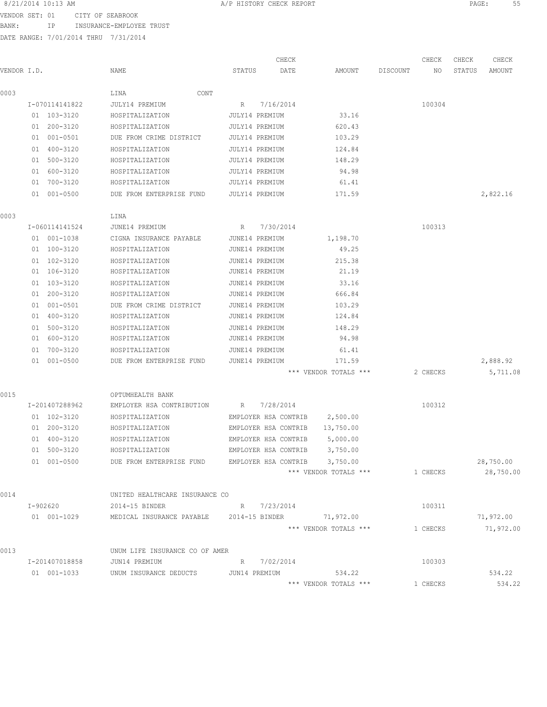| 8/21/2014 10:13 AM |                                      | A/P HISTORY CHECK REPORT |       |  |       | PAGE: |       | 55 |
|--------------------|--------------------------------------|--------------------------|-------|--|-------|-------|-------|----|
|                    | VENDOR SET: 01 CITY OF SEABROOK      |                          |       |  |       |       |       |    |
| BANK:<br>IP        | INSURANCE-EMPLOYEE TRUST             |                          |       |  |       |       |       |    |
|                    | DATE RANGE: 7/01/2014 THRU 7/31/2014 |                          |       |  |       |       |       |    |
|                    |                                      |                          |       |  |       |       |       |    |
|                    |                                      |                          | CHECK |  | CHECK | CHECK | CHECK |    |

| VENDOR I.D. |                | NAME                                               | STATUS<br>DATE       | AMOUNT                | DISCOUNT<br>NO. | STATUS<br>AMOUNT |
|-------------|----------------|----------------------------------------------------|----------------------|-----------------------|-----------------|------------------|
| 0003        |                | LINA<br>CONT                                       |                      |                       |                 |                  |
|             | I-070114141822 | JULY14 PREMIUM                                     | 7/16/2014<br>R       |                       | 100304          |                  |
|             | 01 103-3120    | HOSPITALIZATION                                    | JULY14 PREMIUM       | 33.16                 |                 |                  |
|             | 01 200-3120    | HOSPITALIZATION                                    | JULY14 PREMIUM       | 620.43                |                 |                  |
|             | 01 001-0501    | DUE FROM CRIME DISTRICT                            | JULY14 PREMIUM       | 103.29                |                 |                  |
|             | 01 400-3120    | HOSPITALIZATION                                    | JULY14 PREMIUM       | 124.84                |                 |                  |
|             | 01 500-3120    | HOSPITALIZATION                                    | JULY14 PREMIUM       | 148.29                |                 |                  |
|             | 01 600-3120    | HOSPITALIZATION                                    | JULY14 PREMIUM       | 94.98                 |                 |                  |
|             | 01 700-3120    | HOSPITALIZATION                                    | JULY14 PREMIUM       | 61.41                 |                 |                  |
|             | 01 001-0500    | DUE FROM ENTERPRISE FUND                           | JULY14 PREMIUM       | 171.59                |                 | 2,822.16         |
| 0003        |                | LINA                                               |                      |                       |                 |                  |
|             | I-060114141524 | JUNE14 PREMIUM                                     | R 7/30/2014          |                       | 100313          |                  |
|             | 01 001-1038    | CIGNA INSURANCE PAYABLE JUNE14 PREMIUM             |                      | 1,198.70              |                 |                  |
|             | 01 100-3120    | HOSPITALIZATION                                    | JUNE14 PREMIUM       | 49.25                 |                 |                  |
|             | 01 102-3120    | HOSPITALIZATION                                    | JUNE14 PREMIUM       | 215.38                |                 |                  |
|             | 01 106-3120    | HOSPITALIZATION                                    | JUNE14 PREMIUM       | 21.19                 |                 |                  |
|             | 01 103-3120    | HOSPITALIZATION                                    | JUNE14 PREMIUM       | 33.16                 |                 |                  |
|             | 01 200-3120    | HOSPITALIZATION                                    | JUNE14 PREMIUM       | 666.84                |                 |                  |
|             | 01 001-0501    | DUE FROM CRIME DISTRICT                            | JUNE14 PREMIUM       | 103.29                |                 |                  |
|             | 01 400-3120    | HOSPITALIZATION                                    | JUNE14 PREMIUM       | 124.84                |                 |                  |
|             | 01 500-3120    | HOSPITALIZATION                                    | JUNE14 PREMIUM       | 148.29                |                 |                  |
|             | 01 600-3120    | HOSPITALIZATION                                    | JUNE14 PREMIUM       | 94.98                 |                 |                  |
|             | 01 700-3120    | HOSPITALIZATION                                    | JUNE14 PREMIUM       | 61.41                 |                 |                  |
|             | 01 001-0500    | DUE FROM ENTERPRISE FUND                           | JUNE14 PREMIUM       | 171.59                |                 | 2,888.92         |
|             |                |                                                    |                      | *** VENDOR TOTALS *** | 2 CHECKS        | 5,711.08         |
| 0015        |                | OPTUMHEALTH BANK                                   |                      |                       |                 |                  |
|             | I-201407288962 | EMPLOYER HSA CONTRIBUTION                          | 7/28/2014<br>R       |                       | 100312          |                  |
|             | 01 102-3120    | HOSPITALIZATION                                    | EMPLOYER HSA CONTRIB | 2,500.00              |                 |                  |
|             | 01 200-3120    | HOSPITALIZATION                                    | EMPLOYER HSA CONTRIB | 13,750.00             |                 |                  |
|             | 01 400-3120    | HOSPITALIZATION                                    | EMPLOYER HSA CONTRIB | 5,000.00              |                 |                  |
|             | 01 500-3120    | HOSPITALIZATION                                    | EMPLOYER HSA CONTRIB | 3,750.00              |                 |                  |
|             | 01 001-0500    | DUE FROM ENTERPRISE FUND                           | EMPLOYER HSA CONTRIB | 3,750.00              |                 | 28,750.00        |
|             |                |                                                    |                      | *** VENDOR TOTALS *** | 1 CHECKS        | 28,750.00        |
| 0014        |                | UNITED HEALTHCARE INSURANCE CO                     |                      |                       |                 |                  |
|             | I-902620       | 2014-15 BINDER                                     | R 7/23/2014          |                       | 100311          |                  |
|             | 01 001-1029    | MEDICAL INSURANCE PAYABLE 2014-15 BINDER 71,972.00 |                      |                       |                 | 71,972.00        |
|             |                |                                                    |                      | *** VENDOR TOTALS *** | 1 CHECKS        | 71,972.00        |
| 0013        |                | UNUM LIFE INSURANCE CO OF AMER                     |                      |                       |                 |                  |
|             | I-201407018858 | JUN14 PREMIUM                                      | R 7/02/2014          |                       | 100303          |                  |
|             | 01 001-1033    | UNUM INSURANCE DEDUCTS JUN14 PREMIUM               |                      | 534.22                |                 | 534.22           |
|             |                |                                                    |                      | *** VENDOR TOTALS *** | 1 CHECKS        | 534.22           |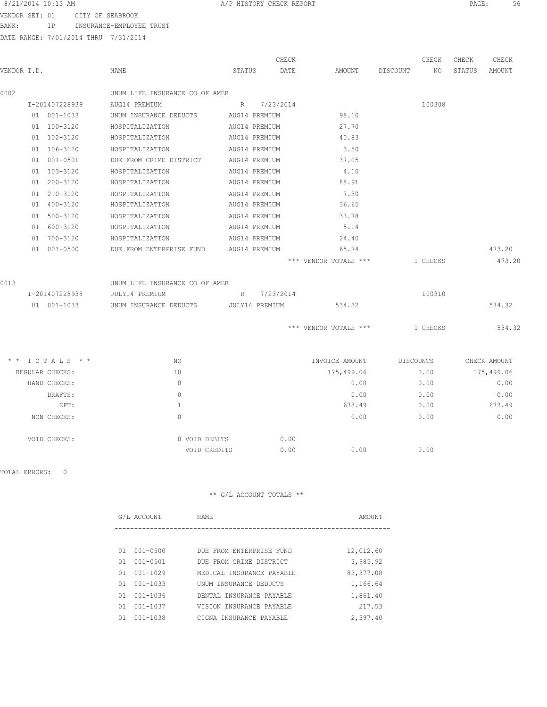VENDOR SET: 01 CITY OF SEABROOK BANK: IP INSURANCE-EMPLOYEE TRUST

DATE RANGE: 7/01/2014 THRU 7/31/2014

|             |                 |                                |               | CHECK          |                       |          | CHECK     | CHECK  | CHECK        |
|-------------|-----------------|--------------------------------|---------------|----------------|-----------------------|----------|-----------|--------|--------------|
| VENDOR I.D. |                 | NAME                           | STATUS        | DATE           | AMOUNT                | DISCOUNT | NO.       | STATUS | AMOUNT       |
| 0002        |                 | UNUM LIFE INSURANCE CO OF AMER |               |                |                       |          |           |        |              |
|             | I-201407228939  | AUG14 PREMIUM                  |               | R 7/23/2014    |                       |          | 100308    |        |              |
|             | 01 001-1033     | UNUM INSURANCE DEDUCTS         |               | AUG14 PREMIUM  | 98.10                 |          |           |        |              |
|             | 01 100-3120     | HOSPITALIZATION                |               | AUG14 PREMIUM  | 27.70                 |          |           |        |              |
|             | 01 102-3120     | HOSPITALIZATION                |               | AUG14 PREMIUM  | 40.83                 |          |           |        |              |
|             | 01 106-3120     | HOSPITALIZATION                |               | AUG14 PREMIUM  | 3.50                  |          |           |        |              |
|             | 01 001-0501     | DUE FROM CRIME DISTRICT        |               | AUG14 PREMIUM  | 37.05                 |          |           |        |              |
|             | 01 103-3120     | HOSPITALIZATION                |               | AUG14 PREMIUM  | 4.10                  |          |           |        |              |
|             | 01 200-3120     | HOSPITALIZATION                |               | AUG14 PREMIUM  | 88.91                 |          |           |        |              |
|             | 01 210-3120     | HOSPITALIZATION                |               | AUG14 PREMIUM  | 7.30                  |          |           |        |              |
|             | 01 400-3120     | HOSPITALIZATION                |               | AUG14 PREMIUM  | 36.65                 |          |           |        |              |
|             | 01 500-3120     | HOSPITALIZATION                |               | AUG14 PREMIUM  | 33.78                 |          |           |        |              |
|             | 01 600-3120     | HOSPITALIZATION                |               | AUG14 PREMIUM  | 5.14                  |          |           |        |              |
|             | 01 700-3120     | HOSPITALIZATION                |               | AUG14 PREMIUM  | 24.40                 |          |           |        |              |
|             | 01 001-0500     | DUE FROM ENTERPRISE FUND       | AUG14 PREMIUM |                | 65.74                 |          |           |        | 473.20       |
|             |                 |                                |               |                | *** VENDOR TOTALS *** |          | 1 CHECKS  |        | 473.20       |
| 0013        |                 | UNUM LIFE INSURANCE CO OF AMER |               |                |                       |          |           |        |              |
|             | I-201407228938  | JULY14 PREMIUM                 | R             | 7/23/2014      |                       |          | 100310    |        |              |
|             | 01 001-1033     | UNUM INSURANCE DEDUCTS         |               | JULY14 PREMIUM | 534.32                |          |           |        | 534.32       |
|             |                 |                                |               |                | *** VENDOR TOTALS *** |          | 1 CHECKS  |        | 534.32       |
|             | * * TOTALS * *  | NO.                            |               |                | INVOICE AMOUNT        |          | DISCOUNTS |        | CHECK AMOUNT |
|             | REGULAR CHECKS: | 10                             |               |                | 175,499.06            |          | 0.00      |        | 175,499.06   |
|             | HAND CHECKS:    | $\Omega$                       |               |                | 0.00                  |          | 0.00      |        | 0.00         |
|             | DRAFTS:         | $\Omega$                       |               |                | 0.00                  |          | 0.00      |        | 0.00         |
|             | EFT:            | $\mathbf{1}$                   |               |                | 673.49                |          | 0.00      |        | 673.49       |
|             | NON CHECKS:     | $\circ$                        |               |                | 0.00                  |          | 0.00      |        | 0.00         |
|             | VOID CHECKS:    | 0 VOID DEBITS                  |               | 0.00           |                       |          |           |        |              |
|             |                 | VOID CREDITS                   |               | 0.00           | 0.00                  |          | 0.00      |        |              |

TOTAL ERRORS: 0

|    | G/L ACCOUNT  | NAME                      | AMOUNT    |
|----|--------------|---------------------------|-----------|
|    |              |                           |           |
| 01 | $001 - 0500$ | DUE FROM ENTERPRISE FUND  | 12,012.60 |
| 01 | $001 - 0501$ | DUE FROM CRIME DISTRICT   | 3,985.92  |
| 01 | $001 - 1029$ | MEDICAL INSURANCE PAYABLE | 83,377.08 |
| 01 | $001 - 1033$ | UNUM INSURANCE DEDUCTS    | 1,166.64  |
| 01 | $001 - 1036$ | DENTAL INSURANCE PAYABLE  | 1,861.40  |
| 01 | $001 - 1037$ | VISION INSURANCE PAYABLE  | 217.53    |
| 01 | $001 - 1038$ | CIGNA INSURANCE PAYABLE   | 2,397.40  |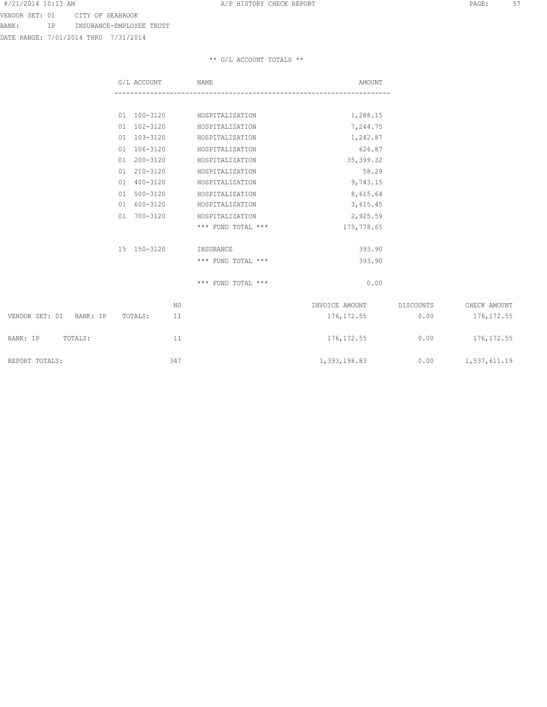VENDOR SET: 01 CITY OF SEABROOK BANK: IP INSURANCE-EMPLOYEE TRUST

DATE RANGE: 7/01/2014 THRU 7/31/2014

|                            | G/L ACCOUNT   | NAME               | AMOUNT         |           |                     |
|----------------------------|---------------|--------------------|----------------|-----------|---------------------|
|                            |               |                    |                |           |                     |
|                            | 01 100-3120   | HOSPITALIZATION    | 1,288.15       |           |                     |
|                            | 01 102-3120   | HOSPITALIZATION    | 7,244.75       |           |                     |
|                            | 01 103-3120   | HOSPITALIZATION    | 1,242.87       |           |                     |
|                            | 01 106-3120   | HOSPITALIZATION    | 626.87         |           |                     |
|                            | 01 200-3120   | HOSPITALIZATION    | 35, 399.32     |           |                     |
|                            | 01 210-3120   | HOSPITALIZATION    | 58.29          |           |                     |
|                            | 01 400-3120   | HOSPITALIZATION    | 9,743.15       |           |                     |
|                            | 01 500-3120   | HOSPITALIZATION    | 8,615.64       |           |                     |
|                            | 01 600-3120   | HOSPITALIZATION    | 3,615.45       |           |                     |
|                            | 01 700-3120   | HOSPITALIZATION    | 2,925.59       |           |                     |
|                            |               | *** FUND TOTAL *** | 175,778.65     |           |                     |
|                            | 15 150-3120   | INSURANCE          | 393.90         |           |                     |
|                            |               | *** FUND TOTAL *** | 393.90         |           |                     |
|                            |               | *** FUND TOTAL *** | 0.00           |           |                     |
|                            | NO            |                    | INVOICE AMOUNT | DISCOUNTS | CHECK AMOUNT        |
| VENDOR SET: 01<br>BANK: IP | 11<br>TOTALS: |                    | 176, 172.55    | 0.00      | 176, 172.55         |
| TOTALS:<br>BANK: IP        | 11            |                    | 176, 172.55    | 0.00      | 176, 172.55         |
| REPORT TOTALS:             | 347           |                    | 1,393,198.83   |           | $0.00$ 1,537,611.19 |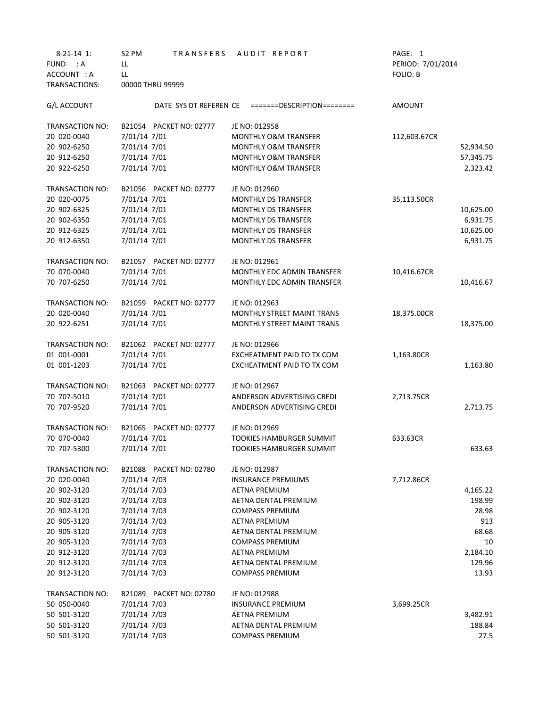| $8-21-14$ 1:                  | TRANSFERS<br>52 PM      | AUDIT REPORT                                      | PAGE: 1           |
|-------------------------------|-------------------------|---------------------------------------------------|-------------------|
| <b>FUND</b><br>$\therefore$ A | LL                      |                                                   | PERIOD: 7/01/2014 |
| ACCOUNT : A                   | LL                      |                                                   | FOLIO: B          |
| TRANSACTIONS:                 | 00000 THRU 99999        |                                                   |                   |
| G/L ACCOUNT                   |                         | DATE SYS DT REFEREN CE =======DESCRIPTION======== | AMOUNT            |
| TRANSACTION NO:               | B21054 PACKET NO: 02777 | JE NO: 012958                                     |                   |
| 20 020-0040                   | 7/01/14 7/01            | <b>MONTHLY O&amp;M TRANSFER</b>                   | 112,603.67CR      |
| 20 902-6250                   | 7/01/14 7/01            | <b>MONTHLY O&amp;M TRANSFER</b>                   | 52,934.50         |
| 20 912-6250                   | 7/01/14 7/01            | <b>MONTHLY O&amp;M TRANSFER</b>                   | 57,345.75         |
| 20 922-6250                   | 7/01/14 7/01            | <b>MONTHLY O&amp;M TRANSFER</b>                   | 2,323.42          |
| TRANSACTION NO:               | B21056 PACKET NO: 02777 | JE NO: 012960                                     |                   |
| 20 020-0075                   | 7/01/14 7/01            | <b>MONTHLY DS TRANSFER</b>                        | 35,113.50CR       |
| 20 902-6325                   | 7/01/14 7/01            | <b>MONTHLY DS TRANSFER</b>                        | 10,625.00         |
| 20 902-6350                   | 7/01/14 7/01            | <b>MONTHLY DS TRANSFER</b>                        | 6,931.75          |
| 20 912-6325                   | 7/01/14 7/01            | <b>MONTHLY DS TRANSFER</b>                        | 10,625.00         |
| 20 912-6350                   | 7/01/14 7/01            | <b>MONTHLY DS TRANSFER</b>                        | 6,931.75          |
| TRANSACTION NO:               | B21057 PACKET NO: 02777 | JE NO: 012961                                     |                   |
| 70 070-0040                   | 7/01/14 7/01            | MONTHLY EDC ADMIN TRANSFER                        | 10,416.67CR       |
| 70 707-6250                   | 7/01/14 7/01            | <b>MONTHLY EDC ADMIN TRANSFER</b>                 | 10,416.67         |
| <b>TRANSACTION NO:</b>        | B21059 PACKET NO: 02777 | JE NO: 012963                                     |                   |
| 20 020-0040                   | 7/01/14 7/01            | MONTHLY STREET MAINT TRANS                        | 18,375.00CR       |
| 20 922-6251                   | 7/01/14 7/01            | <b>MONTHLY STREET MAINT TRANS</b>                 | 18,375.00         |
| <b>TRANSACTION NO:</b>        | B21062 PACKET NO: 02777 | JE NO: 012966                                     |                   |
| 01 001-0001                   | 7/01/14 7/01            | EXCHEATMENT PAID TO TX COM                        | 1,163.80CR        |
| 01 001-1203                   | 7/01/14 7/01            | EXCHEATMENT PAID TO TX COM                        | 1,163.80          |
| TRANSACTION NO:               | B21063 PACKET NO: 02777 | JE NO: 012967                                     |                   |
| 70 707-5010                   | 7/01/14 7/01            | ANDERSON ADVERTISING CREDI                        | 2,713.75CR        |
| 70 707-9520                   | 7/01/14 7/01            | ANDERSON ADVERTISING CREDI                        | 2,713.75          |
| TRANSACTION NO:               | B21065 PACKET NO: 02777 | JE NO: 012969                                     |                   |
| 70 070-0040                   | 7/01/14 7/01            | <b>TOOKIES HAMBURGER SUMMIT</b>                   | 633.63CR          |
| 70 707-5300                   | 7/01/14 7/01            | TOOKIES HAMBURGER SUMMIT                          | 633.63            |
| TRANSACTION NO:               | B21088 PACKET NO: 02780 | JE NO: 012987                                     |                   |
| 20 020-0040                   | 7/01/14 7/03            | <b>INSURANCE PREMIUMS</b>                         | 7,712.86CR        |
| 20 902-3120                   | 7/01/14 7/03            | <b>AETNA PREMIUM</b>                              | 4,165.22          |
| 20 902-3120                   | 7/01/14 7/03            | AETNA DENTAL PREMIUM                              | 198.99            |
| 20 902-3120                   | 7/01/14 7/03            | <b>COMPASS PREMIUM</b>                            | 28.98             |
| 20 905-3120                   | 7/01/14 7/03            | <b>AETNA PREMIUM</b>                              | 913               |
| 20 905-3120                   | 7/01/14 7/03            | AETNA DENTAL PREMIUM                              | 68.68             |
| 20 905-3120                   | 7/01/14 7/03            | <b>COMPASS PREMIUM</b>                            | 10                |
| 20 912-3120                   | 7/01/14 7/03            | <b>AETNA PREMIUM</b>                              | 2,184.10          |
| 20 912-3120                   | 7/01/14 7/03            | AETNA DENTAL PREMIUM                              | 129.96            |
| 20 912-3120                   | 7/01/14 7/03            | <b>COMPASS PREMIUM</b>                            | 13.93             |
| TRANSACTION NO:               | B21089 PACKET NO: 02780 | JE NO: 012988                                     |                   |
| 50 050-0040                   | 7/01/14 7/03            | <b>INSURANCE PREMIUM</b>                          | 3,699.25CR        |
| 50 501-3120                   | 7/01/14 7/03            | AETNA PREMIUM                                     | 3,482.91          |
| 50 501-3120                   | 7/01/14 7/03            | AETNA DENTAL PREMIUM                              | 188.84            |
| 50 501-3120                   | 7/01/14 7/03            | <b>COMPASS PREMIUM</b>                            | 27.5              |
|                               |                         |                                                   |                   |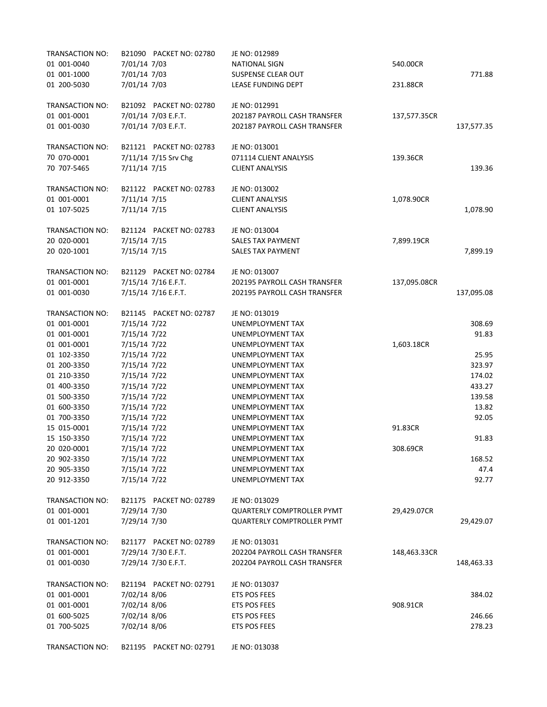| TRANSACTION NO: | B21090 PACKET NO: 02780 | JE NO: 012989                     |              |            |
|-----------------|-------------------------|-----------------------------------|--------------|------------|
| 01 001-0040     | 7/01/14 7/03            | <b>NATIONAL SIGN</b>              | 540.00CR     |            |
| 01 001-1000     | 7/01/14 7/03            | <b>SUSPENSE CLEAR OUT</b>         |              | 771.88     |
| 01 200-5030     | 7/01/14 7/03            | LEASE FUNDING DEPT                | 231.88CR     |            |
| TRANSACTION NO: | B21092 PACKET NO: 02780 | JE NO: 012991                     |              |            |
| 01 001-0001     | 7/01/14 7/03 E.F.T.     | 202187 PAYROLL CASH TRANSFER      | 137,577.35CR |            |
| 01 001-0030     | 7/01/14 7/03 E.F.T.     | 202187 PAYROLL CASH TRANSFER      |              | 137,577.35 |
| TRANSACTION NO: | B21121 PACKET NO: 02783 | JE NO: 013001                     |              |            |
| 70 070-0001     | 7/11/14 7/15 Srv Chg    | 071114 CLIENT ANALYSIS            | 139.36CR     |            |
| 70 707-5465     | 7/11/14 7/15            | <b>CLIENT ANALYSIS</b>            |              | 139.36     |
| TRANSACTION NO: | B21122 PACKET NO: 02783 | JE NO: 013002                     |              |            |
| 01 001-0001     | 7/11/14 7/15            | <b>CLIENT ANALYSIS</b>            | 1,078.90CR   |            |
| 01 107-5025     | 7/11/14 7/15            | <b>CLIENT ANALYSIS</b>            |              | 1,078.90   |
| TRANSACTION NO: | B21124 PACKET NO: 02783 | JE NO: 013004                     |              |            |
| 20 020-0001     | 7/15/14 7/15            | <b>SALES TAX PAYMENT</b>          | 7,899.19CR   |            |
| 20 020-1001     | 7/15/14 7/15            | SALES TAX PAYMENT                 |              | 7,899.19   |
| TRANSACTION NO: | B21129 PACKET NO: 02784 | JE NO: 013007                     |              |            |
| 01 001-0001     | 7/15/14 7/16 E.F.T.     | 202195 PAYROLL CASH TRANSFER      | 137,095.08CR |            |
| 01 001-0030     | 7/15/14 7/16 E.F.T.     | 202195 PAYROLL CASH TRANSFER      |              | 137,095.08 |
| TRANSACTION NO: | B21145 PACKET NO: 02787 | JE NO: 013019                     |              |            |
| 01 001-0001     | 7/15/14 7/22            | UNEMPLOYMENT TAX                  |              | 308.69     |
| 01 001-0001     | 7/15/14 7/22            | UNEMPLOYMENT TAX                  |              | 91.83      |
| 01 001-0001     | 7/15/14 7/22            | UNEMPLOYMENT TAX                  | 1,603.18CR   |            |
| 01 102-3350     | 7/15/14 7/22            | UNEMPLOYMENT TAX                  |              | 25.95      |
| 01 200-3350     | 7/15/14 7/22            | UNEMPLOYMENT TAX                  |              | 323.97     |
| 01 210-3350     | 7/15/14 7/22            | UNEMPLOYMENT TAX                  |              | 174.02     |
| 01 400-3350     | 7/15/14 7/22            | UNEMPLOYMENT TAX                  |              | 433.27     |
| 01 500-3350     | 7/15/14 7/22            | UNEMPLOYMENT TAX                  |              | 139.58     |
| 01 600-3350     | 7/15/14 7/22            | UNEMPLOYMENT TAX                  |              | 13.82      |
| 01 700-3350     | 7/15/14 7/22            | UNEMPLOYMENT TAX                  |              | 92.05      |
| 15 015-0001     | 7/15/14 7/22            | UNEMPLOYMENT TAX                  | 91.83CR      |            |
| 15 150-3350     | 7/15/14 7/22            | <b>UNEMPLOYMENT TAX</b>           |              | 91.83      |
| 20 020-0001     | 7/15/14 7/22            | UNEMPLOYMENT TAX                  | 308.69CR     |            |
| 20 902-3350     | 7/15/14 7/22            | UNEMPLOYMENT TAX                  |              | 168.52     |
| 20 905-3350     | 7/15/14 7/22            | UNEMPLOYMENT TAX                  |              | 47.4       |
| 20 912-3350     | 7/15/14 7/22            | UNEMPLOYMENT TAX                  |              | 92.77      |
| TRANSACTION NO: | B21175 PACKET NO: 02789 | JE NO: 013029                     |              |            |
| 01 001-0001     | 7/29/14 7/30            | <b>QUARTERLY COMPTROLLER PYMT</b> | 29,429.07CR  |            |
| 01 001-1201     | 7/29/14 7/30            | QUARTERLY COMPTROLLER PYMT        |              | 29,429.07  |
| TRANSACTION NO: | B21177 PACKET NO: 02789 | JE NO: 013031                     |              |            |
| 01 001-0001     | 7/29/14 7/30 E.F.T.     | 202204 PAYROLL CASH TRANSFER      | 148,463.33CR |            |
| 01 001-0030     | 7/29/14 7/30 E.F.T.     | 202204 PAYROLL CASH TRANSFER      |              | 148,463.33 |
| TRANSACTION NO: | B21194 PACKET NO: 02791 | JE NO: 013037                     |              |            |
| 01 001-0001     | 7/02/14 8/06            | ETS POS FEES                      |              | 384.02     |
| 01 001-0001     | 7/02/14 8/06            | ETS POS FEES                      | 908.91CR     |            |
| 01 600-5025     | 7/02/14 8/06            | ETS POS FEES                      |              | 246.66     |
| 01 700-5025     | 7/02/14 8/06            | ETS POS FEES                      |              | 278.23     |
| TRANSACTION NO: | B21195 PACKET NO: 02791 | JE NO: 013038                     |              |            |
|                 |                         |                                   |              |            |